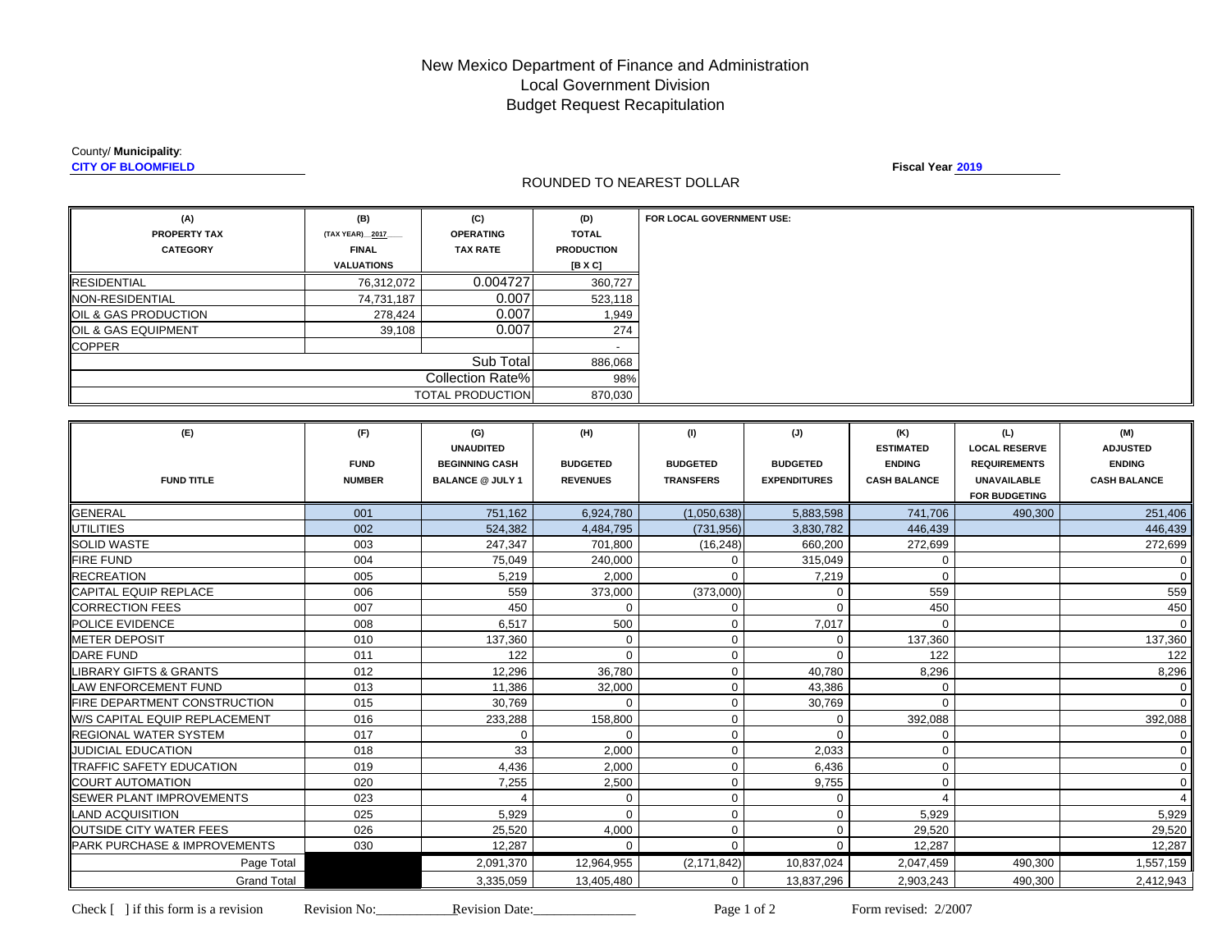# New Mexico Department of Finance and Administration Local Government Division Budget Request Recapitulation

#### County/ **Municipality**:

**CITY OF BLOOMFIELD**

### ROUNDED TO NEAREST DOLLAR

**Fiscal Year 2019**

| (A)                              | (B)               | (C)                     | (D)               |
|----------------------------------|-------------------|-------------------------|-------------------|
| <b>PROPERTY TAX</b>              | (TAX YEAR) 2017   | <b>OPERATING</b>        | <b>TOTAL</b>      |
| <b>CATEGORY</b>                  | <b>FINAL</b>      | <b>TAX RATE</b>         | <b>PRODUCTION</b> |
|                                  | <b>VALUATIONS</b> |                         | [B X C]           |
| <b>RESIDENTIAL</b>               | 76,312,072        | 0.004727                | 360,727           |
| <b>NON-RESIDENTIAL</b>           | 74,731,187        | 0.007                   | 523,118           |
| <b>JOIL &amp; GAS PRODUCTION</b> | 278,424           | 0.007                   | 1,949             |
| <b>OIL &amp; GAS EQUIPMENT</b>   | 39,108            | 0.007                   | 274               |
| <b>COPPER</b>                    |                   |                         |                   |
|                                  |                   | Sub Total               | 886,068           |
| <b>Collection Rate%</b>          |                   |                         | 98%               |
|                                  |                   | <b>TOTAL PRODUCTION</b> | 870,030           |

| (E)                                      | (F)           | (G)<br><b>UNAUDITED</b> | (H)             | (1)              | (J)                 | (K)<br><b>ESTIMATED</b> | (L)<br><b>LOCAL RESERVE</b> | (M)<br><b>ADJUSTED</b> |
|------------------------------------------|---------------|-------------------------|-----------------|------------------|---------------------|-------------------------|-----------------------------|------------------------|
|                                          | <b>FUND</b>   | <b>BEGINNING CASH</b>   | <b>BUDGETED</b> | <b>BUDGETED</b>  | <b>BUDGETED</b>     | <b>ENDING</b>           | <b>REQUIREMENTS</b>         | <b>ENDING</b>          |
| <b>FUND TITLE</b>                        | <b>NUMBER</b> | <b>BALANCE @ JULY 1</b> | <b>REVENUES</b> | <b>TRANSFERS</b> | <b>EXPENDITURES</b> | <b>CASH BALANCE</b>     | UNAVAILABLE                 | <b>CASH BALANCE</b>    |
|                                          |               |                         |                 |                  |                     |                         | <b>FOR BUDGETING</b>        |                        |
| <b>GENERAL</b>                           | 001           | 751,162                 | 6,924,780       | (1,050,638)      | 5,883,598           | 741,706                 | 490,300                     | 251,406                |
| <b>UTILITIES</b>                         | 002           | 524,382                 | 4,484,795       | (731, 956)       | 3,830,782           | 446,439                 |                             | 446,439                |
| <b>SOLID WASTE</b>                       | 003           | 247,347                 | 701,800         | (16, 248)        | 660,200             | 272,699                 |                             | 272,699                |
| <b>IFIRE FUND</b>                        | 004           | 75,049                  | 240,000         | 0                | 315,049             | $\mathbf 0$             |                             | 0                      |
| <b>RECREATION</b>                        | 005           | 5,219                   | 2,000           | $\Omega$         | 7,219               | $\mathbf 0$             |                             | $\Omega$               |
| <b>CAPITAL EQUIP REPLACE</b>             | 006           | 559                     | 373,000         | (373,000)        | 0                   | 559                     |                             | 559                    |
| <b>CORRECTION FEES</b>                   | 007           | 450                     | $\Omega$        | $\mathbf 0$      | $\Omega$            | 450                     |                             | 450                    |
| <b>IPOLICE EVIDENCE</b>                  | 008           | 6.517                   | 500             | 0                | 7,017               | $\mathbf 0$             |                             | $\Omega$               |
| <b>IMETER DEPOSIT</b>                    | 010           | 137,360                 | $\mathbf 0$     | 0                | 0                   | 137,360                 |                             | 137,360                |
| <b>DARE FUND</b>                         | 011           | 122                     | $\Omega$        | 0                | $\Omega$            | 122                     |                             | 122                    |
| <b>LIBRARY GIFTS &amp; GRANTS</b>        | 012           | 12,296                  | 36,780          | 0                | 40,780              | 8,296                   |                             | 8,296                  |
| LAW ENFORCEMENT FUND                     | 013           | 11,386                  | 32,000          | 0                | 43,386              | 0                       |                             | $\mathbf 0$            |
| <b>IFIRE DEPARTMENT CONSTRUCTION</b>     | 015           | 30,769                  | $\Omega$        | 0                | 30,769              | $\Omega$                |                             | $\Omega$               |
| <b>W/S CAPITAL EQUIP REPLACEMENT</b>     | 016           | 233,288                 | 158,800         | $\mathbf{0}$     | 0                   | 392,088                 |                             | 392,088                |
| <b>REGIONAL WATER SYSTEM</b>             | 017           | $\mathbf 0$             | $\mathbf 0$     | $\mathbf{0}$     | $\Omega$            | $\mathbf 0$             |                             | $\mathbf 0$            |
| <b>JUDICIAL EDUCATION</b>                | 018           | 33                      | 2,000           | $\mathbf 0$      | 2,033               | $\mathbf 0$             |                             | $\mathbf 0$            |
| TRAFFIC SAFETY EDUCATION                 | 019           | 4,436                   | 2.000           | $\mathbf{0}$     | 6,436               | $\mathbf 0$             |                             | $\mathbf 0$            |
| <b>COURT AUTOMATION</b>                  | 020           | 7,255                   | 2,500           | 0                | 9,755               | $\mathbf 0$             |                             | $\mathbf 0$            |
| <b>SEWER PLANT IMPROVEMENTS</b>          | 023           |                         | $\mathbf 0$     | $\mathbf 0$      | $\mathbf 0$         | $\boldsymbol{\Delta}$   |                             |                        |
| <b>ILAND ACQUISITION</b>                 | 025           | 5,929                   | $\mathbf 0$     | 0                | 0                   | 5,929                   |                             | 5,929                  |
| <b>IOUTSIDE CITY WATER FEES</b>          | 026           | 25,520                  | 4,000           | 0                | $\mathbf 0$         | 29,520                  |                             | 29,520                 |
| <b>IPARK PURCHASE &amp; IMPROVEMENTS</b> | 030           | 12,287                  | $\Omega$        | $\mathbf{0}$     | $\mathbf{0}$        | 12,287                  |                             | 12,287                 |
| Page Total                               |               | 2,091,370               | 12,964,955      | (2, 171, 842)    | 10,837,024          | 2,047,459               | 490,300                     | 1,557,159              |
| <b>Grand Total</b>                       |               | 3,335,059               | 13,405,480      | $\mathbf{0}$     | 13,837,296          | 2,903,243               | 490,300                     | 2,412,943              |

Page 1 of 2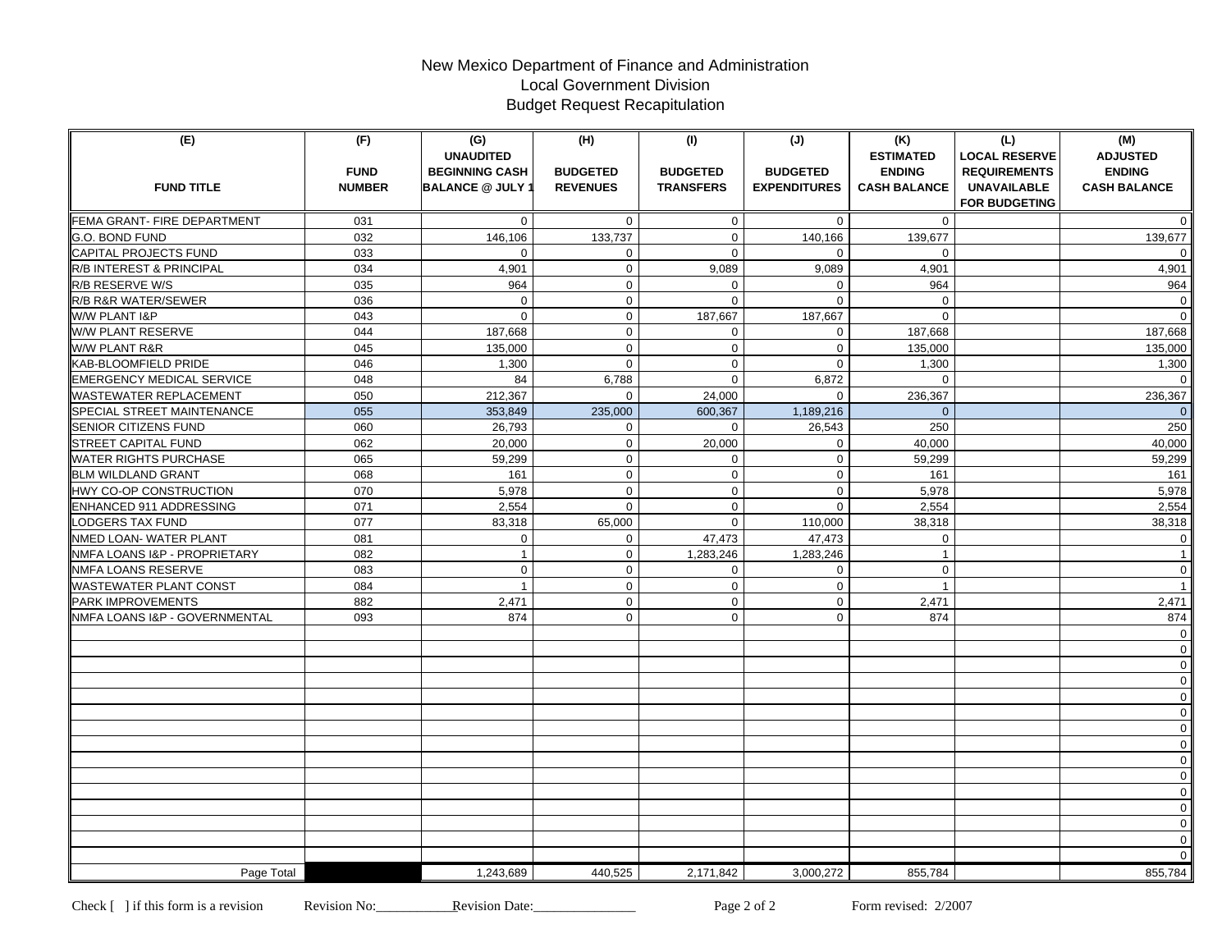# New Mexico Department of Finance and Administration Local Government Division Budget Request Recapitulation

| (E)                                               | (F)<br><b>FUND</b> | (G)<br><b>UNAUDITED</b><br><b>BEGINNING CASH</b> | (H)<br><b>BUDGETED</b> | (1)<br><b>BUDGETED</b> | (J)<br><b>BUDGETED</b> | (K)<br><b>ESTIMATED</b><br><b>ENDING</b> | (L)<br><b>LOCAL RESERVE</b><br><b>REQUIREMENTS</b> | (M)<br><b>ADJUSTED</b><br><b>ENDING</b> |
|---------------------------------------------------|--------------------|--------------------------------------------------|------------------------|------------------------|------------------------|------------------------------------------|----------------------------------------------------|-----------------------------------------|
| <b>FUND TITLE</b>                                 | <b>NUMBER</b>      | <b>BALANCE @ JULY 1</b>                          | <b>REVENUES</b>        | <b>TRANSFERS</b>       | <b>EXPENDITURES</b>    | <b>CASH BALANCE</b>                      | <b>UNAVAILABLE</b>                                 | <b>CASH BALANCE</b>                     |
|                                                   |                    |                                                  |                        |                        |                        |                                          | <b>FOR BUDGETING</b>                               |                                         |
| FEMA GRANT- FIRE DEPARTMENT                       | 031                | $\mathbf{0}$                                     | $\mathbf{0}$           | $\mathbf 0$            | $\mathbf 0$            | $\mathbf{0}$                             |                                                    | $\overline{0}$                          |
| G.O. BOND FUND                                    | 032                | 146,106                                          | 133,737                | $\mathbf 0$            | 140,166                | 139,677                                  |                                                    | 139,677                                 |
| <b>CAPITAL PROJECTS FUND</b>                      | 033<br>034         | $\mathbf{0}$<br>4,901                            | 0<br>$\mathbf{0}$      | $\mathbf 0$<br>9,089   | 0<br>9,089             | $\mathbf{0}$<br>4,901                    |                                                    | $\overline{0}$                          |
| R/B INTEREST & PRINCIPAL                          | 035                | 964                                              | $\mathbf 0$            | $\mathbf 0$            | $\Omega$               | 964                                      |                                                    | 4,901<br>964                            |
| R/B RESERVE W/S<br><b>R/B R&amp;R WATER/SEWER</b> | 036                | $\mathbf 0$                                      | $\mathbf 0$            | $\mathbf 0$            | $\Omega$               | $\mathbf 0$                              |                                                    | $\overline{0}$                          |
| W/W PLANT I&P                                     | 043                | $\Omega$                                         | $\mathbf 0$            | 187,667                | 187,667                | $\Omega$                                 |                                                    | $\Omega$                                |
| W/W PLANT RESERVE                                 | 044                | 187,668                                          | $\mathbf 0$            | 0                      | $\mathbf 0$            | 187,668                                  |                                                    | 187,668                                 |
| W/W PLANT R&R                                     | 045                | 135,000                                          | $\mathbf 0$            | $\mathbf 0$            | $\mathbf 0$            | 135,000                                  |                                                    | 135,000                                 |
| KAB-BLOOMFIELD PRIDE                              | 046                | 1,300                                            | $\mathbf 0$            | $\mathbf 0$            | $\mathbf 0$            | 1,300                                    |                                                    | 1,300                                   |
| <b>EMERGENCY MEDICAL SERVICE</b>                  | 048                | 84                                               | 6,788                  | $\mathbf 0$            | 6,872                  | $\mathbf 0$                              |                                                    | $\mathbf{0}$                            |
| WASTEWATER REPLACEMENT                            | 050                | 212,367                                          | $\mathbf{0}$           | 24,000                 | $\mathbf 0$            | 236,367                                  |                                                    | 236,367                                 |
| SPECIAL STREET MAINTENANCE                        | 055                | 353,849                                          | 235,000                | 600,367                | 1,189,216              | $\Omega$                                 |                                                    | $\overline{0}$                          |
| <b>SENIOR CITIZENS FUND</b>                       | 060                | 26,793                                           | $\mathbf 0$            | $\Omega$               | 26,543                 | 250                                      |                                                    | 250                                     |
| <b>STREET CAPITAL FUND</b>                        | 062                | 20,000                                           | $\mathbf 0$            | 20,000                 | $\mathbf 0$            | 40.000                                   |                                                    | 40,000                                  |
| <b>WATER RIGHTS PURCHASE</b>                      | 065                | 59,299                                           | $\mathbf 0$            | $\mathbf 0$            | $\mathbf 0$            | 59,299                                   |                                                    | 59,299                                  |
| <b>BLM WILDLAND GRANT</b>                         | 068                | 161                                              | $\mathbf{0}$           | $\mathbf 0$            | $\mathbf 0$            | 161                                      |                                                    | 161                                     |
| HWY CO-OP CONSTRUCTION                            | 070                | 5,978                                            | $\mathbf 0$            | $\mathbf 0$            | $\mathbf 0$            | 5,978                                    |                                                    | 5,978                                   |
| ENHANCED 911 ADDRESSING                           | 071                | 2,554                                            | $\mathbf 0$            | $\mathbf 0$            | $\Omega$               | 2,554                                    |                                                    | 2,554                                   |
| <b>LODGERS TAX FUND</b>                           | 077                | 83,318                                           | 65,000                 | $\mathbf 0$            | 110,000                | 38,318                                   |                                                    | 38,318                                  |
| NMED LOAN- WATER PLANT                            | 081                | $\mathbf 0$                                      | $\mathbf 0$            | 47,473                 | 47,473                 | $\mathbf 0$                              |                                                    | $\mathbf{0}$                            |
| NMFA LOANS I&P - PROPRIETARY                      | 082                | $\mathbf{1}$                                     | $\mathbf 0$            | 1,283,246              | 1,283,246              | $\mathbf{1}$                             |                                                    | $\mathbf{1}$                            |
| NMFA LOANS RESERVE                                | 083                | $\mathbf 0$                                      | $\mathbf 0$            | $\mathbf 0$            | $\mathbf 0$            | $\mathbf 0$                              |                                                    | $\overline{0}$                          |
| <b>WASTEWATER PLANT CONST</b>                     | 084                | $\mathbf{1}$                                     | $\mathbf 0$            | $\mathbf 0$            | $\mathbf 0$            | $\mathbf{1}$                             |                                                    | $\overline{1}$                          |
| <b>PARK IMPROVEMENTS</b>                          | 882                | 2,471                                            | $\mathbf 0$            | $\mathbf 0$            | $\mathbf 0$            | 2,471                                    |                                                    | 2,471                                   |
| NMFA LOANS I&P - GOVERNMENTAL                     | 093                | 874                                              | $\mathbf 0$            | $\mathbf 0$            | $\mathbf 0$            | 874                                      |                                                    | 874                                     |
|                                                   |                    |                                                  |                        |                        |                        |                                          |                                                    | $\mathbf{0}$                            |
|                                                   |                    |                                                  |                        |                        |                        |                                          |                                                    | $\overline{0}$                          |
|                                                   |                    |                                                  |                        |                        |                        |                                          |                                                    | $\mathsf{O}\xspace$                     |
|                                                   |                    |                                                  |                        |                        |                        |                                          |                                                    | $\mathbf 0$                             |
|                                                   |                    |                                                  |                        |                        |                        |                                          |                                                    | $\mathbf 0$                             |
|                                                   |                    |                                                  |                        |                        |                        |                                          |                                                    | $\mathbf 0$<br>$\mathbf 0$              |
|                                                   |                    |                                                  |                        |                        |                        |                                          |                                                    | $\mathbf 0$                             |
|                                                   |                    |                                                  |                        |                        |                        |                                          |                                                    | $\mathbf 0$                             |
|                                                   |                    |                                                  |                        |                        |                        |                                          |                                                    | $\mathbf 0$                             |
|                                                   |                    |                                                  |                        |                        |                        |                                          |                                                    | $\mathbf 0$                             |
|                                                   |                    |                                                  |                        |                        |                        |                                          |                                                    | $\mathbf 0$                             |
|                                                   |                    |                                                  |                        |                        |                        |                                          |                                                    | $\mathbf 0$                             |
|                                                   |                    |                                                  |                        |                        |                        |                                          |                                                    | $\mathbf 0$                             |
|                                                   |                    |                                                  |                        |                        |                        |                                          |                                                    | $\mathbf 0$                             |
| Page Total                                        |                    | 1,243,689                                        | 440.525                | 2,171,842              | 3,000,272              | 855.784                                  |                                                    | 855,784                                 |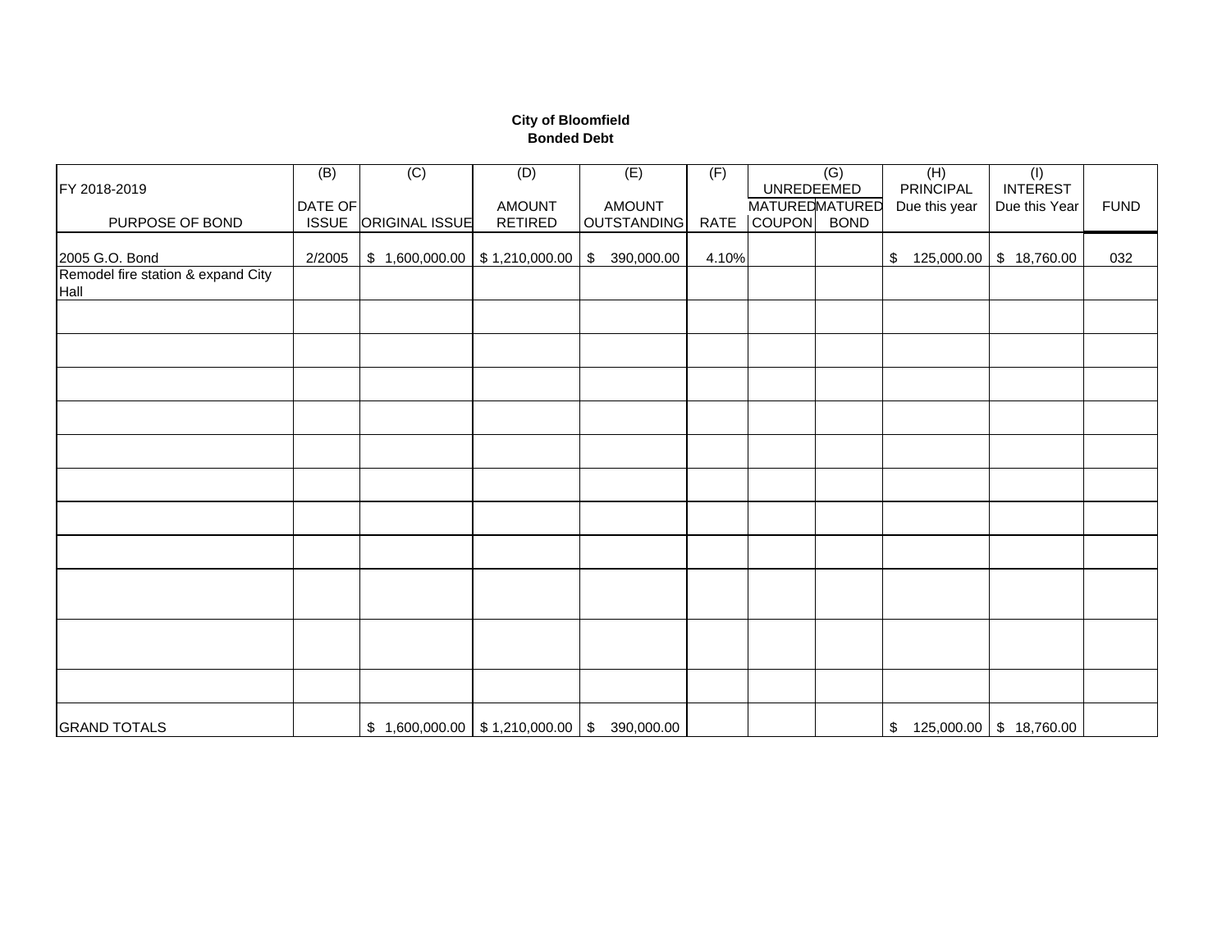### **City of Bloomfield Bonded Debt**

| FY 2018-2019                               | (B)          | $\overline{C}$                                | (D)            | (E)                         | (F)   | UNREDEEMED            | $\overline{(G)}$ | (H)<br><b>PRINCIPAL</b>    | $\overline{(\mathsf{I})}$<br><b>INTEREST</b> |             |
|--------------------------------------------|--------------|-----------------------------------------------|----------------|-----------------------------|-------|-----------------------|------------------|----------------------------|----------------------------------------------|-------------|
|                                            | DATE OF      |                                               | <b>AMOUNT</b>  | <b>AMOUNT</b>               |       | <b>MATUREDMATURED</b> |                  | Due this year              | Due this Year                                | <b>FUND</b> |
| PURPOSE OF BOND                            | <b>ISSUE</b> | <b>ORIGINAL ISSUE</b>                         | <b>RETIRED</b> | OUTSTANDING                 |       | RATE COUPON BOND      |                  |                            |                                              |             |
| 2005 G.O. Bond                             | 2/2005       | $$1,600,000.00$ $$1,210,000.00$               |                | 390,000.00<br>$\sqrt[6]{2}$ | 4.10% |                       |                  | \$                         | 125,000.00 \$ 18,760.00                      | 032         |
| Remodel fire station & expand City<br>Hall |              |                                               |                |                             |       |                       |                  |                            |                                              |             |
|                                            |              |                                               |                |                             |       |                       |                  |                            |                                              |             |
|                                            |              |                                               |                |                             |       |                       |                  |                            |                                              |             |
|                                            |              |                                               |                |                             |       |                       |                  |                            |                                              |             |
|                                            |              |                                               |                |                             |       |                       |                  |                            |                                              |             |
|                                            |              |                                               |                |                             |       |                       |                  |                            |                                              |             |
|                                            |              |                                               |                |                             |       |                       |                  |                            |                                              |             |
|                                            |              |                                               |                |                             |       |                       |                  |                            |                                              |             |
|                                            |              |                                               |                |                             |       |                       |                  |                            |                                              |             |
|                                            |              |                                               |                |                             |       |                       |                  |                            |                                              |             |
|                                            |              |                                               |                |                             |       |                       |                  |                            |                                              |             |
|                                            |              |                                               |                |                             |       |                       |                  |                            |                                              |             |
| <b>GRAND TOTALS</b>                        |              | $$1,600,000.00$ $$1,210,000.00$ $$390,000.00$ |                |                             |       |                       |                  | $$125,000.00$ $$18,760.00$ |                                              |             |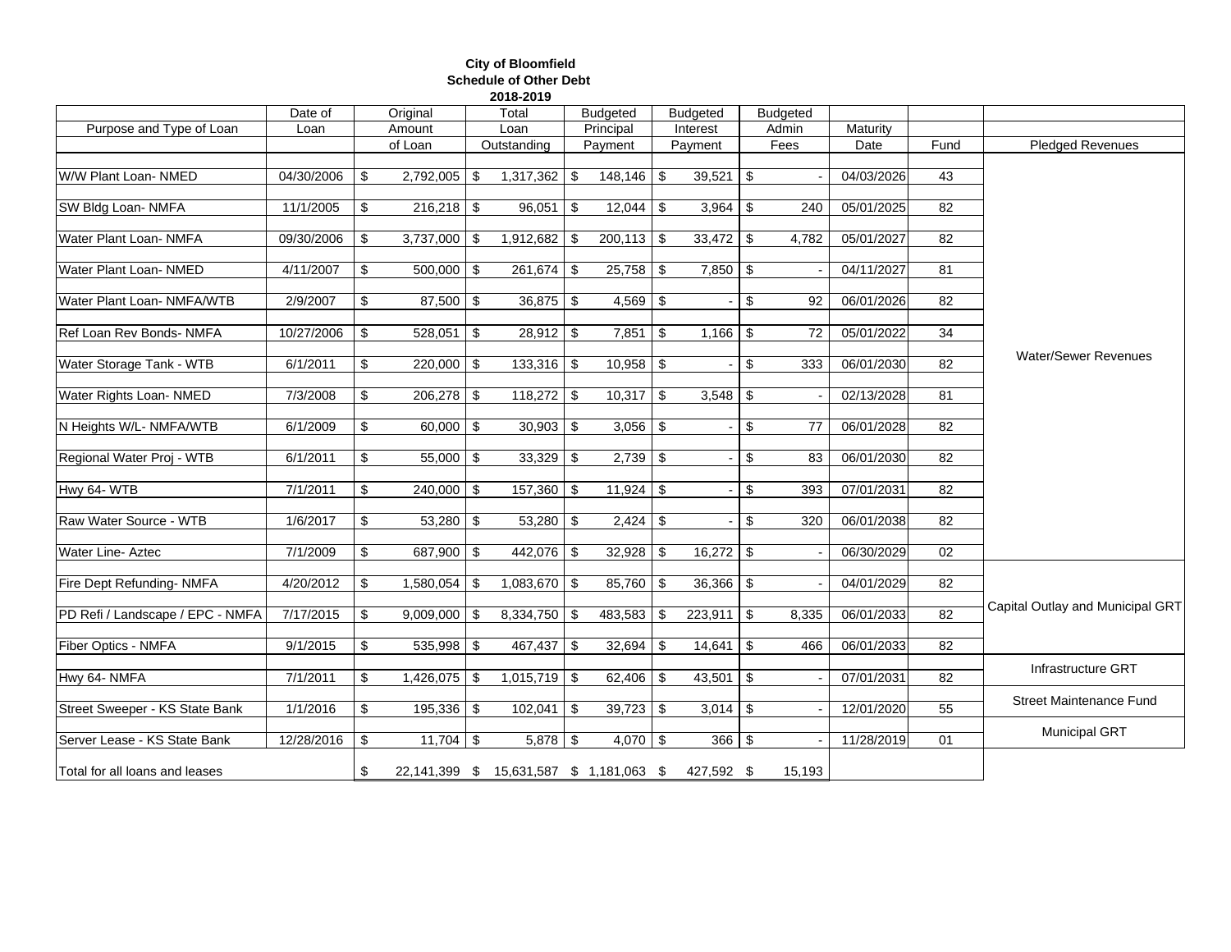#### **City of Bloomfield Schedule of Other Debt 2018-2019**

|                                  | Date of    | Original             | Total                                    | <b>Budgeted</b> |          | <b>Budgeted</b>                 |     | <b>Budgeted</b> |            |                 |                                  |
|----------------------------------|------------|----------------------|------------------------------------------|-----------------|----------|---------------------------------|-----|-----------------|------------|-----------------|----------------------------------|
| Purpose and Type of Loan         | Loan       | Amount               | Loan                                     | Principal       |          | Interest                        |     | Admin           | Maturity   |                 |                                  |
|                                  |            | of Loan              | Outstanding                              | Payment         |          | Payment                         |     | Fees            | Date       | Fund            | <b>Pledged Revenues</b>          |
| W/W Plant Loan- NMED             | 04/30/2006 | \$<br>$2,792,005$ \$ | $1,317,362$ \$                           | $148,146$ \$    |          | $39,521$ \$                     |     |                 | 04/03/2026 | 43              |                                  |
| SW Bldg Loan- NMFA               | 11/1/2005  | \$<br>$216,218$ \$   | $96,051$ \$                              |                 |          | $3,964$ \$                      |     | 240             | 05/01/2025 | $\overline{82}$ |                                  |
| Water Plant Loan- NMFA           | 09/30/2006 | \$<br>$3,737,000$ \$ | 1,912,682 \$                             | $200,113$ \$    |          | $33,472$ \$                     |     | 4,782           | 05/01/2027 | 82              |                                  |
| Water Plant Loan- NMED           | 4/11/2007  | \$<br>$500,000$ \$   | $261,674$ \$                             | $25,758$ \\$    |          | $7,850$ \$                      |     |                 | 04/11/2027 | 81              |                                  |
| Water Plant Loan- NMFA/WTB       | 2/9/2007   | \$<br>$87,500$ \ \$  | $36,875$ \$                              | $4,569$ \$      |          |                                 | \$  | 92              | 06/01/2026 | 82              |                                  |
| Ref Loan Rev Bonds- NMFA         | 10/27/2006 | \$<br>$528,051$ \$   | $28,912$ \$                              | $7,851$ \$      |          |                                 |     | 72              | 05/01/2022 | 34              |                                  |
| Water Storage Tank - WTB         | 6/1/2011   | \$<br>$220,000$ \$   | $133,316$ \$                             | $10,958$ \$     |          |                                 | \$  | 333             | 06/01/2030 | 82              | <b>Water/Sewer Revenues</b>      |
| Water Rights Loan- NMED          | 7/3/2008   | \$<br>$206,278$ \$   | $118,272$ \$                             | $10,317$ \$     |          | $3,548$ \$                      |     |                 | 02/13/2028 | 81              |                                  |
| N Heights W/L-NMFA/WTB           | 6/1/2009   | \$<br>$60,000$ \$    | $30,903$ \$                              | $3,056$ \$      |          |                                 | -\$ | 77              | 06/01/2028 | 82              |                                  |
| Regional Water Proj - WTB        | 6/1/2011   | \$<br>$55,000$ \$    | $33,329$ \$                              | $2,739$ \$      |          |                                 | \$  | 83              | 06/01/2030 | 82              |                                  |
| Hwy 64-WTB                       | 7/1/2011   | \$<br>$240,000$ \$   | 157,360 \$                               | $11,924$ \$     |          |                                 | \$  | 393             | 07/01/2031 | 82              |                                  |
| Raw Water Source - WTB           | 1/6/2017   | \$                   | $53,280$ \$                              |                 |          |                                 | \$  | 320             | 06/01/2038 | 82              |                                  |
| <b>Water Line- Aztec</b>         | 7/1/2009   | \$<br>687,900 \$     | 442,076 \$                               | $32,928$ \$     |          | $16,272$ \$                     |     |                 | 06/30/2029 | 02              |                                  |
| Fire Dept Refunding-NMFA         | 4/20/2012  | \$                   | $1,083,670$ \$                           | 85,760          | \$       | $36,366$ \ \$                   |     |                 | 04/01/2029 | 82              |                                  |
| PD Refi / Landscape / EPC - NMFA | 7/17/2015  | \$<br>$9,009,000$ \$ | 8,334,750 \$                             | 483,583         | \$       | $223,911$ \$                    |     | 8,335           | 06/01/2033 | 82              | Capital Outlay and Municipal GRT |
| Fiber Optics - NMFA              | 9/1/2015   | \$<br>$535,998$ \$   | $467,437$ \$                             | 32,694          | <b>S</b> |                                 |     | 466             | 06/01/2033 | 82              |                                  |
| Hwy 64- NMFA                     | 7/1/2011   | \$<br>$1,426,075$ \$ | $1,015,719$ \$                           | $62,406$ \ \$   |          | $43,501$ \ \$                   |     |                 | 07/01/2031 | 82              | Infrastructure GRT               |
| Street Sweeper - KS State Bank   | 1/1/2016   | \$<br>$195,336$ \$   | $102,041$ \$                             | $39,723$ \$     |          | $3,014$ \$                      |     |                 | 12/01/2020 | 55              | <b>Street Maintenance Fund</b>   |
| Server Lease - KS State Bank     | 12/28/2016 | \$                   | $5,878$ \$                               | $4,070$ \$      |          | $366$ $\overline{\phantom{1}8}$ |     |                 | 11/28/2019 | 01              | <b>Municipal GRT</b>             |
| Total for all loans and leases   |            | \$                   | 22,141,399 \$ 15,631,587 \$ 1,181,063 \$ |                 |          | 427,592 \$                      |     | 15,193          |            |                 |                                  |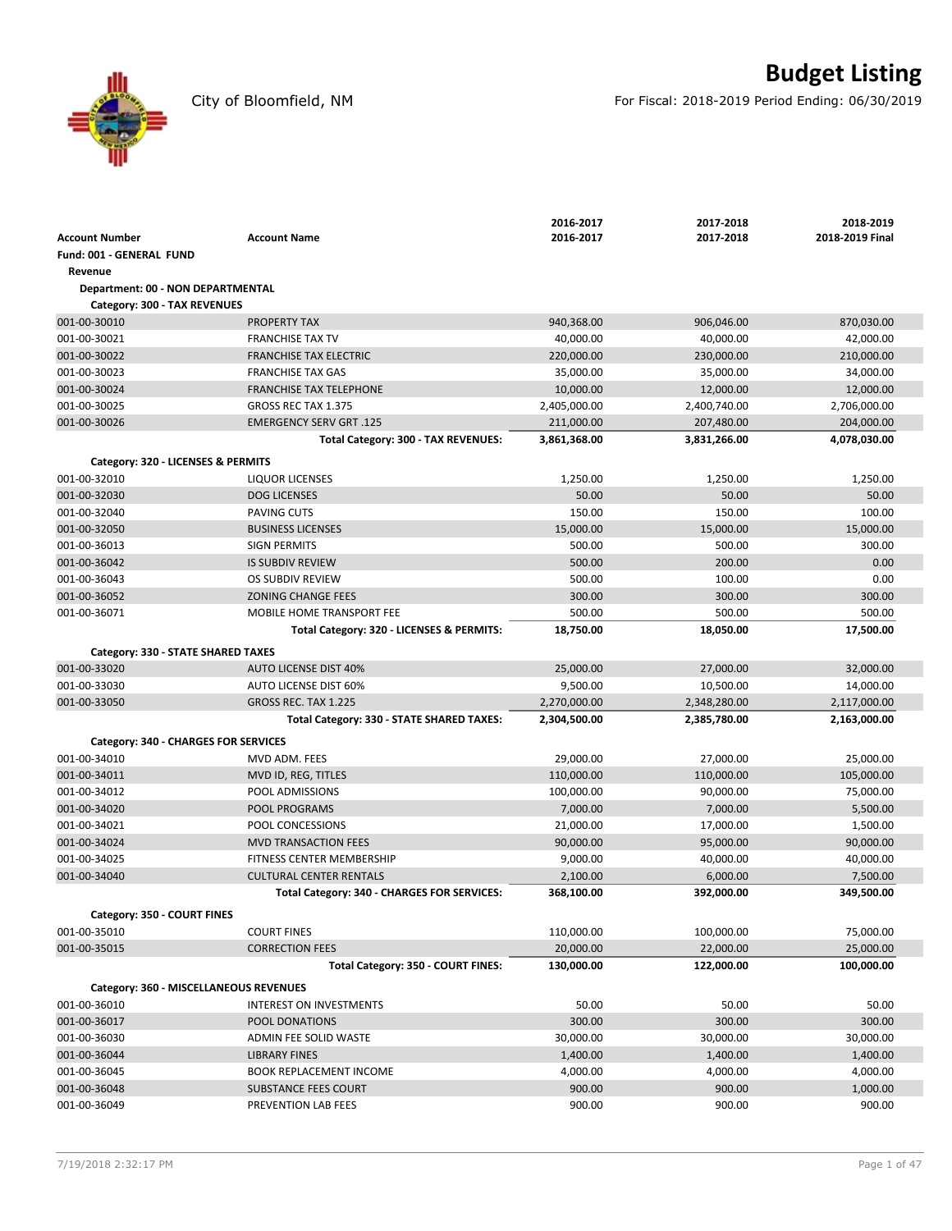City of Bloomfield, NM For Fiscal: 2018-2019 Period Ending: 06/30/2019

|                                        |                                             | 2016-2017    | 2017-2018    | 2018-2019       |
|----------------------------------------|---------------------------------------------|--------------|--------------|-----------------|
| <b>Account Number</b>                  | <b>Account Name</b>                         | 2016-2017    | 2017-2018    | 2018-2019 Final |
| Fund: 001 - GENERAL FUND               |                                             |              |              |                 |
| Revenue                                |                                             |              |              |                 |
| Department: 00 - NON DEPARTMENTAL      |                                             |              |              |                 |
| Category: 300 - TAX REVENUES           |                                             |              |              |                 |
| 001-00-30010                           | <b>PROPERTY TAX</b>                         | 940,368.00   | 906,046.00   | 870,030.00      |
| 001-00-30021                           | <b>FRANCHISE TAX TV</b>                     | 40,000.00    | 40,000.00    | 42,000.00       |
| 001-00-30022                           | <b>FRANCHISE TAX ELECTRIC</b>               | 220,000.00   | 230,000.00   | 210,000.00      |
| 001-00-30023                           | <b>FRANCHISE TAX GAS</b>                    | 35,000.00    | 35,000.00    | 34,000.00       |
| 001-00-30024                           | <b>FRANCHISE TAX TELEPHONE</b>              | 10,000.00    | 12,000.00    | 12,000.00       |
| 001-00-30025                           | GROSS REC TAX 1.375                         | 2,405,000.00 | 2,400,740.00 | 2,706,000.00    |
| 001-00-30026                           | <b>EMERGENCY SERV GRT .125</b>              | 211,000.00   | 207,480.00   | 204,000.00      |
|                                        | Total Category: 300 - TAX REVENUES:         | 3,861,368.00 | 3,831,266.00 | 4,078,030.00    |
| Category: 320 - LICENSES & PERMITS     |                                             |              |              |                 |
| 001-00-32010                           | <b>LIQUOR LICENSES</b>                      | 1,250.00     | 1,250.00     | 1,250.00        |
| 001-00-32030                           | <b>DOG LICENSES</b>                         | 50.00        | 50.00        | 50.00           |
|                                        | PAVING CUTS                                 | 150.00       | 150.00       | 100.00          |
| 001-00-32040<br>001-00-32050           |                                             |              |              |                 |
|                                        | <b>BUSINESS LICENSES</b>                    | 15,000.00    | 15,000.00    | 15,000.00       |
| 001-00-36013                           | <b>SIGN PERMITS</b>                         | 500.00       | 500.00       | 300.00          |
| 001-00-36042                           | <b>IS SUBDIV REVIEW</b>                     | 500.00       | 200.00       | 0.00            |
| 001-00-36043                           | OS SUBDIV REVIEW                            | 500.00       | 100.00       | 0.00            |
| 001-00-36052                           | <b>ZONING CHANGE FEES</b>                   | 300.00       | 300.00       | 300.00          |
| 001-00-36071                           | MOBILE HOME TRANSPORT FEE                   | 500.00       | 500.00       | 500.00          |
|                                        | Total Category: 320 - LICENSES & PERMITS:   | 18,750.00    | 18,050.00    | 17,500.00       |
| Category: 330 - STATE SHARED TAXES     |                                             |              |              |                 |
| 001-00-33020                           | <b>AUTO LICENSE DIST 40%</b>                | 25,000.00    | 27,000.00    | 32,000.00       |
| 001-00-33030                           | <b>AUTO LICENSE DIST 60%</b>                | 9,500.00     | 10,500.00    | 14,000.00       |
| 001-00-33050                           | GROSS REC. TAX 1.225                        | 2,270,000.00 | 2,348,280.00 | 2,117,000.00    |
|                                        | Total Category: 330 - STATE SHARED TAXES:   | 2,304,500.00 | 2,385,780.00 | 2,163,000.00    |
| Category: 340 - CHARGES FOR SERVICES   |                                             |              |              |                 |
| 001-00-34010                           | MVD ADM. FEES                               | 29,000.00    | 27,000.00    | 25,000.00       |
| 001-00-34011                           | MVD ID, REG, TITLES                         | 110,000.00   | 110,000.00   | 105,000.00      |
| 001-00-34012                           | POOL ADMISSIONS                             | 100,000.00   | 90,000.00    | 75,000.00       |
| 001-00-34020                           | POOL PROGRAMS                               | 7,000.00     | 7,000.00     | 5,500.00        |
| 001-00-34021                           | POOL CONCESSIONS                            | 21,000.00    | 17,000.00    | 1,500.00        |
| 001-00-34024                           | <b>MVD TRANSACTION FEES</b>                 | 90,000.00    | 95,000.00    | 90,000.00       |
| 001-00-34025                           | FITNESS CENTER MEMBERSHIP                   | 9,000.00     | 40,000.00    | 40,000.00       |
| 001-00-34040                           | <b>CULTURAL CENTER RENTALS</b>              | 2,100.00     | 6,000.00     | 7,500.00        |
|                                        | Total Category: 340 - CHARGES FOR SERVICES: | 368,100.00   | 392,000.00   | 349,500.00      |
|                                        |                                             |              |              |                 |
| Category: 350 - COURT FINES            |                                             |              |              |                 |
| 001-00-35010                           | <b>COURT FINES</b>                          | 110,000.00   | 100,000.00   | 75,000.00       |
| 001-00-35015                           | <b>CORRECTION FEES</b>                      | 20,000.00    | 22,000.00    | 25,000.00       |
|                                        | Total Category: 350 - COURT FINES:          | 130,000.00   | 122,000.00   | 100,000.00      |
| Category: 360 - MISCELLANEOUS REVENUES |                                             |              |              |                 |
| 001-00-36010                           | INTEREST ON INVESTMENTS                     | 50.00        | 50.00        | 50.00           |
| 001-00-36017                           | POOL DONATIONS                              | 300.00       | 300.00       | 300.00          |
| 001-00-36030                           | ADMIN FEE SOLID WASTE                       | 30,000.00    | 30,000.00    | 30,000.00       |
| 001-00-36044                           | <b>LIBRARY FINES</b>                        | 1,400.00     | 1,400.00     | 1,400.00        |
| 001-00-36045                           | <b>BOOK REPLACEMENT INCOME</b>              | 4,000.00     | 4,000.00     | 4,000.00        |
| 001-00-36048                           | SUBSTANCE FEES COURT                        | 900.00       | 900.00       | 1,000.00        |
| 001-00-36049                           | PREVENTION LAB FEES                         | 900.00       | 900.00       | 900.00          |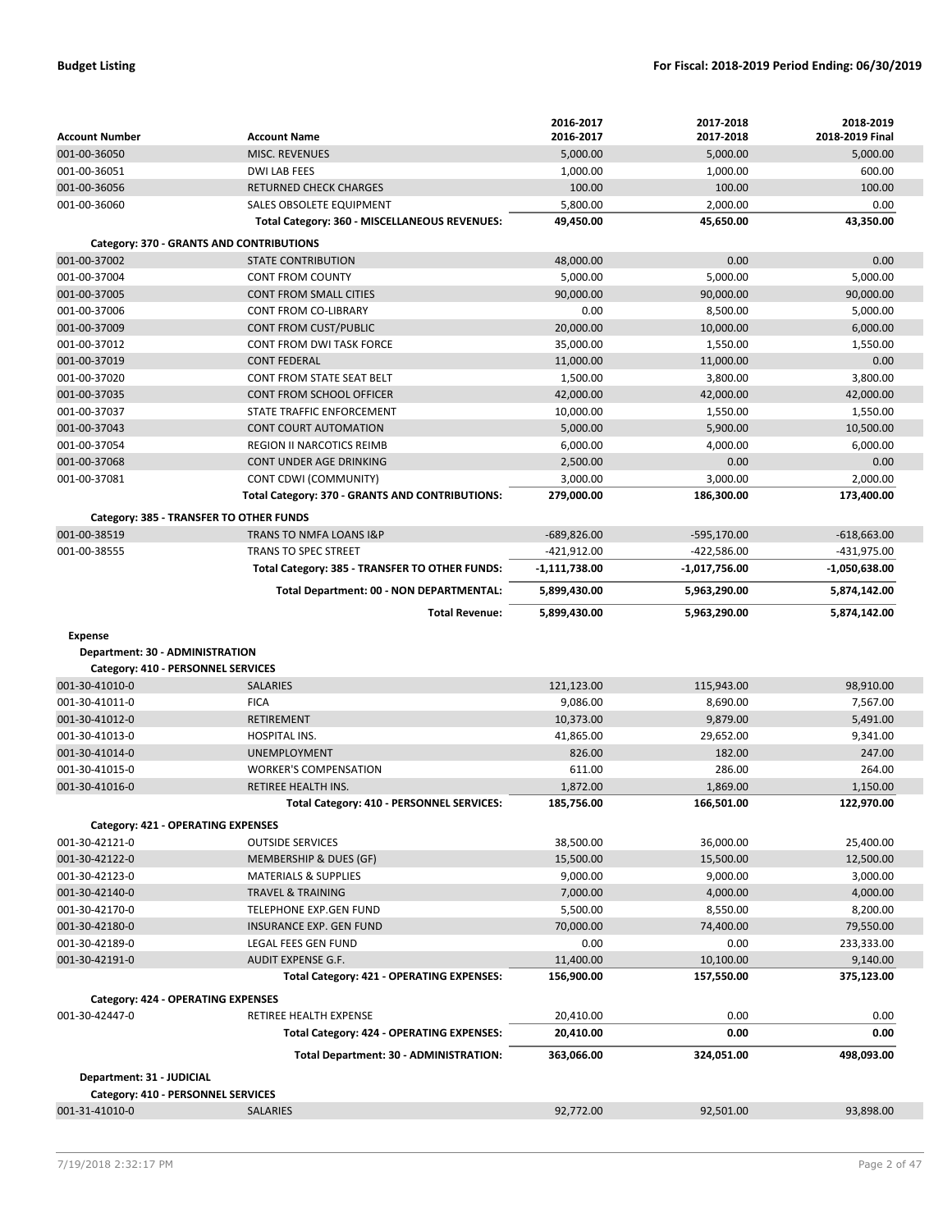|                                    |                                                 | 2016-2017     | 2017-2018     | 2018-2019       |
|------------------------------------|-------------------------------------------------|---------------|---------------|-----------------|
| <b>Account Number</b>              | <b>Account Name</b>                             | 2016-2017     | 2017-2018     | 2018-2019 Final |
| 001-00-36050                       | <b>MISC. REVENUES</b>                           | 5,000.00      | 5,000.00      | 5,000.00        |
| 001-00-36051                       | <b>DWI LAB FEES</b>                             | 1,000.00      | 1,000.00      | 600.00          |
| 001-00-36056                       | <b>RETURNED CHECK CHARGES</b>                   | 100.00        | 100.00        | 100.00          |
| 001-00-36060                       | SALES OBSOLETE EQUIPMENT                        | 5,800.00      | 2,000.00      | 0.00            |
|                                    | Total Category: 360 - MISCELLANEOUS REVENUES:   | 49,450.00     | 45,650.00     | 43,350.00       |
|                                    | Category: 370 - GRANTS AND CONTRIBUTIONS        |               |               |                 |
| 001-00-37002                       | <b>STATE CONTRIBUTION</b>                       | 48,000.00     | 0.00          | 0.00            |
| 001-00-37004                       | <b>CONT FROM COUNTY</b>                         | 5,000.00      | 5,000.00      | 5,000.00        |
| 001-00-37005                       | <b>CONT FROM SMALL CITIES</b>                   | 90.000.00     | 90,000.00     | 90,000.00       |
| 001-00-37006                       | CONT FROM CO-LIBRARY                            | 0.00          | 8,500.00      | 5,000.00        |
| 001-00-37009                       | CONT FROM CUST/PUBLIC                           | 20,000.00     | 10,000.00     | 6,000.00        |
| 001-00-37012                       | CONT FROM DWI TASK FORCE                        | 35,000.00     | 1,550.00      | 1,550.00        |
| 001-00-37019                       | <b>CONT FEDERAL</b>                             | 11,000.00     | 11,000.00     | 0.00            |
| 001-00-37020                       | CONT FROM STATE SEAT BELT                       | 1,500.00      | 3,800.00      | 3,800.00        |
| 001-00-37035                       | <b>CONT FROM SCHOOL OFFICER</b>                 | 42,000.00     | 42,000.00     | 42,000.00       |
| 001-00-37037                       | STATE TRAFFIC ENFORCEMENT                       | 10,000.00     | 1,550.00      | 1,550.00        |
| 001-00-37043                       | <b>CONT COURT AUTOMATION</b>                    | 5,000.00      | 5,900.00      | 10,500.00       |
| 001-00-37054                       | <b>REGION II NARCOTICS REIMB</b>                | 6,000.00      | 4,000.00      | 6,000.00        |
| 001-00-37068                       | CONT UNDER AGE DRINKING                         | 2,500.00      | 0.00          | 0.00            |
| 001-00-37081                       | CONT CDWI (COMMUNITY)                           | 3,000.00      | 3,000.00      | 2,000.00        |
|                                    | Total Category: 370 - GRANTS AND CONTRIBUTIONS: | 279,000.00    | 186,300.00    | 173,400.00      |
|                                    | Category: 385 - TRANSFER TO OTHER FUNDS         |               |               |                 |
| 001-00-38519                       | TRANS TO NMFA LOANS I&P                         | $-689,826.00$ | $-595,170.00$ | $-618,663.00$   |
| 001-00-38555                       | <b>TRANS TO SPEC STREET</b>                     | $-421,912.00$ | $-422,586.00$ | -431,975.00     |
|                                    | Total Category: 385 - TRANSFER TO OTHER FUNDS:  | -1,111,738.00 | -1,017,756.00 | -1,050,638.00   |
|                                    | Total Department: 00 - NON DEPARTMENTAL:        | 5,899,430.00  | 5,963,290.00  | 5,874,142.00    |
|                                    | <b>Total Revenue:</b>                           | 5,899,430.00  | 5,963,290.00  | 5,874,142.00    |
| Expense                            |                                                 |               |               |                 |
| Department: 30 - ADMINISTRATION    |                                                 |               |               |                 |
| Category: 410 - PERSONNEL SERVICES |                                                 |               |               |                 |
| 001-30-41010-0                     | <b>SALARIES</b>                                 | 121,123.00    | 115,943.00    | 98,910.00       |
| 001-30-41011-0                     | <b>FICA</b>                                     | 9,086.00      | 8,690.00      | 7,567.00        |
| 001-30-41012-0                     | RETIREMENT                                      | 10,373.00     | 9,879.00      | 5,491.00        |
| 001-30-41013-0                     | HOSPITAL INS.                                   | 41,865.00     | 29,652.00     | 9,341.00        |
| 001-30-41014-0                     | <b>UNEMPLOYMENT</b>                             | 826.00        | 182.00        | 247.00          |
| 001-30-41015-0                     | <b>WORKER'S COMPENSATION</b>                    | 611.00        | 286.00        | 264.00          |
| 001-30-41016-0                     | <b>RETIREE HEALTH INS.</b>                      | 1,872.00      | 1,869.00      | 1,150.00        |
|                                    | Total Category: 410 - PERSONNEL SERVICES:       | 185,756.00    | 166,501.00    | 122,970.00      |
| Category: 421 - OPERATING EXPENSES |                                                 |               |               |                 |
| 001-30-42121-0                     | <b>OUTSIDE SERVICES</b>                         | 38,500.00     | 36,000.00     | 25,400.00       |
| 001-30-42122-0                     | MEMBERSHIP & DUES (GF)                          | 15,500.00     | 15,500.00     | 12,500.00       |
| 001-30-42123-0                     | <b>MATERIALS &amp; SUPPLIES</b>                 | 9,000.00      | 9,000.00      | 3,000.00        |
| 001-30-42140-0                     | <b>TRAVEL &amp; TRAINING</b>                    | 7,000.00      | 4,000.00      | 4,000.00        |
| 001-30-42170-0                     | TELEPHONE EXP.GEN FUND                          | 5,500.00      | 8,550.00      | 8,200.00        |
| 001-30-42180-0                     | INSURANCE EXP. GEN FUND                         | 70,000.00     | 74,400.00     | 79,550.00       |
| 001-30-42189-0                     | LEGAL FEES GEN FUND                             | 0.00          | 0.00          | 233,333.00      |
| 001-30-42191-0                     | AUDIT EXPENSE G.F.                              | 11,400.00     | 10,100.00     | 9,140.00        |
|                                    | Total Category: 421 - OPERATING EXPENSES:       | 156,900.00    | 157,550.00    | 375,123.00      |
| Category: 424 - OPERATING EXPENSES |                                                 |               |               |                 |
| 001-30-42447-0                     | RETIREE HEALTH EXPENSE                          | 20,410.00     | 0.00          | 0.00            |
|                                    | Total Category: 424 - OPERATING EXPENSES:       | 20,410.00     | 0.00          | 0.00            |
|                                    |                                                 |               |               |                 |
|                                    | Total Department: 30 - ADMINISTRATION:          | 363,066.00    | 324,051.00    | 498,093.00      |
| Department: 31 - JUDICIAL          |                                                 |               |               |                 |
| Category: 410 - PERSONNEL SERVICES |                                                 |               |               |                 |
| 001-31-41010-0                     | <b>SALARIES</b>                                 | 92,772.00     | 92,501.00     | 93,898.00       |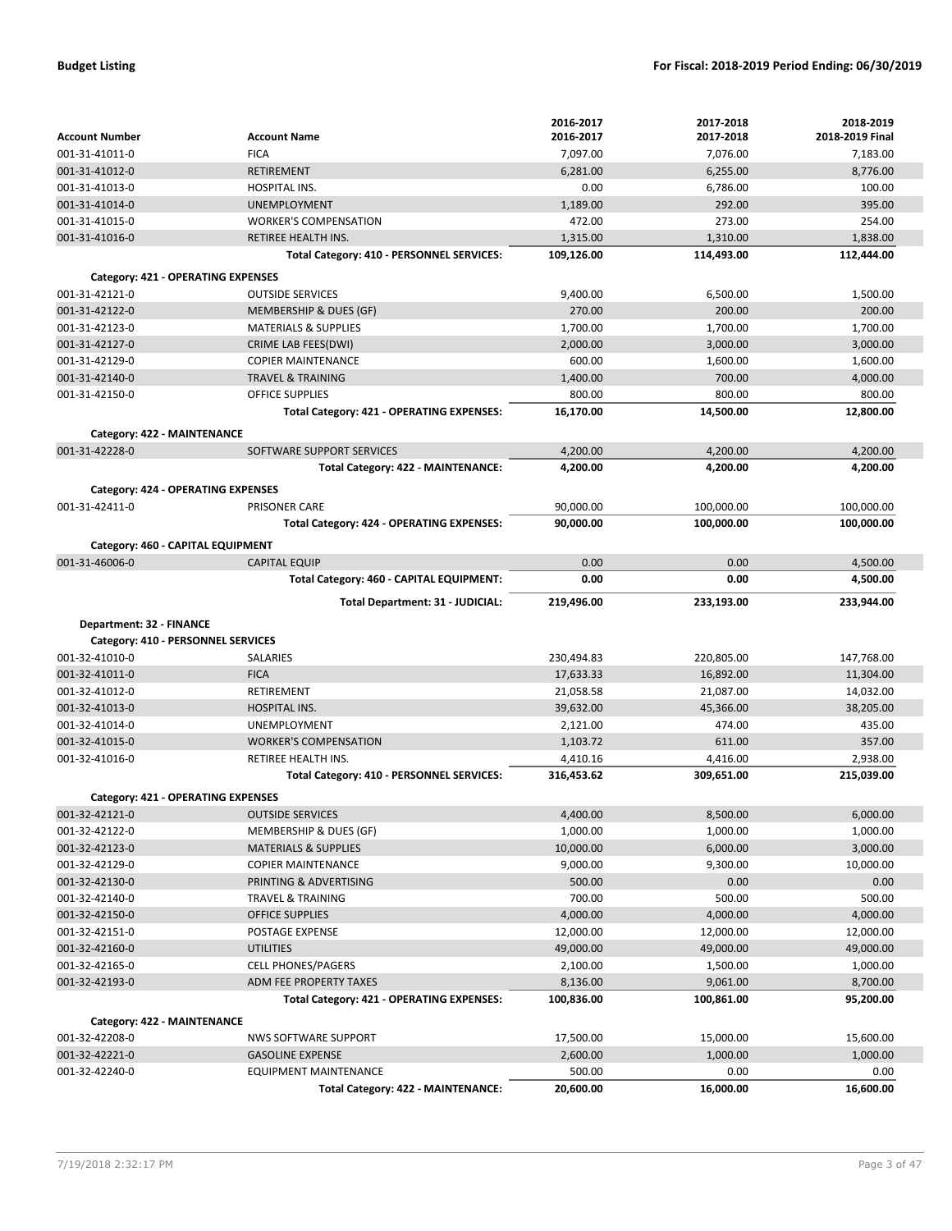|                                           |                                           | 2016-2017  | 2017-2018  | 2018-2019       |
|-------------------------------------------|-------------------------------------------|------------|------------|-----------------|
| <b>Account Number</b>                     | <b>Account Name</b>                       | 2016-2017  | 2017-2018  | 2018-2019 Final |
| 001-31-41011-0                            | <b>FICA</b>                               | 7,097.00   | 7,076.00   | 7,183.00        |
| 001-31-41012-0                            | <b>RETIREMENT</b>                         | 6,281.00   | 6,255.00   | 8,776.00        |
| 001-31-41013-0                            | HOSPITAL INS.                             | 0.00       | 6,786.00   | 100.00          |
| 001-31-41014-0                            | <b>UNEMPLOYMENT</b>                       | 1,189.00   | 292.00     | 395.00          |
| 001-31-41015-0                            | <b>WORKER'S COMPENSATION</b>              | 472.00     | 273.00     | 254.00          |
| 001-31-41016-0                            | RETIREE HEALTH INS.                       | 1,315.00   | 1,310.00   | 1,838.00        |
|                                           | Total Category: 410 - PERSONNEL SERVICES: | 109,126.00 | 114,493.00 | 112,444.00      |
| Category: 421 - OPERATING EXPENSES        |                                           |            |            |                 |
| 001-31-42121-0                            | <b>OUTSIDE SERVICES</b>                   | 9,400.00   | 6,500.00   | 1,500.00        |
| 001-31-42122-0                            | MEMBERSHIP & DUES (GF)                    | 270.00     | 200.00     | 200.00          |
| 001-31-42123-0                            | <b>MATERIALS &amp; SUPPLIES</b>           | 1,700.00   | 1,700.00   | 1,700.00        |
| 001-31-42127-0                            | CRIME LAB FEES(DWI)                       | 2,000.00   | 3,000.00   | 3,000.00        |
| 001-31-42129-0                            | <b>COPIER MAINTENANCE</b>                 | 600.00     | 1,600.00   | 1,600.00        |
| 001-31-42140-0                            | <b>TRAVEL &amp; TRAINING</b>              | 1,400.00   | 700.00     | 4,000.00        |
| 001-31-42150-0                            | <b>OFFICE SUPPLIES</b>                    | 800.00     | 800.00     | 800.00          |
|                                           | Total Category: 421 - OPERATING EXPENSES: | 16,170.00  | 14,500.00  | 12,800.00       |
| Category: 422 - MAINTENANCE               |                                           |            |            |                 |
| 001-31-42228-0                            | SOFTWARE SUPPORT SERVICES                 | 4,200.00   | 4,200.00   | 4,200.00        |
|                                           | Total Category: 422 - MAINTENANCE:        | 4,200.00   | 4,200.00   | 4,200.00        |
| Category: 424 - OPERATING EXPENSES        |                                           |            |            |                 |
| 001-31-42411-0                            | <b>PRISONER CARE</b>                      | 90,000.00  | 100,000.00 | 100,000.00      |
|                                           | Total Category: 424 - OPERATING EXPENSES: | 90,000.00  | 100,000.00 | 100,000.00      |
|                                           |                                           |            |            |                 |
| Category: 460 - CAPITAL EQUIPMENT         |                                           |            |            |                 |
| 001-31-46006-0                            | <b>CAPITAL EQUIP</b>                      | 0.00       | 0.00       | 4,500.00        |
|                                           | Total Category: 460 - CAPITAL EQUIPMENT:  | 0.00       | 0.00       | 4,500.00        |
|                                           | Total Department: 31 - JUDICIAL:          | 219,496.00 | 233,193.00 | 233,944.00      |
| Department: 32 - FINANCE                  |                                           |            |            |                 |
| Category: 410 - PERSONNEL SERVICES        |                                           |            |            |                 |
| 001-32-41010-0                            | <b>SALARIES</b>                           | 230,494.83 | 220,805.00 | 147,768.00      |
| 001-32-41011-0                            | <b>FICA</b>                               | 17,633.33  | 16,892.00  | 11,304.00       |
| 001-32-41012-0                            | RETIREMENT                                | 21,058.58  | 21,087.00  | 14,032.00       |
| 001-32-41013-0                            | <b>HOSPITAL INS.</b>                      | 39,632.00  | 45,366.00  | 38,205.00       |
| 001-32-41014-0                            | <b>UNEMPLOYMENT</b>                       | 2,121.00   | 474.00     | 435.00          |
| 001-32-41015-0                            | <b>WORKER'S COMPENSATION</b>              | 1,103.72   | 611.00     | 357.00          |
| 001-32-41016-0                            | RETIREE HEALTH INS.                       | 4,410.16   | 4,416.00   | 2,938.00        |
|                                           | Total Category: 410 - PERSONNEL SERVICES: | 316,453.62 | 309,651.00 | 215,039.00      |
| <b>Category: 421 - OPERATING EXPENSES</b> |                                           |            |            |                 |
| 001-32-42121-0                            | <b>OUTSIDE SERVICES</b>                   | 4,400.00   | 8,500.00   | 6,000.00        |
| 001-32-42122-0                            | MEMBERSHIP & DUES (GF)                    | 1,000.00   | 1,000.00   | 1,000.00        |
| 001-32-42123-0                            | <b>MATERIALS &amp; SUPPLIES</b>           | 10,000.00  | 6,000.00   | 3,000.00        |
| 001-32-42129-0                            | <b>COPIER MAINTENANCE</b>                 | 9,000.00   | 9,300.00   | 10,000.00       |
| 001-32-42130-0                            | PRINTING & ADVERTISING                    | 500.00     | 0.00       | 0.00            |
| 001-32-42140-0                            | <b>TRAVEL &amp; TRAINING</b>              | 700.00     | 500.00     | 500.00          |
| 001-32-42150-0                            | <b>OFFICE SUPPLIES</b>                    | 4,000.00   | 4,000.00   | 4,000.00        |
| 001-32-42151-0                            | POSTAGE EXPENSE                           | 12,000.00  | 12,000.00  | 12,000.00       |
| 001-32-42160-0                            | <b>UTILITIES</b>                          | 49,000.00  | 49,000.00  | 49,000.00       |
| 001-32-42165-0                            | <b>CELL PHONES/PAGERS</b>                 | 2,100.00   | 1,500.00   | 1,000.00        |
| 001-32-42193-0                            | ADM FEE PROPERTY TAXES                    | 8,136.00   | 9,061.00   | 8,700.00        |
|                                           | Total Category: 421 - OPERATING EXPENSES: | 100,836.00 | 100,861.00 | 95,200.00       |
| Category: 422 - MAINTENANCE               |                                           |            |            |                 |
| 001-32-42208-0                            | <b>NWS SOFTWARE SUPPORT</b>               | 17,500.00  | 15,000.00  | 15,600.00       |
| 001-32-42221-0                            | <b>GASOLINE EXPENSE</b>                   | 2,600.00   | 1,000.00   | 1,000.00        |
| 001-32-42240-0                            | EQUIPMENT MAINTENANCE                     | 500.00     | 0.00       | 0.00            |
|                                           | Total Category: 422 - MAINTENANCE:        | 20,600.00  | 16,000.00  | 16,600.00       |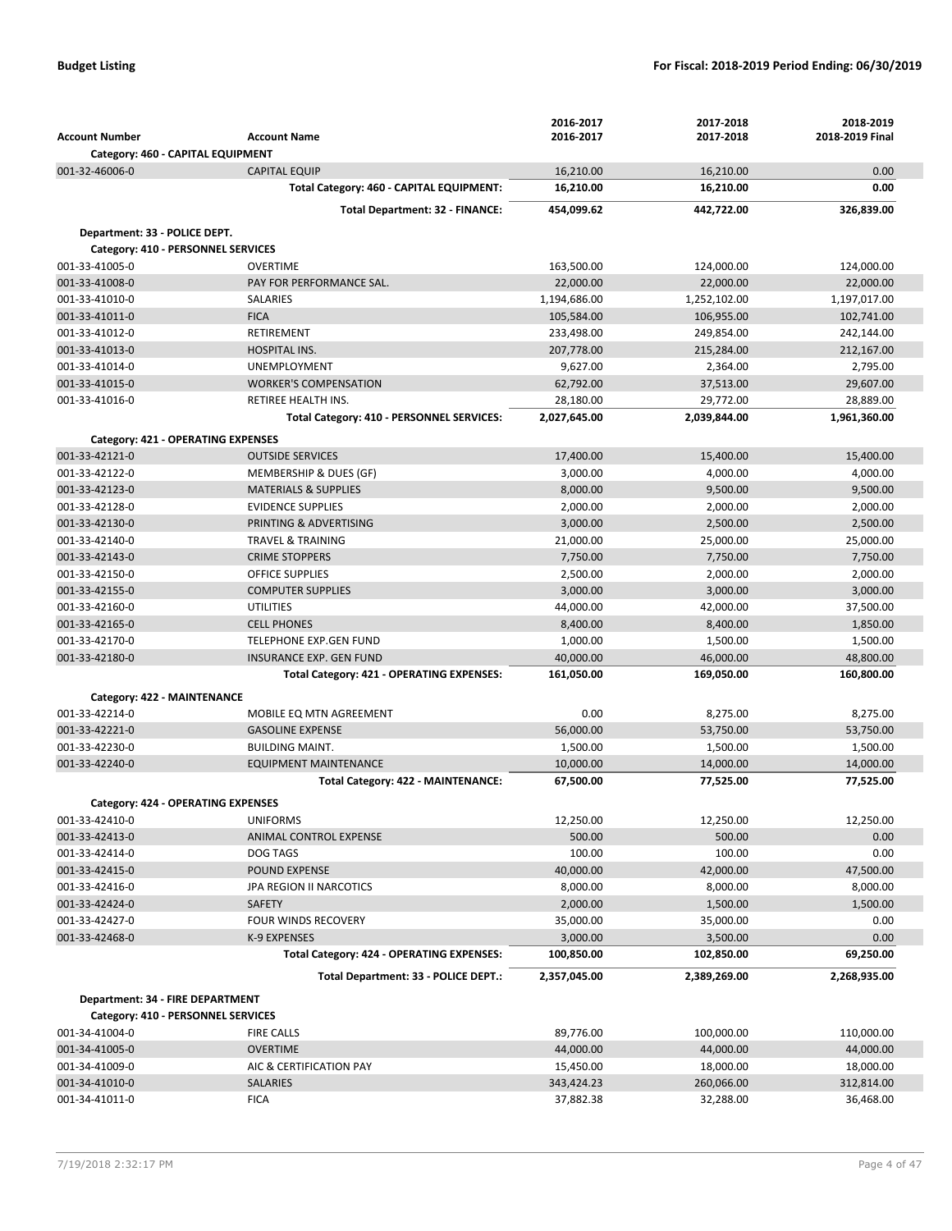|                                                      |                                           | 2016-2017    | 2017-2018    | 2018-2019       |
|------------------------------------------------------|-------------------------------------------|--------------|--------------|-----------------|
| <b>Account Number</b>                                | <b>Account Name</b>                       | 2016-2017    | 2017-2018    | 2018-2019 Final |
| Category: 460 - CAPITAL EQUIPMENT                    |                                           |              |              |                 |
| 001-32-46006-0                                       | <b>CAPITAL EQUIP</b>                      | 16,210.00    | 16,210.00    | 0.00            |
|                                                      | Total Category: 460 - CAPITAL EQUIPMENT:  | 16,210.00    | 16,210.00    | 0.00            |
|                                                      | <b>Total Department: 32 - FINANCE:</b>    | 454,099.62   | 442,722.00   | 326,839.00      |
| Department: 33 - POLICE DEPT.                        |                                           |              |              |                 |
| Category: 410 - PERSONNEL SERVICES                   |                                           |              |              |                 |
| 001-33-41005-0                                       | <b>OVERTIME</b>                           | 163,500.00   | 124,000.00   | 124,000.00      |
| 001-33-41008-0                                       | PAY FOR PERFORMANCE SAL.                  | 22,000.00    | 22,000.00    | 22,000.00       |
| 001-33-41010-0                                       | SALARIES                                  | 1,194,686.00 | 1,252,102.00 | 1,197,017.00    |
| 001-33-41011-0                                       | <b>FICA</b>                               | 105.584.00   | 106,955.00   | 102,741.00      |
| 001-33-41012-0                                       | RETIREMENT                                | 233,498.00   | 249,854.00   | 242,144.00      |
| 001-33-41013-0                                       | <b>HOSPITAL INS.</b>                      | 207,778.00   | 215,284.00   | 212,167.00      |
| 001-33-41014-0                                       | <b>UNEMPLOYMENT</b>                       | 9,627.00     | 2,364.00     | 2,795.00        |
| 001-33-41015-0                                       | <b>WORKER'S COMPENSATION</b>              | 62,792.00    | 37,513.00    | 29,607.00       |
| 001-33-41016-0                                       | RETIREE HEALTH INS.                       | 28,180.00    | 29,772.00    | 28,889.00       |
|                                                      | Total Category: 410 - PERSONNEL SERVICES: | 2,027,645.00 | 2,039,844.00 | 1,961,360.00    |
|                                                      |                                           |              |              |                 |
| Category: 421 - OPERATING EXPENSES                   |                                           |              |              |                 |
| 001-33-42121-0                                       | <b>OUTSIDE SERVICES</b>                   | 17,400.00    | 15,400.00    | 15,400.00       |
| 001-33-42122-0                                       | MEMBERSHIP & DUES (GF)                    | 3,000.00     | 4,000.00     | 4,000.00        |
| 001-33-42123-0                                       | <b>MATERIALS &amp; SUPPLIES</b>           | 8.000.00     | 9,500.00     | 9,500.00        |
| 001-33-42128-0                                       | <b>EVIDENCE SUPPLIES</b>                  | 2,000.00     | 2,000.00     | 2,000.00        |
| 001-33-42130-0                                       | PRINTING & ADVERTISING                    | 3,000.00     | 2,500.00     | 2,500.00        |
| 001-33-42140-0                                       | <b>TRAVEL &amp; TRAINING</b>              | 21,000.00    | 25,000.00    | 25,000.00       |
| 001-33-42143-0                                       | <b>CRIME STOPPERS</b>                     | 7,750.00     | 7,750.00     | 7,750.00        |
| 001-33-42150-0                                       | <b>OFFICE SUPPLIES</b>                    | 2,500.00     | 2,000.00     | 2,000.00        |
| 001-33-42155-0                                       | <b>COMPUTER SUPPLIES</b>                  | 3,000.00     | 3,000.00     | 3,000.00        |
| 001-33-42160-0                                       | <b>UTILITIES</b>                          | 44,000.00    | 42,000.00    | 37,500.00       |
| 001-33-42165-0                                       | <b>CELL PHONES</b>                        | 8,400.00     | 8,400.00     | 1,850.00        |
| 001-33-42170-0                                       | <b>TELEPHONE EXP.GEN FUND</b>             | 1,000.00     | 1,500.00     | 1,500.00        |
| 001-33-42180-0                                       | INSURANCE EXP. GEN FUND                   | 40,000.00    | 46,000.00    | 48,800.00       |
|                                                      | Total Category: 421 - OPERATING EXPENSES: | 161,050.00   | 169,050.00   | 160,800.00      |
| Category: 422 - MAINTENANCE                          |                                           |              |              |                 |
| 001-33-42214-0                                       | MOBILE EQ MTN AGREEMENT                   | 0.00         | 8,275.00     | 8,275.00        |
| 001-33-42221-0                                       | <b>GASOLINE EXPENSE</b>                   | 56,000.00    | 53,750.00    | 53,750.00       |
| 001-33-42230-0                                       | <b>BUILDING MAINT.</b>                    | 1,500.00     | 1,500.00     | 1,500.00        |
| 001-33-42240-0                                       | <b>EQUIPMENT MAINTENANCE</b>              | 10,000.00    | 14,000.00    | 14,000.00       |
|                                                      | Total Category: 422 - MAINTENANCE:        | 67,500.00    | 77,525.00    | 77,525.00       |
| Category: 424 - OPERATING EXPENSES                   |                                           |              |              |                 |
| 001-33-42410-0                                       | <b>UNIFORMS</b>                           | 12,250.00    | 12,250.00    | 12,250.00       |
| 001-33-42413-0                                       | ANIMAL CONTROL EXPENSE                    | 500.00       | 500.00       | 0.00            |
| 001-33-42414-0                                       | DOG TAGS                                  | 100.00       | 100.00       | 0.00            |
| 001-33-42415-0                                       | POUND EXPENSE                             | 40,000.00    | 42,000.00    | 47,500.00       |
| 001-33-42416-0                                       | JPA REGION II NARCOTICS                   | 8,000.00     | 8,000.00     | 8,000.00        |
| 001-33-42424-0                                       | <b>SAFETY</b>                             | 2,000.00     | 1,500.00     | 1,500.00        |
| 001-33-42427-0                                       | FOUR WINDS RECOVERY                       | 35,000.00    | 35,000.00    | 0.00            |
| 001-33-42468-0                                       | K-9 EXPENSES                              | 3,000.00     | 3,500.00     | 0.00            |
|                                                      | Total Category: 424 - OPERATING EXPENSES: | 100,850.00   | 102,850.00   | 69,250.00       |
|                                                      | Total Department: 33 - POLICE DEPT.:      | 2,357,045.00 | 2,389,269.00 | 2,268,935.00    |
|                                                      |                                           |              |              |                 |
| Department: 34 - FIRE DEPARTMENT                     |                                           |              |              |                 |
| Category: 410 - PERSONNEL SERVICES<br>001-34-41004-0 | <b>FIRE CALLS</b>                         | 89,776.00    | 100,000.00   | 110,000.00      |
| 001-34-41005-0                                       | <b>OVERTIME</b>                           | 44,000.00    | 44,000.00    | 44,000.00       |
| 001-34-41009-0                                       | AIC & CERTIFICATION PAY                   | 15,450.00    | 18,000.00    | 18,000.00       |
| 001-34-41010-0                                       | <b>SALARIES</b>                           | 343,424.23   | 260,066.00   | 312,814.00      |
| 001-34-41011-0                                       | <b>FICA</b>                               | 37,882.38    | 32,288.00    | 36,468.00       |
|                                                      |                                           |              |              |                 |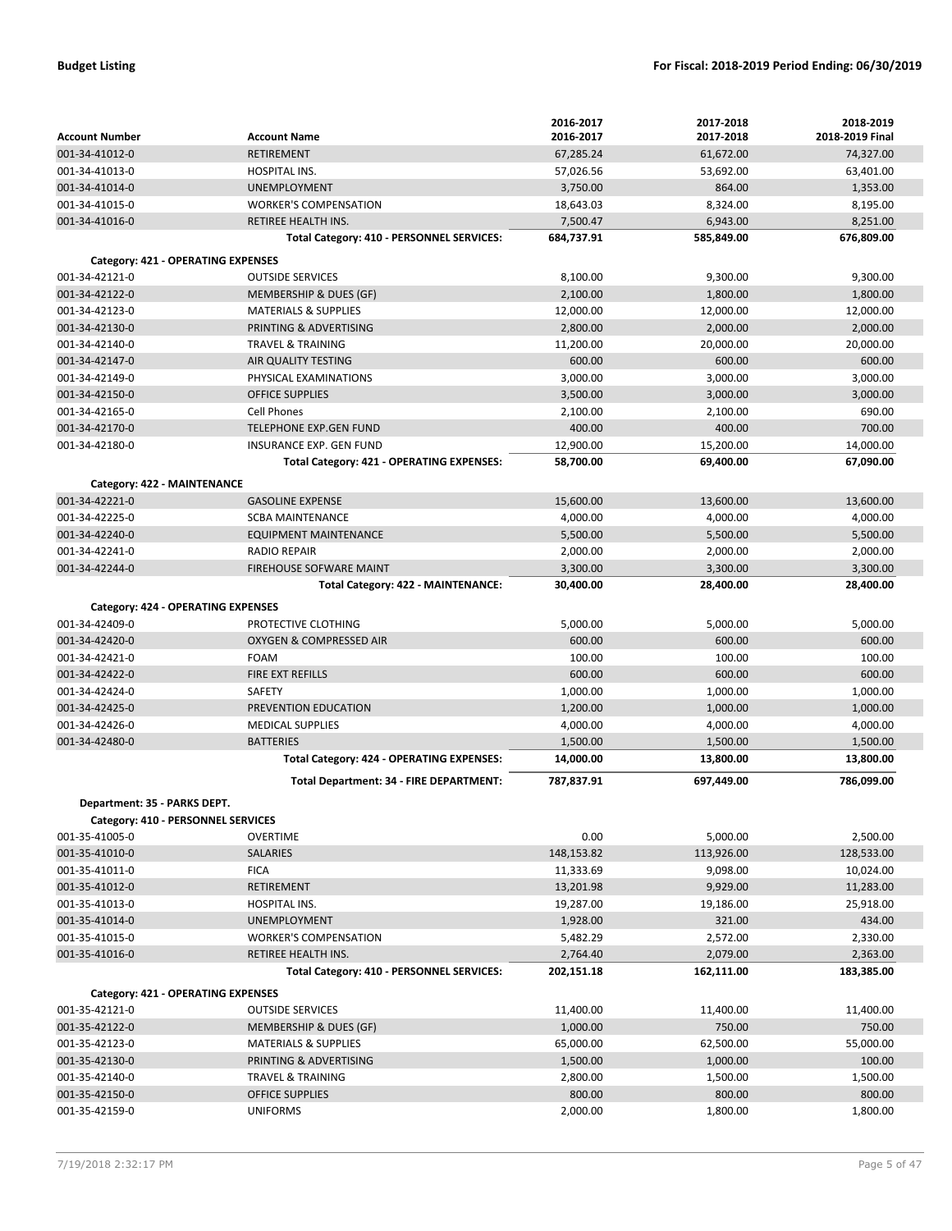|                                           |                                                 | 2016-2017             | 2017-2018             | 2018-2019             |
|-------------------------------------------|-------------------------------------------------|-----------------------|-----------------------|-----------------------|
| <b>Account Number</b>                     | <b>Account Name</b>                             | 2016-2017             | 2017-2018             | 2018-2019 Final       |
| 001-34-41012-0                            | <b>RETIREMENT</b>                               | 67,285.24             | 61,672.00             | 74,327.00             |
| 001-34-41013-0                            | HOSPITAL INS.                                   | 57,026.56             | 53,692.00             | 63,401.00             |
| 001-34-41014-0                            | <b>UNEMPLOYMENT</b>                             | 3,750.00              | 864.00                | 1,353.00              |
| 001-34-41015-0                            | <b>WORKER'S COMPENSATION</b>                    | 18,643.03             | 8,324.00              | 8,195.00              |
| 001-34-41016-0                            | <b>RETIREE HEALTH INS.</b>                      | 7,500.47              | 6,943.00              | 8,251.00              |
|                                           | Total Category: 410 - PERSONNEL SERVICES:       | 684,737.91            | 585,849.00            | 676,809.00            |
| <b>Category: 421 - OPERATING EXPENSES</b> |                                                 |                       |                       |                       |
| 001-34-42121-0                            | <b>OUTSIDE SERVICES</b>                         | 8,100.00              | 9,300.00              | 9,300.00              |
| 001-34-42122-0                            | MEMBERSHIP & DUES (GF)                          | 2,100.00              | 1,800.00              | 1,800.00              |
| 001-34-42123-0                            | <b>MATERIALS &amp; SUPPLIES</b>                 | 12,000.00             | 12,000.00             | 12,000.00             |
| 001-34-42130-0                            | PRINTING & ADVERTISING                          | 2,800.00              | 2,000.00              | 2,000.00              |
| 001-34-42140-0                            | <b>TRAVEL &amp; TRAINING</b>                    | 11,200.00             | 20,000.00             | 20,000.00             |
| 001-34-42147-0                            | AIR QUALITY TESTING                             | 600.00                | 600.00                | 600.00                |
| 001-34-42149-0                            | PHYSICAL EXAMINATIONS                           | 3,000.00              | 3,000.00              | 3,000.00              |
| 001-34-42150-0                            | <b>OFFICE SUPPLIES</b>                          | 3,500.00              | 3,000.00              | 3,000.00              |
| 001-34-42165-0                            | Cell Phones                                     | 2,100.00              | 2,100.00              | 690.00                |
| 001-34-42170-0                            | <b>TELEPHONE EXP.GEN FUND</b>                   | 400.00                | 400.00                | 700.00                |
| 001-34-42180-0                            | <b>INSURANCE EXP. GEN FUND</b>                  | 12,900.00             | 15,200.00             | 14,000.00             |
|                                           | Total Category: 421 - OPERATING EXPENSES:       | 58,700.00             | 69,400.00             | 67,090.00             |
| Category: 422 - MAINTENANCE               |                                                 |                       |                       |                       |
| 001-34-42221-0                            | <b>GASOLINE EXPENSE</b>                         | 15,600.00             | 13,600.00             | 13.600.00             |
| 001-34-42225-0                            | <b>SCBA MAINTENANCE</b>                         | 4,000.00              | 4,000.00              | 4,000.00              |
| 001-34-42240-0                            | <b>EQUIPMENT MAINTENANCE</b>                    | 5,500.00              | 5,500.00              | 5,500.00              |
| 001-34-42241-0                            | <b>RADIO REPAIR</b>                             | 2,000.00              | 2,000.00              | 2,000.00              |
| 001-34-42244-0                            | <b>FIREHOUSE SOFWARE MAINT</b>                  | 3,300.00              | 3,300.00              | 3,300.00              |
|                                           | Total Category: 422 - MAINTENANCE:              | 30,400.00             | 28,400.00             | 28,400.00             |
|                                           |                                                 |                       |                       |                       |
| Category: 424 - OPERATING EXPENSES        |                                                 |                       |                       |                       |
| 001-34-42409-0                            | PROTECTIVE CLOTHING                             | 5,000.00              | 5,000.00              | 5,000.00              |
| 001-34-42420-0                            | <b>OXYGEN &amp; COMPRESSED AIR</b>              | 600.00                | 600.00                | 600.00                |
| 001-34-42421-0                            | <b>FOAM</b>                                     | 100.00                | 100.00                | 100.00                |
| 001-34-42422-0                            | FIRE EXT REFILLS                                | 600.00                | 600.00                | 600.00                |
| 001-34-42424-0                            | SAFETY                                          | 1,000.00              | 1,000.00              | 1,000.00              |
| 001-34-42425-0<br>001-34-42426-0          | PREVENTION EDUCATION<br><b>MEDICAL SUPPLIES</b> | 1,200.00<br>4,000.00  | 1,000.00<br>4,000.00  | 1,000.00<br>4,000.00  |
| 001-34-42480-0                            | <b>BATTERIES</b>                                |                       |                       |                       |
|                                           | Total Category: 424 - OPERATING EXPENSES:       | 1,500.00<br>14,000.00 | 1,500.00<br>13,800.00 | 1,500.00<br>13,800.00 |
|                                           |                                                 |                       |                       |                       |
|                                           | Total Department: 34 - FIRE DEPARTMENT:         | 787,837.91            | 697,449.00            | 786,099.00            |
| Department: 35 - PARKS DEPT.              |                                                 |                       |                       |                       |
| Category: 410 - PERSONNEL SERVICES        |                                                 |                       |                       |                       |
| 001-35-41005-0                            | <b>OVERTIME</b>                                 | 0.00                  | 5,000.00              | 2,500.00              |
| 001-35-41010-0                            | SALARIES                                        | 148,153.82            | 113,926.00            | 128,533.00            |
| 001-35-41011-0                            | <b>FICA</b>                                     | 11,333.69             | 9,098.00              | 10,024.00             |
| 001-35-41012-0                            | RETIREMENT                                      | 13,201.98             | 9,929.00              | 11,283.00             |
| 001-35-41013-0                            | HOSPITAL INS.                                   | 19,287.00             | 19,186.00             | 25,918.00             |
| 001-35-41014-0                            | <b>UNEMPLOYMENT</b>                             | 1,928.00              | 321.00                | 434.00                |
| 001-35-41015-0                            | <b>WORKER'S COMPENSATION</b>                    | 5,482.29              | 2,572.00              | 2,330.00              |
| 001-35-41016-0                            | <b>RETIREE HEALTH INS.</b>                      | 2,764.40              | 2,079.00              | 2,363.00              |
|                                           | Total Category: 410 - PERSONNEL SERVICES:       | 202,151.18            | 162,111.00            | 183,385.00            |
| Category: 421 - OPERATING EXPENSES        |                                                 |                       |                       |                       |
| 001-35-42121-0                            | <b>OUTSIDE SERVICES</b>                         | 11,400.00             | 11,400.00             | 11,400.00             |
| 001-35-42122-0                            | MEMBERSHIP & DUES (GF)                          | 1,000.00              | 750.00                | 750.00                |
| 001-35-42123-0                            | <b>MATERIALS &amp; SUPPLIES</b>                 | 65,000.00             | 62,500.00             | 55,000.00             |
| 001-35-42130-0                            | PRINTING & ADVERTISING                          | 1,500.00              | 1,000.00              | 100.00                |
| 001-35-42140-0                            | TRAVEL & TRAINING                               | 2,800.00              | 1,500.00              | 1,500.00              |
| 001-35-42150-0                            | OFFICE SUPPLIES                                 | 800.00                | 800.00                | 800.00                |
| 001-35-42159-0                            | <b>UNIFORMS</b>                                 | 2,000.00              | 1,800.00              | 1,800.00              |
|                                           |                                                 |                       |                       |                       |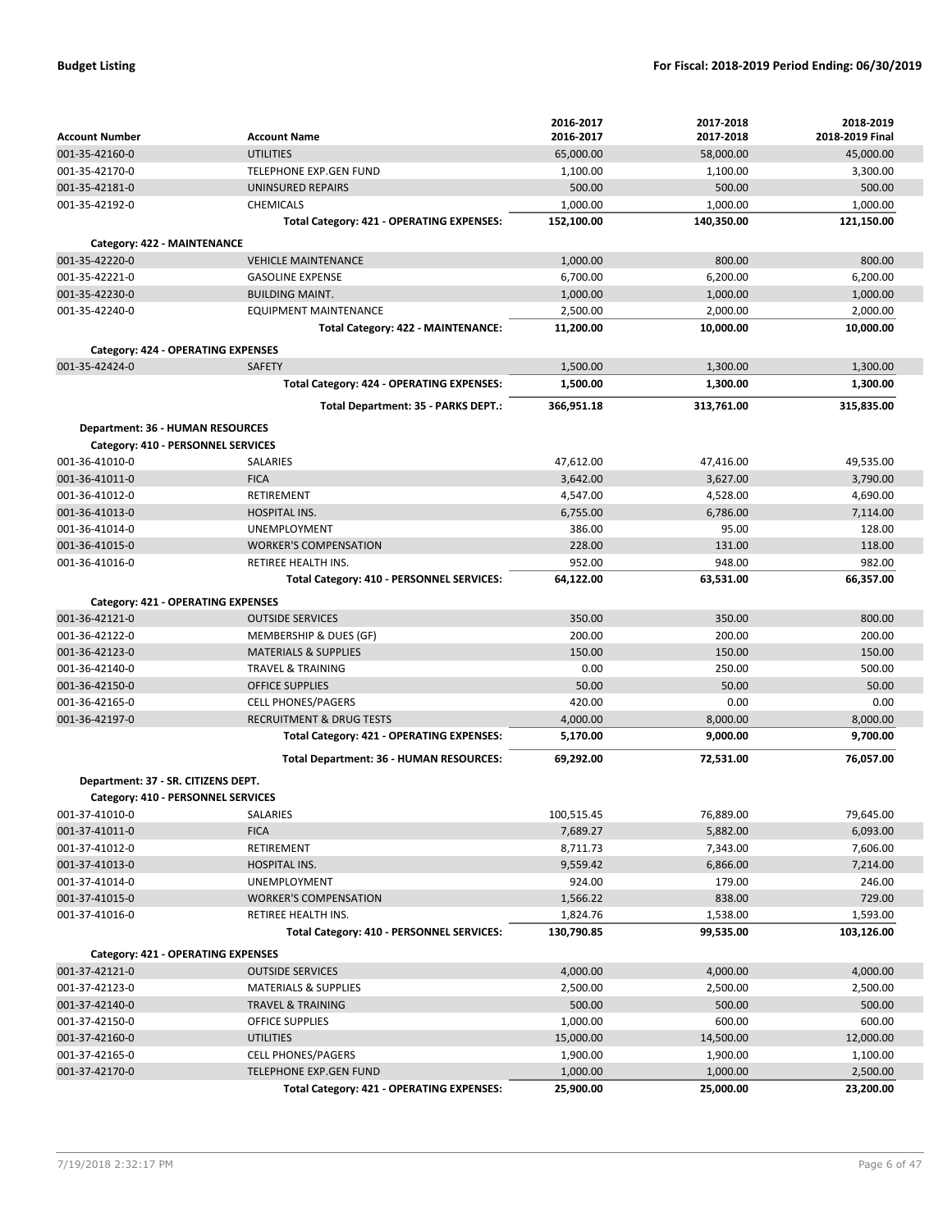|                                           |                                           | 2016-2017  | 2017-2018  | 2018-2019       |
|-------------------------------------------|-------------------------------------------|------------|------------|-----------------|
| <b>Account Number</b>                     | <b>Account Name</b>                       | 2016-2017  | 2017-2018  | 2018-2019 Final |
| 001-35-42160-0                            | <b>UTILITIES</b>                          | 65,000.00  | 58,000.00  | 45,000.00       |
| 001-35-42170-0                            | <b>TELEPHONE EXP.GEN FUND</b>             | 1,100.00   | 1,100.00   | 3,300.00        |
| 001-35-42181-0                            | UNINSURED REPAIRS                         | 500.00     | 500.00     | 500.00          |
| 001-35-42192-0                            | <b>CHEMICALS</b>                          | 1,000.00   | 1,000.00   | 1,000.00        |
|                                           | Total Category: 421 - OPERATING EXPENSES: | 152,100.00 | 140,350.00 | 121,150.00      |
| Category: 422 - MAINTENANCE               |                                           |            |            |                 |
| 001-35-42220-0                            | <b>VEHICLE MAINTENANCE</b>                | 1,000.00   | 800.00     | 800.00          |
| 001-35-42221-0                            | <b>GASOLINE EXPENSE</b>                   | 6,700.00   | 6,200.00   | 6,200.00        |
| 001-35-42230-0                            | <b>BUILDING MAINT.</b>                    | 1,000.00   | 1,000.00   | 1,000.00        |
| 001-35-42240-0                            | <b>EQUIPMENT MAINTENANCE</b>              | 2,500.00   | 2,000.00   | 2,000.00        |
|                                           | Total Category: 422 - MAINTENANCE:        | 11,200.00  | 10,000.00  | 10,000.00       |
| <b>Category: 424 - OPERATING EXPENSES</b> |                                           |            |            |                 |
| 001-35-42424-0                            | SAFETY                                    | 1,500.00   | 1,300.00   | 1,300.00        |
|                                           | Total Category: 424 - OPERATING EXPENSES: | 1,500.00   | 1,300.00   | 1,300.00        |
|                                           | Total Department: 35 - PARKS DEPT.:       | 366,951.18 | 313,761.00 | 315,835.00      |
| Department: 36 - HUMAN RESOURCES          |                                           |            |            |                 |
| Category: 410 - PERSONNEL SERVICES        |                                           |            |            |                 |
| 001-36-41010-0                            | <b>SALARIES</b>                           | 47,612.00  | 47,416.00  | 49,535.00       |
| 001-36-41011-0                            | <b>FICA</b>                               | 3,642.00   | 3,627.00   | 3,790.00        |
| 001-36-41012-0                            | <b>RETIREMENT</b>                         | 4,547.00   | 4,528.00   | 4,690.00        |
| 001-36-41013-0                            | <b>HOSPITAL INS.</b>                      | 6,755.00   | 6,786.00   | 7,114.00        |
| 001-36-41014-0                            | <b>UNEMPLOYMENT</b>                       | 386.00     | 95.00      | 128.00          |
| 001-36-41015-0                            | <b>WORKER'S COMPENSATION</b>              | 228.00     | 131.00     | 118.00          |
| 001-36-41016-0                            | RETIREE HEALTH INS.                       | 952.00     | 948.00     | 982.00          |
|                                           | Total Category: 410 - PERSONNEL SERVICES: | 64,122.00  | 63,531.00  | 66,357.00       |
| Category: 421 - OPERATING EXPENSES        |                                           |            |            |                 |
| 001-36-42121-0                            | <b>OUTSIDE SERVICES</b>                   | 350.00     | 350.00     | 800.00          |
| 001-36-42122-0                            | MEMBERSHIP & DUES (GF)                    | 200.00     | 200.00     | 200.00          |
| 001-36-42123-0                            | <b>MATERIALS &amp; SUPPLIES</b>           | 150.00     | 150.00     | 150.00          |
| 001-36-42140-0                            | TRAVEL & TRAINING                         | 0.00       | 250.00     | 500.00          |
| 001-36-42150-0                            | <b>OFFICE SUPPLIES</b>                    | 50.00      | 50.00      | 50.00           |
| 001-36-42165-0                            | <b>CELL PHONES/PAGERS</b>                 | 420.00     | 0.00       | 0.00            |
| 001-36-42197-0                            | <b>RECRUITMENT &amp; DRUG TESTS</b>       | 4,000.00   | 8,000.00   | 8,000.00        |
|                                           | Total Category: 421 - OPERATING EXPENSES: | 5,170.00   | 9,000.00   | 9,700.00        |
|                                           | Total Department: 36 - HUMAN RESOURCES:   | 69,292.00  | 72,531.00  | 76,057.00       |
|                                           |                                           |            |            |                 |
| Department: 37 - SR. CITIZENS DEPT.       |                                           |            |            |                 |
| Category: 410 - PERSONNEL SERVICES        |                                           |            |            |                 |
| 001-37-41010-0                            | SALARIES                                  | 100,515.45 | 76,889.00  | 79,645.00       |
| 001-37-41011-0                            | <b>FICA</b>                               | 7,689.27   | 5,882.00   | 6,093.00        |
| 001-37-41012-0                            | RETIREMENT                                | 8,711.73   | 7,343.00   | 7,606.00        |
| 001-37-41013-0                            | HOSPITAL INS.                             | 9,559.42   | 6,866.00   | 7,214.00        |
| 001-37-41014-0                            | UNEMPLOYMENT                              | 924.00     | 179.00     | 246.00          |
| 001-37-41015-0                            | <b>WORKER'S COMPENSATION</b>              | 1,566.22   | 838.00     | 729.00          |
| 001-37-41016-0                            | <b>RETIREE HEALTH INS.</b>                | 1,824.76   | 1,538.00   | 1,593.00        |
|                                           | Total Category: 410 - PERSONNEL SERVICES: | 130,790.85 | 99,535.00  | 103,126.00      |
| Category: 421 - OPERATING EXPENSES        |                                           |            |            |                 |
| 001-37-42121-0                            | <b>OUTSIDE SERVICES</b>                   | 4,000.00   | 4,000.00   | 4,000.00        |
| 001-37-42123-0                            | <b>MATERIALS &amp; SUPPLIES</b>           | 2,500.00   | 2,500.00   | 2,500.00        |
| 001-37-42140-0                            | <b>TRAVEL &amp; TRAINING</b>              | 500.00     | 500.00     | 500.00          |
| 001-37-42150-0                            | OFFICE SUPPLIES                           | 1,000.00   | 600.00     | 600.00          |
| 001-37-42160-0                            | <b>UTILITIES</b>                          | 15,000.00  | 14,500.00  | 12,000.00       |
| 001-37-42165-0                            | <b>CELL PHONES/PAGERS</b>                 | 1,900.00   | 1,900.00   | 1,100.00        |
| 001-37-42170-0                            | TELEPHONE EXP.GEN FUND                    | 1,000.00   | 1,000.00   | 2,500.00        |
|                                           | Total Category: 421 - OPERATING EXPENSES: | 25,900.00  | 25,000.00  | 23,200.00       |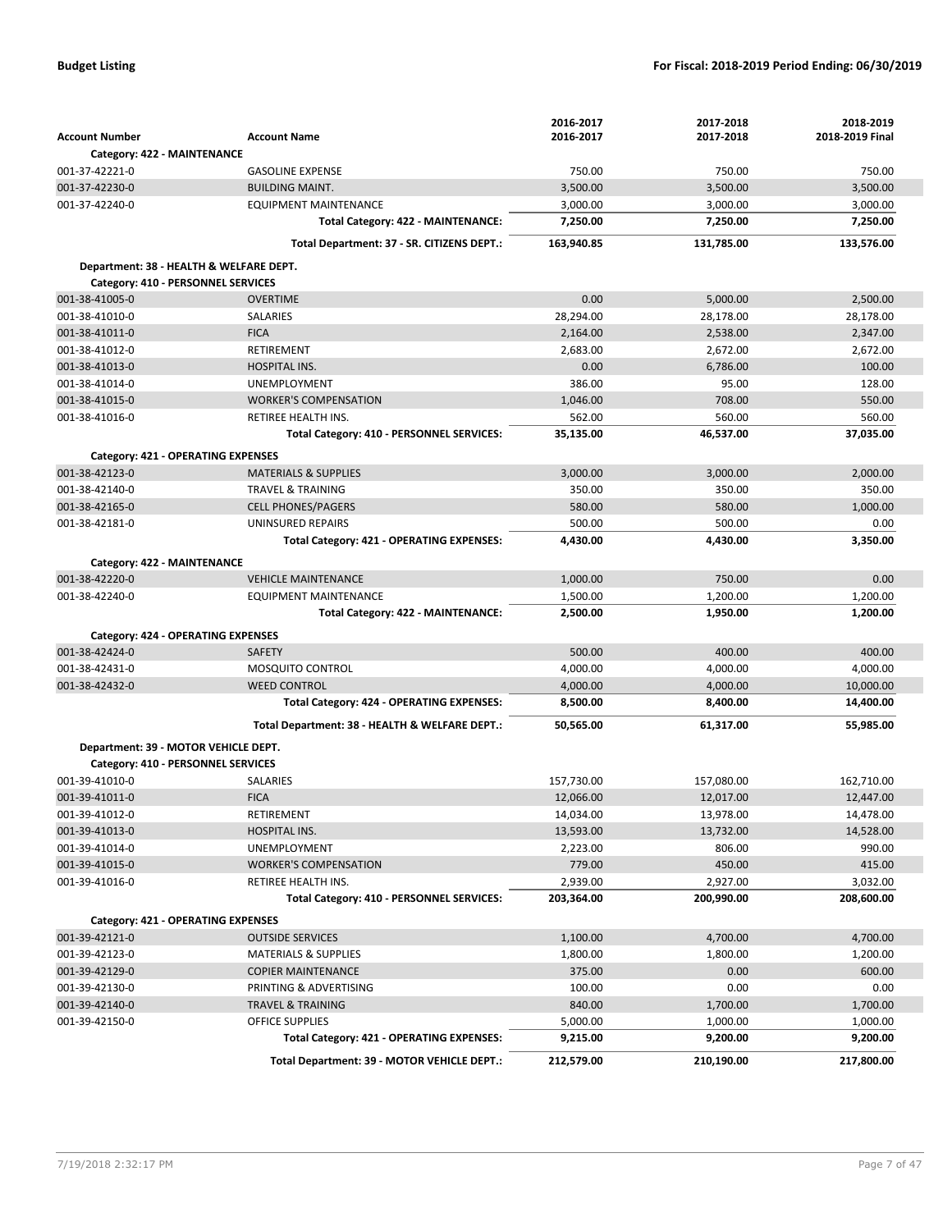|                                         |                                                | 2016-2017  | 2017-2018  | 2018-2019       |
|-----------------------------------------|------------------------------------------------|------------|------------|-----------------|
| <b>Account Number</b>                   | <b>Account Name</b>                            | 2016-2017  | 2017-2018  | 2018-2019 Final |
| Category: 422 - MAINTENANCE             |                                                |            |            |                 |
| 001-37-42221-0                          | <b>GASOLINE EXPENSE</b>                        | 750.00     | 750.00     | 750.00          |
| 001-37-42230-0                          | <b>BUILDING MAINT.</b>                         | 3,500.00   | 3,500.00   | 3,500.00        |
| 001-37-42240-0                          | <b>EQUIPMENT MAINTENANCE</b>                   | 3,000.00   | 3,000.00   | 3,000.00        |
|                                         | Total Category: 422 - MAINTENANCE:             | 7,250.00   | 7,250.00   | 7,250.00        |
|                                         | Total Department: 37 - SR. CITIZENS DEPT.:     | 163,940.85 | 131,785.00 | 133,576.00      |
| Department: 38 - HEALTH & WELFARE DEPT. |                                                |            |            |                 |
| Category: 410 - PERSONNEL SERVICES      |                                                |            |            |                 |
| 001-38-41005-0                          | <b>OVERTIME</b>                                | 0.00       | 5,000.00   | 2,500.00        |
| 001-38-41010-0                          | SALARIES                                       | 28,294.00  | 28,178.00  | 28,178.00       |
| 001-38-41011-0                          | <b>FICA</b>                                    | 2,164.00   | 2,538.00   | 2,347.00        |
| 001-38-41012-0                          | RETIREMENT                                     | 2,683.00   | 2,672.00   | 2,672.00        |
| 001-38-41013-0                          | <b>HOSPITAL INS.</b>                           | 0.00       | 6,786.00   | 100.00          |
| 001-38-41014-0                          | <b>UNEMPLOYMENT</b>                            | 386.00     | 95.00      | 128.00          |
| 001-38-41015-0                          | <b>WORKER'S COMPENSATION</b>                   | 1,046.00   | 708.00     | 550.00          |
| 001-38-41016-0                          | RETIREE HEALTH INS.                            | 562.00     | 560.00     | 560.00          |
|                                         | Total Category: 410 - PERSONNEL SERVICES:      | 35,135.00  | 46,537.00  | 37,035.00       |
| Category: 421 - OPERATING EXPENSES      |                                                |            |            |                 |
| 001-38-42123-0                          | <b>MATERIALS &amp; SUPPLIES</b>                | 3,000.00   | 3,000.00   | 2,000.00        |
| 001-38-42140-0                          | <b>TRAVEL &amp; TRAINING</b>                   | 350.00     | 350.00     | 350.00          |
| 001-38-42165-0                          | <b>CELL PHONES/PAGERS</b>                      | 580.00     | 580.00     | 1,000.00        |
| 001-38-42181-0                          | UNINSURED REPAIRS                              | 500.00     | 500.00     | 0.00            |
|                                         | Total Category: 421 - OPERATING EXPENSES:      | 4,430.00   | 4,430.00   | 3,350.00        |
| Category: 422 - MAINTENANCE             |                                                |            |            |                 |
| 001-38-42220-0                          | <b>VEHICLE MAINTENANCE</b>                     | 1,000.00   | 750.00     | 0.00            |
| 001-38-42240-0                          | <b>EQUIPMENT MAINTENANCE</b>                   | 1,500.00   | 1,200.00   | 1,200.00        |
|                                         | Total Category: 422 - MAINTENANCE:             | 2,500.00   | 1,950.00   | 1,200.00        |
| Category: 424 - OPERATING EXPENSES      |                                                |            |            |                 |
| 001-38-42424-0                          | <b>SAFETY</b>                                  | 500.00     | 400.00     | 400.00          |
| 001-38-42431-0                          | <b>MOSQUITO CONTROL</b>                        | 4,000.00   | 4,000.00   | 4,000.00        |
| 001-38-42432-0                          | <b>WEED CONTROL</b>                            | 4,000.00   | 4,000.00   | 10,000.00       |
|                                         | Total Category: 424 - OPERATING EXPENSES:      | 8,500.00   | 8,400.00   | 14,400.00       |
|                                         |                                                |            |            |                 |
|                                         | Total Department: 38 - HEALTH & WELFARE DEPT.: | 50,565.00  | 61,317.00  | 55,985.00       |
| Department: 39 - MOTOR VEHICLE DEPT.    |                                                |            |            |                 |
| Category: 410 - PERSONNEL SERVICES      |                                                |            |            |                 |
| 001-39-41010-0                          | SALARIES                                       | 157,730.00 | 157,080.00 | 162,710.00      |
| 001-39-41011-0                          | <b>FICA</b>                                    | 12,066.00  | 12,017.00  | 12,447.00       |
| 001-39-41012-0                          | RETIREMENT                                     | 14,034.00  | 13,978.00  | 14,478.00       |
| 001-39-41013-0                          | HOSPITAL INS.                                  | 13,593.00  | 13,732.00  | 14,528.00       |
| 001-39-41014-0                          | UNEMPLOYMENT                                   | 2,223.00   | 806.00     | 990.00          |
| 001-39-41015-0                          | <b>WORKER'S COMPENSATION</b>                   | 779.00     | 450.00     | 415.00          |
| 001-39-41016-0                          | <b>RETIREE HEALTH INS.</b>                     | 2,939.00   | 2,927.00   | 3,032.00        |
|                                         | Total Category: 410 - PERSONNEL SERVICES:      | 203,364.00 | 200,990.00 | 208,600.00      |
| Category: 421 - OPERATING EXPENSES      |                                                |            |            |                 |
| 001-39-42121-0                          | <b>OUTSIDE SERVICES</b>                        | 1,100.00   | 4,700.00   | 4,700.00        |
| 001-39-42123-0                          | <b>MATERIALS &amp; SUPPLIES</b>                | 1,800.00   | 1,800.00   | 1,200.00        |
| 001-39-42129-0                          | <b>COPIER MAINTENANCE</b>                      | 375.00     | 0.00       | 600.00          |
| 001-39-42130-0                          | PRINTING & ADVERTISING                         | 100.00     | 0.00       | 0.00            |
| 001-39-42140-0                          | <b>TRAVEL &amp; TRAINING</b>                   | 840.00     | 1,700.00   | 1,700.00        |
| 001-39-42150-0                          | <b>OFFICE SUPPLIES</b>                         | 5,000.00   | 1,000.00   | 1,000.00        |
|                                         | Total Category: 421 - OPERATING EXPENSES:      | 9,215.00   | 9,200.00   | 9,200.00        |
|                                         | Total Department: 39 - MOTOR VEHICLE DEPT.:    | 212,579.00 | 210,190.00 | 217,800.00      |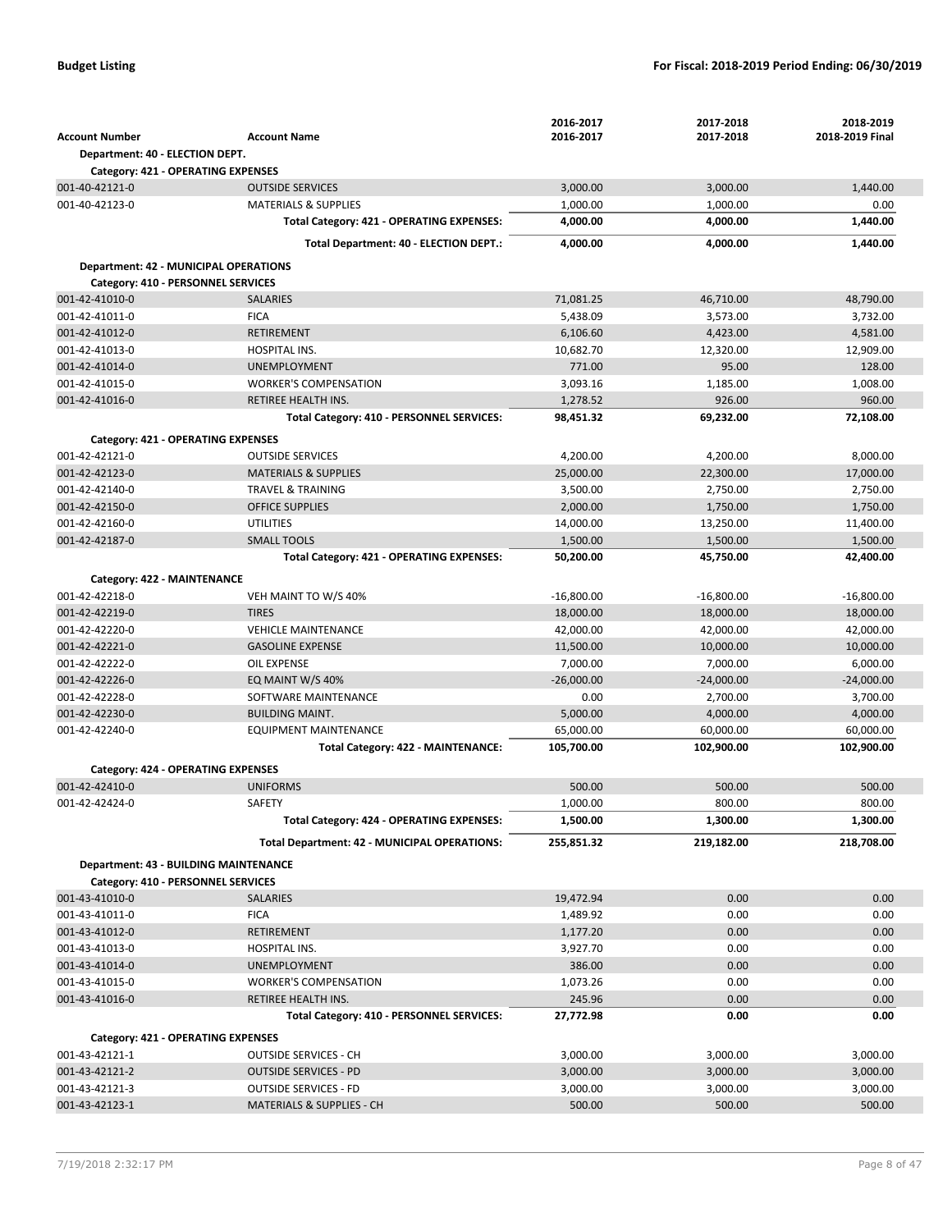|                                              |                                                                  | 2016-2017             | 2017-2018             | 2018-2019             |
|----------------------------------------------|------------------------------------------------------------------|-----------------------|-----------------------|-----------------------|
| <b>Account Number</b>                        | <b>Account Name</b>                                              | 2016-2017             | 2017-2018             | 2018-2019 Final       |
| Department: 40 - ELECTION DEPT.              |                                                                  |                       |                       |                       |
| Category: 421 - OPERATING EXPENSES           |                                                                  |                       |                       |                       |
| 001-40-42121-0                               | <b>OUTSIDE SERVICES</b>                                          | 3,000.00              | 3,000.00              | 1,440.00              |
| 001-40-42123-0                               | <b>MATERIALS &amp; SUPPLIES</b>                                  | 1,000.00              | 1,000.00              | 0.00                  |
|                                              | Total Category: 421 - OPERATING EXPENSES:                        | 4,000.00              | 4,000.00              | 1,440.00              |
|                                              | Total Department: 40 - ELECTION DEPT.:                           | 4,000.00              | 4,000.00              | 1,440.00              |
| <b>Department: 42 - MUNICIPAL OPERATIONS</b> |                                                                  |                       |                       |                       |
| Category: 410 - PERSONNEL SERVICES           |                                                                  |                       |                       |                       |
| 001-42-41010-0                               | <b>SALARIES</b>                                                  | 71,081.25             | 46,710.00             | 48,790.00             |
| 001-42-41011-0                               | <b>FICA</b>                                                      | 5,438.09              | 3,573.00              | 3,732.00              |
| 001-42-41012-0                               | RETIREMENT                                                       | 6,106.60              | 4,423.00              | 4,581.00              |
| 001-42-41013-0                               | <b>HOSPITAL INS.</b>                                             | 10,682.70             | 12,320.00             | 12,909.00             |
| 001-42-41014-0                               | <b>UNEMPLOYMENT</b>                                              | 771.00                | 95.00                 | 128.00                |
| 001-42-41015-0                               | <b>WORKER'S COMPENSATION</b>                                     | 3,093.16              | 1,185.00              | 1,008.00              |
| 001-42-41016-0                               | RETIREE HEALTH INS.<br>Total Category: 410 - PERSONNEL SERVICES: | 1,278.52<br>98,451.32 | 926.00                | 960.00                |
|                                              |                                                                  |                       | 69,232.00             | 72,108.00             |
| <b>Category: 421 - OPERATING EXPENSES</b>    |                                                                  |                       |                       |                       |
| 001-42-42121-0                               | <b>OUTSIDE SERVICES</b>                                          | 4,200.00              | 4,200.00              | 8,000.00              |
| 001-42-42123-0                               | <b>MATERIALS &amp; SUPPLIES</b>                                  | 25,000.00             | 22,300.00             | 17,000.00             |
| 001-42-42140-0                               | <b>TRAVEL &amp; TRAINING</b>                                     | 3,500.00              | 2,750.00              | 2,750.00              |
| 001-42-42150-0                               | <b>OFFICE SUPPLIES</b>                                           | 2,000.00              | 1,750.00              | 1,750.00              |
| 001-42-42160-0                               | <b>UTILITIES</b>                                                 | 14,000.00             | 13,250.00             | 11,400.00             |
| 001-42-42187-0                               | <b>SMALL TOOLS</b><br>Total Category: 421 - OPERATING EXPENSES:  | 1,500.00<br>50,200.00 | 1,500.00<br>45,750.00 | 1,500.00<br>42,400.00 |
|                                              |                                                                  |                       |                       |                       |
| Category: 422 - MAINTENANCE                  |                                                                  |                       |                       |                       |
| 001-42-42218-0                               | VEH MAINT TO W/S 40%                                             | $-16,800.00$          | $-16,800.00$          | $-16,800.00$          |
| 001-42-42219-0                               | <b>TIRES</b>                                                     | 18,000.00             | 18,000.00             | 18,000.00             |
| 001-42-42220-0<br>001-42-42221-0             | <b>VEHICLE MAINTENANCE</b><br><b>GASOLINE EXPENSE</b>            | 42,000.00             | 42,000.00             | 42,000.00             |
| 001-42-42222-0                               | <b>OIL EXPENSE</b>                                               | 11,500.00<br>7,000.00 | 10,000.00<br>7,000.00 | 10,000.00<br>6,000.00 |
| 001-42-42226-0                               | EQ MAINT W/S 40%                                                 | $-26,000.00$          | $-24,000.00$          | $-24,000.00$          |
| 001-42-42228-0                               | SOFTWARE MAINTENANCE                                             | 0.00                  | 2,700.00              | 3,700.00              |
| 001-42-42230-0                               | <b>BUILDING MAINT.</b>                                           | 5,000.00              | 4,000.00              | 4,000.00              |
| 001-42-42240-0                               | EQUIPMENT MAINTENANCE                                            | 65,000.00             | 60,000.00             | 60,000.00             |
|                                              | Total Category: 422 - MAINTENANCE:                               | 105,700.00            | 102,900.00            | 102,900.00            |
| Category: 424 - OPERATING EXPENSES           |                                                                  |                       |                       |                       |
| 001-42-42410-0                               | <b>UNIFORMS</b>                                                  | 500.00                | 500.00                | 500.00                |
| 001-42-42424-0                               | SAFETY                                                           | 1,000.00              | 800.00                | 800.00                |
|                                              | Total Category: 424 - OPERATING EXPENSES:                        | 1,500.00              | 1,300.00              | 1,300.00              |
|                                              |                                                                  |                       |                       |                       |
|                                              | Total Department: 42 - MUNICIPAL OPERATIONS:                     | 255,851.32            | 219,182.00            | 218,708.00            |
| <b>Department: 43 - BUILDING MAINTENANCE</b> |                                                                  |                       |                       |                       |
| Category: 410 - PERSONNEL SERVICES           |                                                                  |                       |                       |                       |
| 001-43-41010-0                               | <b>SALARIES</b>                                                  | 19,472.94             | 0.00                  | 0.00                  |
| 001-43-41011-0                               | <b>FICA</b>                                                      | 1,489.92              | 0.00                  | 0.00                  |
| 001-43-41012-0                               | RETIREMENT                                                       | 1,177.20              | 0.00                  | 0.00                  |
| 001-43-41013-0<br>001-43-41014-0             | HOSPITAL INS.                                                    | 3,927.70              | 0.00                  | 0.00                  |
| 001-43-41015-0                               | <b>UNEMPLOYMENT</b><br><b>WORKER'S COMPENSATION</b>              | 386.00<br>1,073.26    | 0.00<br>0.00          | 0.00<br>0.00          |
| 001-43-41016-0                               | RETIREE HEALTH INS.                                              | 245.96                | 0.00                  | 0.00                  |
|                                              | Total Category: 410 - PERSONNEL SERVICES:                        | 27,772.98             | 0.00                  | 0.00                  |
|                                              |                                                                  |                       |                       |                       |
| Category: 421 - OPERATING EXPENSES           |                                                                  |                       |                       |                       |
| 001-43-42121-1                               | <b>OUTSIDE SERVICES - CH</b>                                     | 3,000.00              | 3,000.00              | 3,000.00              |
| 001-43-42121-2                               | <b>OUTSIDE SERVICES - PD</b>                                     | 3,000.00<br>3,000.00  | 3,000.00              | 3,000.00              |
| 001-43-42121-3<br>001-43-42123-1             | <b>OUTSIDE SERVICES - FD</b><br>MATERIALS & SUPPLIES - CH        | 500.00                | 3,000.00<br>500.00    | 3,000.00<br>500.00    |
|                                              |                                                                  |                       |                       |                       |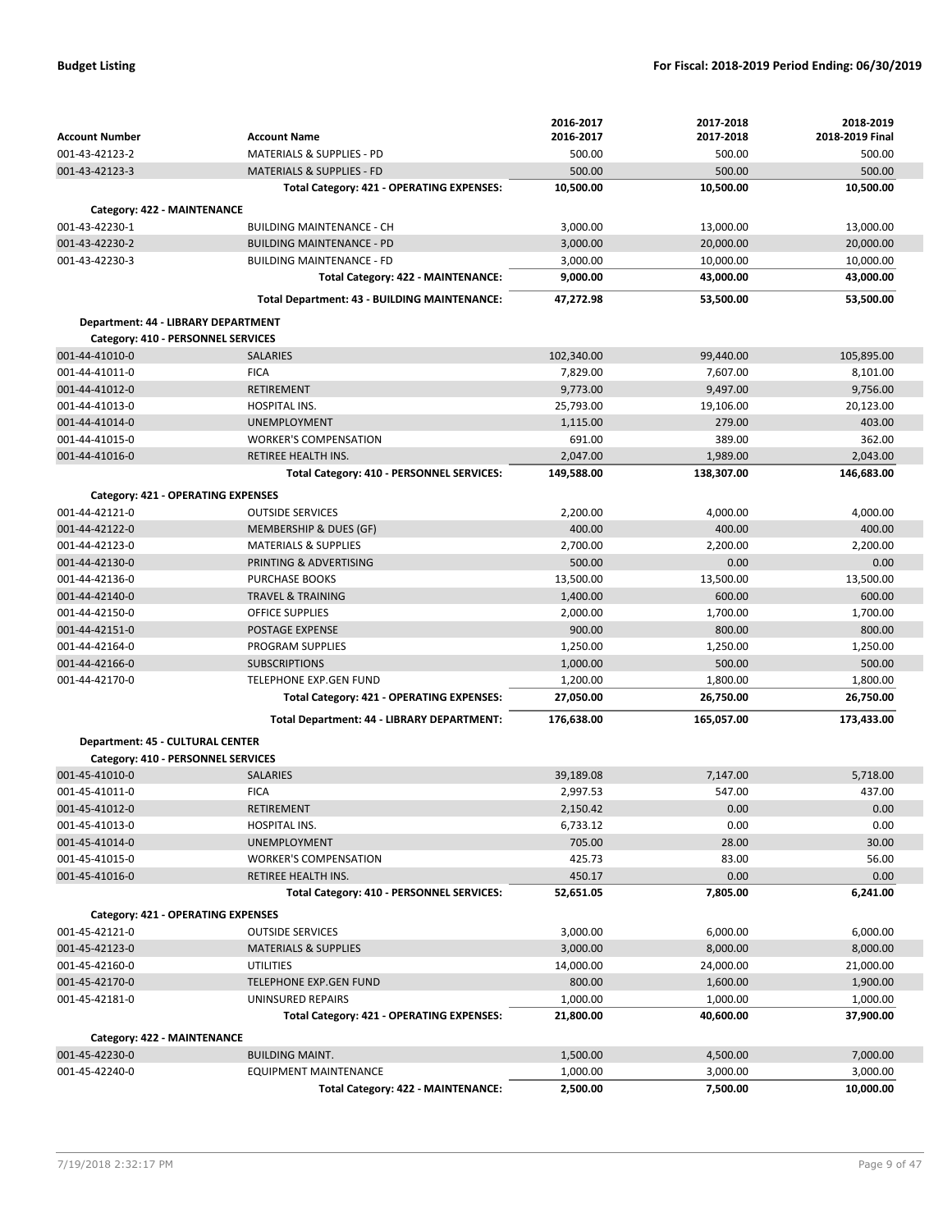|                                                      |                                                                     | 2016-2017             | 2017-2018             | 2018-2019             |
|------------------------------------------------------|---------------------------------------------------------------------|-----------------------|-----------------------|-----------------------|
| <b>Account Number</b>                                | <b>Account Name</b>                                                 | 2016-2017             | 2017-2018             | 2018-2019 Final       |
| 001-43-42123-2                                       | <b>MATERIALS &amp; SUPPLIES - PD</b>                                | 500.00                | 500.00                | 500.00                |
| 001-43-42123-3                                       | <b>MATERIALS &amp; SUPPLIES - FD</b>                                | 500.00                | 500.00                | 500.00                |
|                                                      | Total Category: 421 - OPERATING EXPENSES:                           | 10,500.00             | 10,500.00             | 10,500.00             |
| Category: 422 - MAINTENANCE                          |                                                                     |                       |                       |                       |
| 001-43-42230-1                                       | <b>BUILDING MAINTENANCE - CH</b>                                    | 3,000.00              | 13,000.00             | 13,000.00             |
| 001-43-42230-2                                       | <b>BUILDING MAINTENANCE - PD</b>                                    | 3,000.00              | 20,000.00             | 20,000.00             |
| 001-43-42230-3                                       | <b>BUILDING MAINTENANCE - FD</b>                                    | 3,000.00              | 10,000.00             | 10,000.00             |
|                                                      | Total Category: 422 - MAINTENANCE:                                  | 9,000.00              | 43,000.00             | 43,000.00             |
|                                                      | Total Department: 43 - BUILDING MAINTENANCE:                        | 47,272.98             | 53,500.00             | 53,500.00             |
| Department: 44 - LIBRARY DEPARTMENT                  |                                                                     |                       |                       |                       |
| Category: 410 - PERSONNEL SERVICES                   |                                                                     |                       |                       |                       |
| 001-44-41010-0                                       | <b>SALARIES</b>                                                     | 102,340.00            | 99,440.00             | 105,895.00            |
| 001-44-41011-0                                       | <b>FICA</b>                                                         | 7,829.00              | 7,607.00              | 8,101.00              |
| 001-44-41012-0                                       | <b>RETIREMENT</b>                                                   | 9,773.00              | 9,497.00              | 9,756.00              |
| 001-44-41013-0                                       | HOSPITAL INS.                                                       | 25,793.00             | 19,106.00             | 20,123.00             |
| 001-44-41014-0                                       | <b>UNEMPLOYMENT</b>                                                 | 1,115.00              | 279.00                | 403.00                |
| 001-44-41015-0                                       | <b>WORKER'S COMPENSATION</b>                                        | 691.00                | 389.00                | 362.00                |
| 001-44-41016-0                                       | RETIREE HEALTH INS.                                                 | 2,047.00              | 1,989.00              | 2,043.00              |
|                                                      | Total Category: 410 - PERSONNEL SERVICES:                           | 149,588.00            | 138,307.00            | 146,683.00            |
| Category: 421 - OPERATING EXPENSES                   |                                                                     |                       |                       |                       |
| 001-44-42121-0                                       | <b>OUTSIDE SERVICES</b>                                             | 2,200.00              | 4,000.00              | 4,000.00              |
| 001-44-42122-0                                       | MEMBERSHIP & DUES (GF)                                              | 400.00                | 400.00                | 400.00                |
| 001-44-42123-0                                       | <b>MATERIALS &amp; SUPPLIES</b>                                     | 2,700.00              | 2,200.00              | 2,200.00              |
| 001-44-42130-0                                       | PRINTING & ADVERTISING                                              | 500.00                | 0.00                  | 0.00                  |
| 001-44-42136-0                                       | PURCHASE BOOKS                                                      | 13,500.00             | 13,500.00             | 13,500.00             |
| 001-44-42140-0                                       |                                                                     |                       | 600.00                |                       |
|                                                      | <b>TRAVEL &amp; TRAINING</b>                                        | 1,400.00              |                       | 600.00                |
| 001-44-42150-0                                       | <b>OFFICE SUPPLIES</b>                                              | 2,000.00              | 1,700.00              | 1,700.00              |
| 001-44-42151-0                                       | POSTAGE EXPENSE                                                     | 900.00                | 800.00                | 800.00                |
| 001-44-42164-0                                       | <b>PROGRAM SUPPLIES</b>                                             | 1,250.00              | 1,250.00              | 1,250.00              |
| 001-44-42166-0                                       | <b>SUBSCRIPTIONS</b>                                                | 1,000.00              | 500.00                | 500.00                |
| 001-44-42170-0                                       | TELEPHONE EXP.GEN FUND<br>Total Category: 421 - OPERATING EXPENSES: | 1,200.00<br>27,050.00 | 1,800.00<br>26,750.00 | 1,800.00<br>26,750.00 |
|                                                      |                                                                     |                       |                       |                       |
|                                                      | Total Department: 44 - LIBRARY DEPARTMENT:                          | 176,638.00            | 165,057.00            | 173,433.00            |
| Department: 45 - CULTURAL CENTER                     |                                                                     |                       |                       |                       |
| Category: 410 - PERSONNEL SERVICES<br>001-45-41010-0 | <b>SALARIES</b>                                                     | 39,189.08             | 7,147.00              | 5,718.00              |
| 001-45-41011-0                                       | <b>FICA</b>                                                         | 2,997.53              | 547.00                | 437.00                |
| 001-45-41012-0                                       | RETIREMENT                                                          | 2,150.42              | 0.00                  | 0.00                  |
| 001-45-41013-0                                       | HOSPITAL INS.                                                       | 6,733.12              | 0.00                  | 0.00                  |
| 001-45-41014-0                                       | <b>UNEMPLOYMENT</b>                                                 | 705.00                | 28.00                 | 30.00                 |
| 001-45-41015-0                                       | <b>WORKER'S COMPENSATION</b>                                        | 425.73                | 83.00                 | 56.00                 |
| 001-45-41016-0                                       | RETIREE HEALTH INS.                                                 | 450.17                | 0.00                  | 0.00                  |
|                                                      | Total Category: 410 - PERSONNEL SERVICES:                           | 52,651.05             | 7,805.00              | 6,241.00              |
| Category: 421 - OPERATING EXPENSES                   |                                                                     |                       |                       |                       |
| 001-45-42121-0                                       | <b>OUTSIDE SERVICES</b>                                             | 3,000.00              | 6,000.00              | 6,000.00              |
| 001-45-42123-0                                       | <b>MATERIALS &amp; SUPPLIES</b>                                     | 3,000.00              | 8,000.00              | 8,000.00              |
| 001-45-42160-0                                       | <b>UTILITIES</b>                                                    | 14,000.00             | 24,000.00             | 21,000.00             |
| 001-45-42170-0                                       | <b>TELEPHONE EXP.GEN FUND</b>                                       | 800.00                | 1,600.00              | 1,900.00              |
| 001-45-42181-0                                       | UNINSURED REPAIRS                                                   | 1,000.00              | 1,000.00              | 1,000.00              |
|                                                      | Total Category: 421 - OPERATING EXPENSES:                           | 21,800.00             | 40,600.00             | 37,900.00             |
| Category: 422 - MAINTENANCE                          |                                                                     |                       |                       |                       |
| 001-45-42230-0                                       | <b>BUILDING MAINT.</b>                                              | 1,500.00              | 4,500.00              | 7,000.00              |
| 001-45-42240-0                                       | <b>EQUIPMENT MAINTENANCE</b>                                        | 1,000.00              | 3,000.00              | 3,000.00              |
|                                                      | Total Category: 422 - MAINTENANCE:                                  | 2,500.00              | 7,500.00              | 10,000.00             |
|                                                      |                                                                     |                       |                       |                       |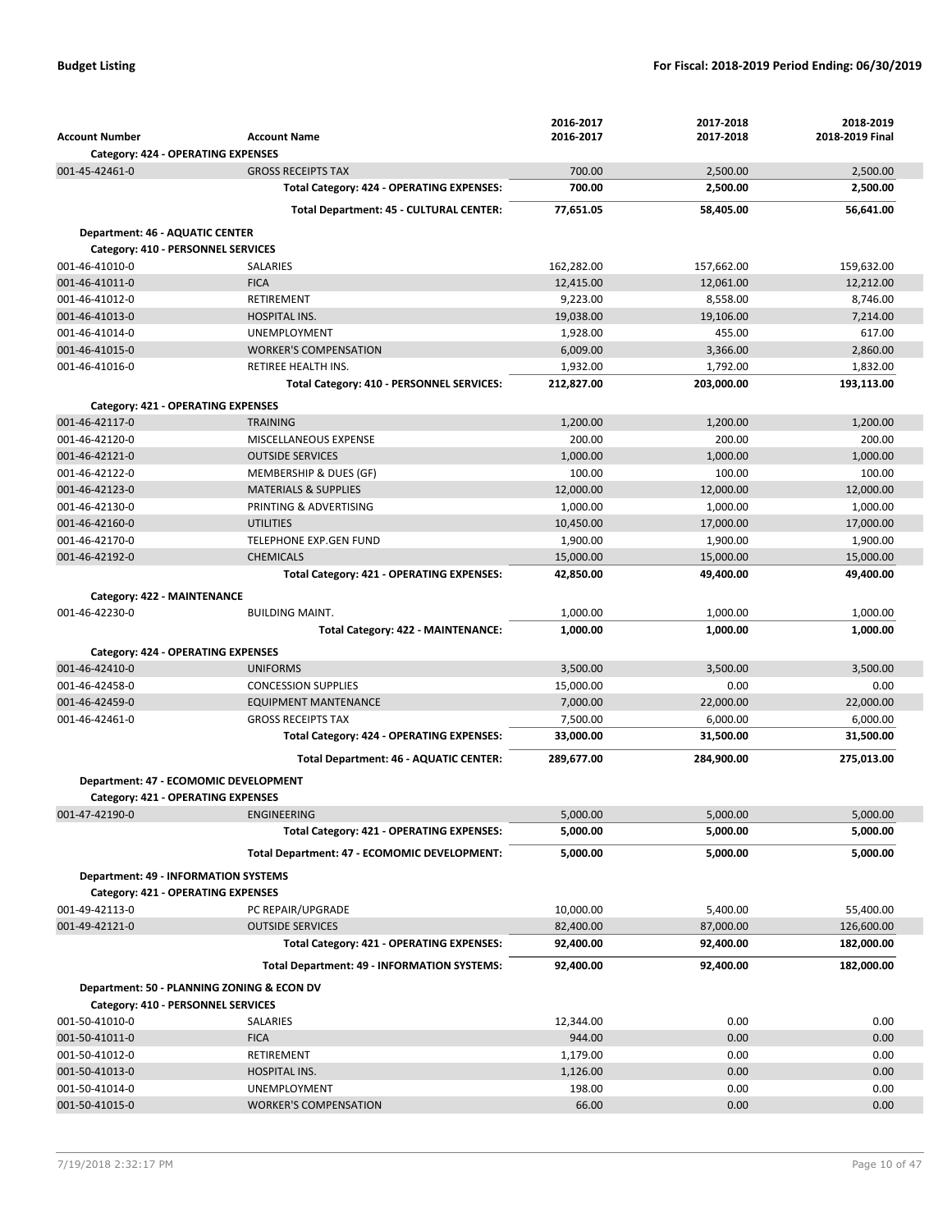|                                              |                                              | 2016-2017  | 2017-2018  | 2018-2019       |
|----------------------------------------------|----------------------------------------------|------------|------------|-----------------|
| <b>Account Number</b>                        | <b>Account Name</b>                          | 2016-2017  | 2017-2018  | 2018-2019 Final |
| Category: 424 - OPERATING EXPENSES           |                                              |            |            |                 |
| 001-45-42461-0                               | <b>GROSS RECEIPTS TAX</b>                    | 700.00     | 2,500.00   | 2,500.00        |
|                                              | Total Category: 424 - OPERATING EXPENSES:    | 700.00     | 2,500.00   | 2,500.00        |
|                                              | Total Department: 45 - CULTURAL CENTER:      | 77,651.05  | 58,405.00  | 56,641.00       |
| Department: 46 - AQUATIC CENTER              |                                              |            |            |                 |
| Category: 410 - PERSONNEL SERVICES           |                                              |            |            |                 |
| 001-46-41010-0                               | SALARIES                                     | 162,282.00 | 157,662.00 | 159,632.00      |
| 001-46-41011-0                               | <b>FICA</b>                                  | 12,415.00  | 12,061.00  | 12,212.00       |
| 001-46-41012-0                               | RETIREMENT                                   | 9,223.00   | 8,558.00   | 8,746.00        |
| 001-46-41013-0                               | <b>HOSPITAL INS.</b>                         | 19,038.00  | 19,106.00  | 7,214.00        |
| 001-46-41014-0                               | <b>UNEMPLOYMENT</b>                          | 1,928.00   | 455.00     | 617.00          |
| 001-46-41015-0                               | <b>WORKER'S COMPENSATION</b>                 | 6,009.00   | 3,366.00   | 2,860.00        |
| 001-46-41016-0                               | RETIREE HEALTH INS.                          | 1,932.00   | 1,792.00   | 1,832.00        |
|                                              |                                              | 212,827.00 | 203,000.00 | 193,113.00      |
|                                              | Total Category: 410 - PERSONNEL SERVICES:    |            |            |                 |
| Category: 421 - OPERATING EXPENSES           |                                              |            |            |                 |
| 001-46-42117-0                               | <b>TRAINING</b>                              | 1,200.00   | 1,200.00   | 1,200.00        |
| 001-46-42120-0                               | MISCELLANEOUS EXPENSE                        | 200.00     | 200.00     | 200.00          |
| 001-46-42121-0                               | <b>OUTSIDE SERVICES</b>                      | 1,000.00   | 1,000.00   | 1,000.00        |
| 001-46-42122-0                               | MEMBERSHIP & DUES (GF)                       | 100.00     | 100.00     | 100.00          |
| 001-46-42123-0                               | <b>MATERIALS &amp; SUPPLIES</b>              | 12.000.00  | 12,000.00  | 12,000.00       |
| 001-46-42130-0                               | PRINTING & ADVERTISING                       | 1,000.00   | 1,000.00   | 1,000.00        |
| 001-46-42160-0                               | UTILITIES                                    | 10,450.00  | 17,000.00  | 17,000.00       |
| 001-46-42170-0                               | TELEPHONE EXP.GEN FUND                       | 1,900.00   | 1,900.00   | 1,900.00        |
| 001-46-42192-0                               | <b>CHEMICALS</b>                             | 15,000.00  | 15,000.00  | 15,000.00       |
|                                              | Total Category: 421 - OPERATING EXPENSES:    | 42,850.00  | 49,400.00  | 49,400.00       |
| Category: 422 - MAINTENANCE                  |                                              |            |            |                 |
| 001-46-42230-0                               | <b>BUILDING MAINT.</b>                       | 1,000.00   | 1,000.00   | 1,000.00        |
|                                              | Total Category: 422 - MAINTENANCE:           | 1,000.00   | 1,000.00   | 1,000.00        |
|                                              |                                              |            |            |                 |
| Category: 424 - OPERATING EXPENSES           |                                              |            |            |                 |
| 001-46-42410-0                               | <b>UNIFORMS</b>                              | 3,500.00   | 3,500.00   | 3,500.00        |
| 001-46-42458-0                               | <b>CONCESSION SUPPLIES</b>                   | 15,000.00  | 0.00       | 0.00            |
| 001-46-42459-0                               | <b>EQUIPMENT MANTENANCE</b>                  | 7,000.00   | 22,000.00  | 22,000.00       |
| 001-46-42461-0                               | <b>GROSS RECEIPTS TAX</b>                    | 7,500.00   | 6,000.00   | 6,000.00        |
|                                              | Total Category: 424 - OPERATING EXPENSES:    | 33,000.00  | 31,500.00  | 31,500.00       |
|                                              | Total Department: 46 - AQUATIC CENTER:       | 289,677.00 | 284,900.00 | 275,013.00      |
| <b>Department: 47 - ECOMOMIC DEVELOPMENT</b> |                                              |            |            |                 |
| Category: 421 - OPERATING EXPENSES           |                                              |            |            |                 |
| 001-47-42190-0                               | ENGINEERING                                  | 5,000.00   | 5,000.00   | 5,000.00        |
|                                              | Total Category: 421 - OPERATING EXPENSES:    | 5,000.00   | 5,000.00   | 5,000.00        |
|                                              | Total Department: 47 - ECOMOMIC DEVELOPMENT: | 5,000.00   | 5,000.00   | 5,000.00        |
|                                              |                                              |            |            |                 |
| <b>Department: 49 - INFORMATION SYSTEMS</b>  |                                              |            |            |                 |
| Category: 421 - OPERATING EXPENSES           |                                              |            |            |                 |
| 001-49-42113-0                               | PC REPAIR/UPGRADE                            | 10,000.00  | 5,400.00   | 55,400.00       |
| 001-49-42121-0                               | <b>OUTSIDE SERVICES</b>                      | 82,400.00  | 87,000.00  | 126,600.00      |
|                                              | Total Category: 421 - OPERATING EXPENSES:    | 92,400.00  | 92,400.00  | 182,000.00      |
|                                              | Total Department: 49 - INFORMATION SYSTEMS:  | 92,400.00  | 92,400.00  | 182,000.00      |
| Department: 50 - PLANNING ZONING & ECON DV   |                                              |            |            |                 |
| Category: 410 - PERSONNEL SERVICES           |                                              |            |            |                 |
| 001-50-41010-0                               | SALARIES                                     | 12,344.00  | 0.00       | 0.00            |
| 001-50-41011-0                               | <b>FICA</b>                                  | 944.00     | 0.00       | 0.00            |
| 001-50-41012-0                               | RETIREMENT                                   | 1,179.00   | 0.00       | 0.00            |
| 001-50-41013-0                               | HOSPITAL INS.                                | 1,126.00   | 0.00       | 0.00            |
| 001-50-41014-0                               | <b>UNEMPLOYMENT</b>                          | 198.00     | 0.00       | 0.00            |
| 001-50-41015-0                               | <b>WORKER'S COMPENSATION</b>                 | 66.00      | 0.00       | 0.00            |
|                                              |                                              |            |            |                 |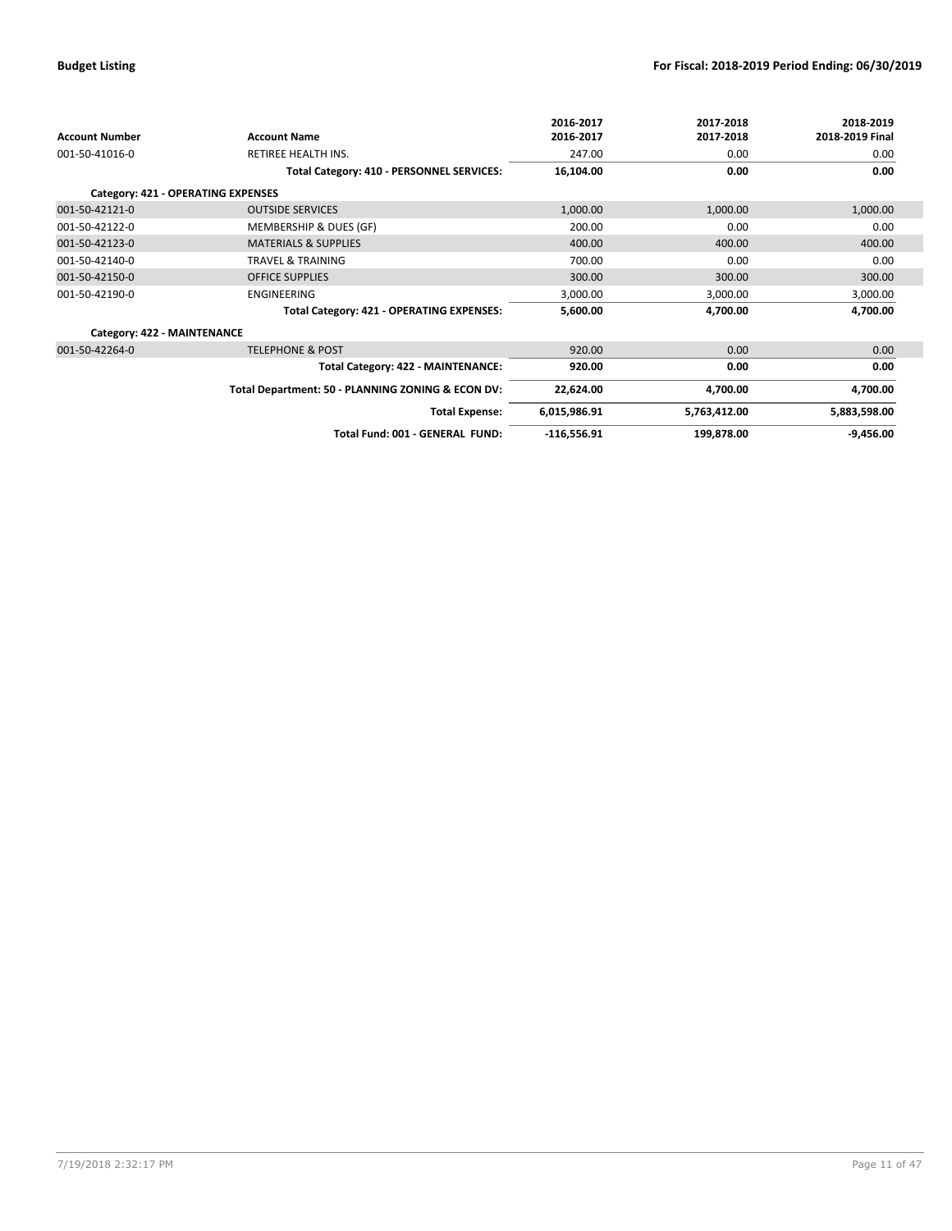|                                    |                                                   | 2016-2017     | 2017-2018    | 2018-2019       |
|------------------------------------|---------------------------------------------------|---------------|--------------|-----------------|
| <b>Account Number</b>              | <b>Account Name</b>                               | 2016-2017     | 2017-2018    | 2018-2019 Final |
| 001-50-41016-0                     | RETIREE HEALTH INS.                               | 247.00        | 0.00         | 0.00            |
|                                    | Total Category: 410 - PERSONNEL SERVICES:         | 16,104.00     | 0.00         | 0.00            |
| Category: 421 - OPERATING EXPENSES |                                                   |               |              |                 |
| 001-50-42121-0                     | <b>OUTSIDE SERVICES</b>                           | 1,000.00      | 1,000.00     | 1,000.00        |
| 001-50-42122-0                     | MEMBERSHIP & DUES (GF)                            | 200.00        | 0.00         | 0.00            |
| 001-50-42123-0                     | <b>MATERIALS &amp; SUPPLIES</b>                   | 400.00        | 400.00       | 400.00          |
| 001-50-42140-0                     | <b>TRAVEL &amp; TRAINING</b>                      | 700.00        | 0.00         | 0.00            |
| 001-50-42150-0                     | <b>OFFICE SUPPLIES</b>                            | 300.00        | 300.00       | 300.00          |
| 001-50-42190-0                     | <b>ENGINEERING</b>                                | 3,000.00      | 3,000.00     | 3,000.00        |
|                                    | Total Category: 421 - OPERATING EXPENSES:         | 5,600.00      | 4,700.00     | 4,700.00        |
| Category: 422 - MAINTENANCE        |                                                   |               |              |                 |
| 001-50-42264-0                     | <b>TELEPHONE &amp; POST</b>                       | 920.00        | 0.00         | 0.00            |
|                                    | Total Category: 422 - MAINTENANCE:                | 920.00        | 0.00         | 0.00            |
|                                    | Total Department: 50 - PLANNING ZONING & ECON DV: | 22,624.00     | 4,700.00     | 4,700.00        |
|                                    | <b>Total Expense:</b>                             | 6,015,986.91  | 5,763,412.00 | 5,883,598.00    |
|                                    | Total Fund: 001 - GENERAL FUND:                   | $-116,556.91$ | 199,878.00   | $-9,456.00$     |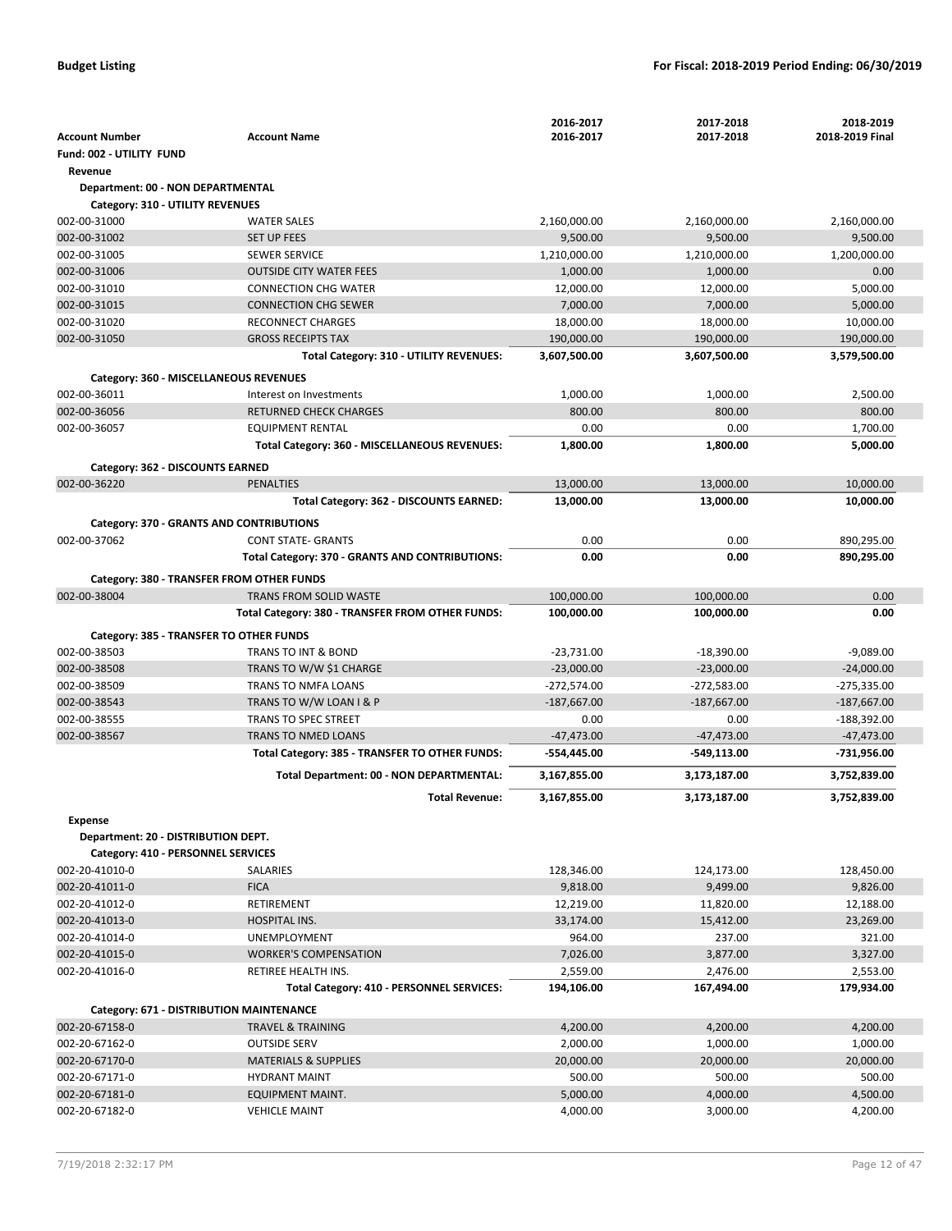|                                          |                                                         | 2016-2017                     | 2017-2018                      | 2018-2019                      |
|------------------------------------------|---------------------------------------------------------|-------------------------------|--------------------------------|--------------------------------|
| <b>Account Number</b>                    | <b>Account Name</b>                                     | 2016-2017                     | 2017-2018                      | 2018-2019 Final                |
| Fund: 002 - UTILITY FUND                 |                                                         |                               |                                |                                |
| Revenue                                  |                                                         |                               |                                |                                |
| Department: 00 - NON DEPARTMENTAL        |                                                         |                               |                                |                                |
| Category: 310 - UTILITY REVENUES         |                                                         |                               |                                |                                |
| 002-00-31000                             | <b>WATER SALES</b>                                      | 2,160,000.00                  | 2,160,000.00                   | 2,160,000.00                   |
| 002-00-31002                             | <b>SET UP FEES</b>                                      | 9,500.00                      | 9,500.00                       | 9,500.00                       |
| 002-00-31005                             | <b>SEWER SERVICE</b>                                    | 1,210,000.00                  | 1,210,000.00                   | 1,200,000.00                   |
| 002-00-31006                             | <b>OUTSIDE CITY WATER FEES</b>                          | 1,000.00                      | 1,000.00                       | 0.00                           |
| 002-00-31010                             | <b>CONNECTION CHG WATER</b>                             | 12,000.00                     | 12,000.00                      | 5,000.00                       |
| 002-00-31015<br>002-00-31020             | <b>CONNECTION CHG SEWER</b><br><b>RECONNECT CHARGES</b> | 7,000.00                      | 7,000.00                       | 5,000.00<br>10,000.00          |
| 002-00-31050                             | <b>GROSS RECEIPTS TAX</b>                               | 18,000.00<br>190,000.00       | 18,000.00<br>190,000.00        | 190,000.00                     |
|                                          | Total Category: 310 - UTILITY REVENUES:                 | 3,607,500.00                  | 3,607,500.00                   | 3,579,500.00                   |
|                                          |                                                         |                               |                                |                                |
| Category: 360 - MISCELLANEOUS REVENUES   |                                                         |                               |                                |                                |
| 002-00-36011                             | Interest on Investments                                 | 1,000.00                      | 1,000.00                       | 2,500.00                       |
| 002-00-36056                             | <b>RETURNED CHECK CHARGES</b>                           | 800.00                        | 800.00                         | 800.00                         |
| 002-00-36057                             | <b>EQUIPMENT RENTAL</b>                                 | 0.00                          | 0.00                           | 1,700.00                       |
|                                          | Total Category: 360 - MISCELLANEOUS REVENUES:           | 1,800.00                      | 1,800.00                       | 5,000.00                       |
| Category: 362 - DISCOUNTS EARNED         |                                                         |                               |                                |                                |
| 002-00-36220                             | PENALTIES                                               | 13,000.00                     | 13,000.00                      | 10,000.00                      |
|                                          | Total Category: 362 - DISCOUNTS EARNED:                 | 13,000.00                     | 13,000.00                      | 10,000.00                      |
| Category: 370 - GRANTS AND CONTRIBUTIONS |                                                         |                               |                                |                                |
| 002-00-37062                             | <b>CONT STATE- GRANTS</b>                               | 0.00                          | 0.00                           | 890,295.00                     |
|                                          | Total Category: 370 - GRANTS AND CONTRIBUTIONS:         | 0.00                          | 0.00                           | 890,295.00                     |
|                                          | Category: 380 - TRANSFER FROM OTHER FUNDS               |                               |                                |                                |
| 002-00-38004                             | TRANS FROM SOLID WASTE                                  | 100,000.00                    | 100,000.00                     | 0.00                           |
|                                          | Total Category: 380 - TRANSFER FROM OTHER FUNDS:        | 100,000.00                    | 100,000.00                     | 0.00                           |
|                                          |                                                         |                               |                                |                                |
| Category: 385 - TRANSFER TO OTHER FUNDS  |                                                         |                               |                                |                                |
| 002-00-38503                             | TRANS TO INT & BOND                                     | $-23,731.00$                  | $-18,390.00$                   | $-9,089.00$                    |
| 002-00-38508<br>002-00-38509             | TRANS TO W/W \$1 CHARGE<br>TRANS TO NMFA LOANS          | $-23,000.00$<br>$-272,574.00$ | $-23,000.00$                   | $-24,000.00$                   |
| 002-00-38543                             | TRANS TO W/W LOAN I & P                                 | $-187,667.00$                 | $-272,583.00$<br>$-187,667.00$ | $-275,335.00$<br>$-187,667.00$ |
| 002-00-38555                             | <b>TRANS TO SPEC STREET</b>                             | 0.00                          | 0.00                           | -188,392.00                    |
| 002-00-38567                             | <b>TRANS TO NMED LOANS</b>                              | $-47,473.00$                  | $-47,473.00$                   | $-47,473.00$                   |
|                                          | Total Category: 385 - TRANSFER TO OTHER FUNDS:          | -554,445.00                   | -549,113.00                    | -731,956.00                    |
|                                          |                                                         |                               |                                |                                |
|                                          | Total Department: 00 - NON DEPARTMENTAL:                | 3,167,855.00                  | 3,173,187.00                   | 3,752,839.00                   |
|                                          | <b>Total Revenue:</b>                                   | 3,167,855.00                  | 3,173,187.00                   | 3,752,839.00                   |
| <b>Expense</b>                           |                                                         |                               |                                |                                |
| Department: 20 - DISTRIBUTION DEPT.      |                                                         |                               |                                |                                |
| Category: 410 - PERSONNEL SERVICES       |                                                         |                               |                                |                                |
| 002-20-41010-0                           | <b>SALARIES</b>                                         | 128,346.00                    | 124,173.00                     | 128,450.00                     |
| 002-20-41011-0                           | <b>FICA</b>                                             | 9,818.00                      | 9,499.00                       | 9,826.00                       |
| 002-20-41012-0                           | RETIREMENT                                              | 12,219.00                     | 11,820.00                      | 12,188.00                      |
| 002-20-41013-0                           | <b>HOSPITAL INS.</b>                                    | 33,174.00                     | 15,412.00                      | 23,269.00                      |
| 002-20-41014-0                           | UNEMPLOYMENT                                            | 964.00                        | 237.00                         | 321.00                         |
| 002-20-41015-0                           | <b>WORKER'S COMPENSATION</b>                            | 7,026.00                      | 3,877.00                       | 3,327.00                       |
| 002-20-41016-0                           | RETIREE HEALTH INS.                                     | 2,559.00                      | 2,476.00                       | 2,553.00                       |
|                                          | Total Category: 410 - PERSONNEL SERVICES:               | 194,106.00                    | 167,494.00                     | 179,934.00                     |
| Category: 671 - DISTRIBUTION MAINTENANCE |                                                         |                               |                                |                                |
| 002-20-67158-0                           | TRAVEL & TRAINING                                       | 4,200.00                      | 4,200.00                       | 4,200.00                       |
| 002-20-67162-0                           | <b>OUTSIDE SERV</b>                                     | 2,000.00                      | 1,000.00                       | 1,000.00                       |
| 002-20-67170-0                           | <b>MATERIALS &amp; SUPPLIES</b>                         | 20,000.00                     | 20,000.00                      | 20,000.00                      |
| 002-20-67171-0                           | <b>HYDRANT MAINT</b>                                    | 500.00                        | 500.00                         | 500.00                         |
| 002-20-67181-0                           | <b>EQUIPMENT MAINT.</b>                                 | 5,000.00                      | 4,000.00                       | 4,500.00                       |
| 002-20-67182-0                           | <b>VEHICLE MAINT</b>                                    | 4,000.00                      | 3,000.00                       | 4,200.00                       |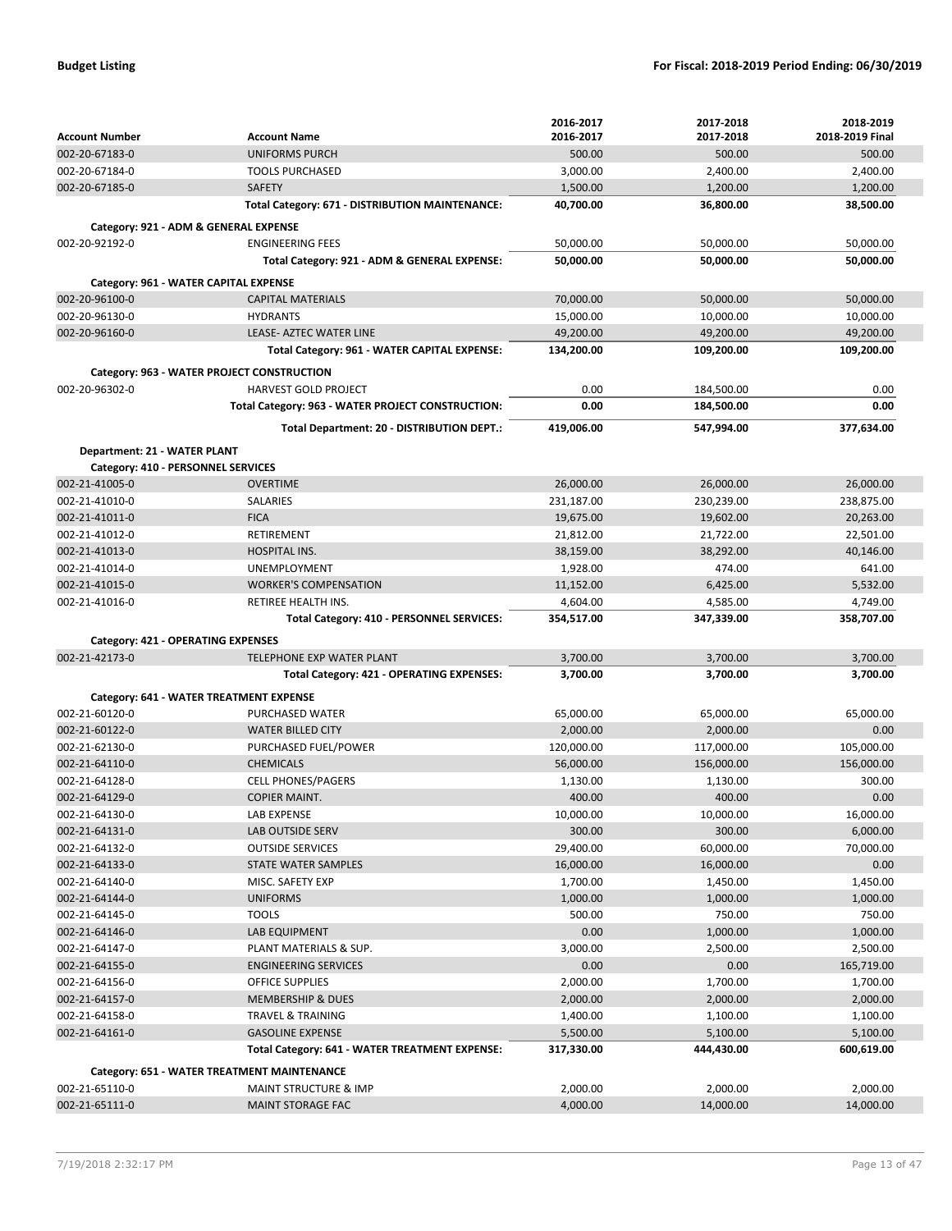|                                    |                                                                  | 2016-2017            | 2017-2018             | 2018-2019             |
|------------------------------------|------------------------------------------------------------------|----------------------|-----------------------|-----------------------|
| <b>Account Number</b>              | <b>Account Name</b>                                              | 2016-2017            | 2017-2018             | 2018-2019 Final       |
| 002-20-67183-0                     | <b>UNIFORMS PURCH</b>                                            | 500.00               | 500.00                | 500.00                |
| 002-20-67184-0                     | <b>TOOLS PURCHASED</b>                                           | 3,000.00             | 2,400.00              | 2,400.00              |
| 002-20-67185-0                     | <b>SAFETY</b>                                                    | 1,500.00             | 1,200.00              | 1,200.00              |
|                                    | Total Category: 671 - DISTRIBUTION MAINTENANCE:                  | 40,700.00            | 36,800.00             | 38,500.00             |
|                                    |                                                                  |                      |                       |                       |
|                                    | Category: 921 - ADM & GENERAL EXPENSE<br><b>ENGINEERING FEES</b> |                      |                       |                       |
| 002-20-92192-0                     |                                                                  | 50,000.00            | 50,000.00             | 50,000.00             |
|                                    | Total Category: 921 - ADM & GENERAL EXPENSE:                     | 50,000.00            | 50,000.00             | 50,000.00             |
|                                    | Category: 961 - WATER CAPITAL EXPENSE                            |                      |                       |                       |
| 002-20-96100-0                     | <b>CAPITAL MATERIALS</b>                                         | 70,000.00            | 50,000.00             | 50,000.00             |
| 002-20-96130-0                     | <b>HYDRANTS</b>                                                  | 15,000.00            | 10,000.00             | 10,000.00             |
| 002-20-96160-0                     | LEASE- AZTEC WATER LINE                                          | 49,200.00            | 49,200.00             | 49,200.00             |
|                                    | Total Category: 961 - WATER CAPITAL EXPENSE:                     | 134,200.00           | 109,200.00            | 109,200.00            |
|                                    | Category: 963 - WATER PROJECT CONSTRUCTION                       |                      |                       |                       |
| 002-20-96302-0                     | <b>HARVEST GOLD PROJECT</b>                                      | 0.00                 | 184,500.00            | 0.00                  |
|                                    | Total Category: 963 - WATER PROJECT CONSTRUCTION:                | 0.00                 | 184,500.00            | 0.00                  |
|                                    | Total Department: 20 - DISTRIBUTION DEPT.:                       | 419,006.00           |                       | 377,634.00            |
|                                    |                                                                  |                      | 547,994.00            |                       |
| Department: 21 - WATER PLANT       |                                                                  |                      |                       |                       |
| Category: 410 - PERSONNEL SERVICES |                                                                  |                      |                       |                       |
| 002-21-41005-0                     | <b>OVERTIME</b>                                                  | 26,000.00            | 26,000.00             | 26,000.00             |
| 002-21-41010-0                     | SALARIES                                                         | 231,187.00           | 230,239.00            | 238,875.00            |
| 002-21-41011-0                     | <b>FICA</b>                                                      | 19,675.00            | 19,602.00             | 20,263.00             |
| 002-21-41012-0                     | <b>RETIREMENT</b>                                                | 21,812.00            | 21,722.00             | 22,501.00             |
| 002-21-41013-0                     | <b>HOSPITAL INS.</b>                                             | 38,159.00            | 38,292.00             | 40,146.00             |
| 002-21-41014-0                     | <b>UNEMPLOYMENT</b>                                              | 1,928.00             | 474.00                | 641.00                |
| 002-21-41015-0                     | <b>WORKER'S COMPENSATION</b>                                     | 11,152.00            | 6,425.00              | 5,532.00              |
| 002-21-41016-0                     | RETIREE HEALTH INS.                                              | 4,604.00             | 4,585.00              | 4,749.00              |
|                                    | Total Category: 410 - PERSONNEL SERVICES:                        | 354,517.00           | 347,339.00            | 358,707.00            |
| Category: 421 - OPERATING EXPENSES |                                                                  |                      |                       |                       |
| 002-21-42173-0                     | TELEPHONE EXP WATER PLANT                                        | 3,700.00             | 3,700.00              | 3,700.00              |
|                                    | Total Category: 421 - OPERATING EXPENSES:                        | 3,700.00             | 3,700.00              | 3,700.00              |
|                                    | Category: 641 - WATER TREATMENT EXPENSE                          |                      |                       |                       |
| 002-21-60120-0                     | PURCHASED WATER                                                  | 65,000.00            | 65,000.00             | 65.000.00             |
| $002 - 21 - 60122 - 0$             | <b>WATER BILLED CITY</b>                                         | 2,000.00             |                       | 0.00                  |
| 002-21-62130-0                     |                                                                  |                      |                       |                       |
|                                    |                                                                  |                      | 2,000.00              |                       |
|                                    | PURCHASED FUEL/POWER                                             | 120,000.00           | 117,000.00            | 105,000.00            |
| 002-21-64110-0                     | <b>CHEMICALS</b>                                                 | 56,000.00            | 156,000.00            | 156,000.00            |
| 002-21-64128-0                     | <b>CELL PHONES/PAGERS</b>                                        | 1,130.00             | 1,130.00              | 300.00                |
| 002-21-64129-0                     | <b>COPIER MAINT.</b>                                             | 400.00               | 400.00                | 0.00                  |
| 002-21-64130-0                     | LAB EXPENSE                                                      | 10,000.00            | 10,000.00             | 16,000.00             |
| 002-21-64131-0                     | LAB OUTSIDE SERV                                                 | 300.00               | 300.00                | 6,000.00              |
| 002-21-64132-0                     | <b>OUTSIDE SERVICES</b>                                          | 29,400.00            | 60,000.00             | 70,000.00             |
| 002-21-64133-0                     | <b>STATE WATER SAMPLES</b>                                       | 16,000.00            | 16,000.00             | 0.00                  |
| 002-21-64140-0                     | MISC. SAFETY EXP                                                 | 1,700.00             | 1,450.00              | 1,450.00              |
| 002-21-64144-0                     | <b>UNIFORMS</b>                                                  | 1,000.00             | 1,000.00              | 1,000.00              |
| 002-21-64145-0                     | <b>TOOLS</b>                                                     | 500.00               | 750.00                | 750.00                |
| 002-21-64146-0                     | LAB EQUIPMENT                                                    | 0.00                 | 1,000.00              | 1,000.00              |
| 002-21-64147-0                     | PLANT MATERIALS & SUP.                                           | 3,000.00             | 2,500.00              | 2,500.00              |
| 002-21-64155-0                     | <b>ENGINEERING SERVICES</b>                                      | 0.00                 | 0.00                  | 165,719.00            |
| 002-21-64156-0                     | <b>OFFICE SUPPLIES</b>                                           | 2,000.00             | 1,700.00              | 1,700.00              |
| 002-21-64157-0                     | <b>MEMBERSHIP &amp; DUES</b>                                     | 2,000.00             | 2,000.00              | 2,000.00              |
| 002-21-64158-0                     | <b>TRAVEL &amp; TRAINING</b>                                     | 1,400.00             | 1,100.00              | 1,100.00              |
| 002-21-64161-0                     | <b>GASOLINE EXPENSE</b>                                          | 5,500.00             | 5,100.00              | 5,100.00              |
|                                    | Total Category: 641 - WATER TREATMENT EXPENSE:                   | 317,330.00           | 444,430.00            | 600,619.00            |
|                                    | Category: 651 - WATER TREATMENT MAINTENANCE                      |                      |                       |                       |
| 002-21-65110-0<br>002-21-65111-0   | <b>MAINT STRUCTURE &amp; IMP</b><br><b>MAINT STORAGE FAC</b>     | 2,000.00<br>4,000.00 | 2,000.00<br>14,000.00 | 2,000.00<br>14,000.00 |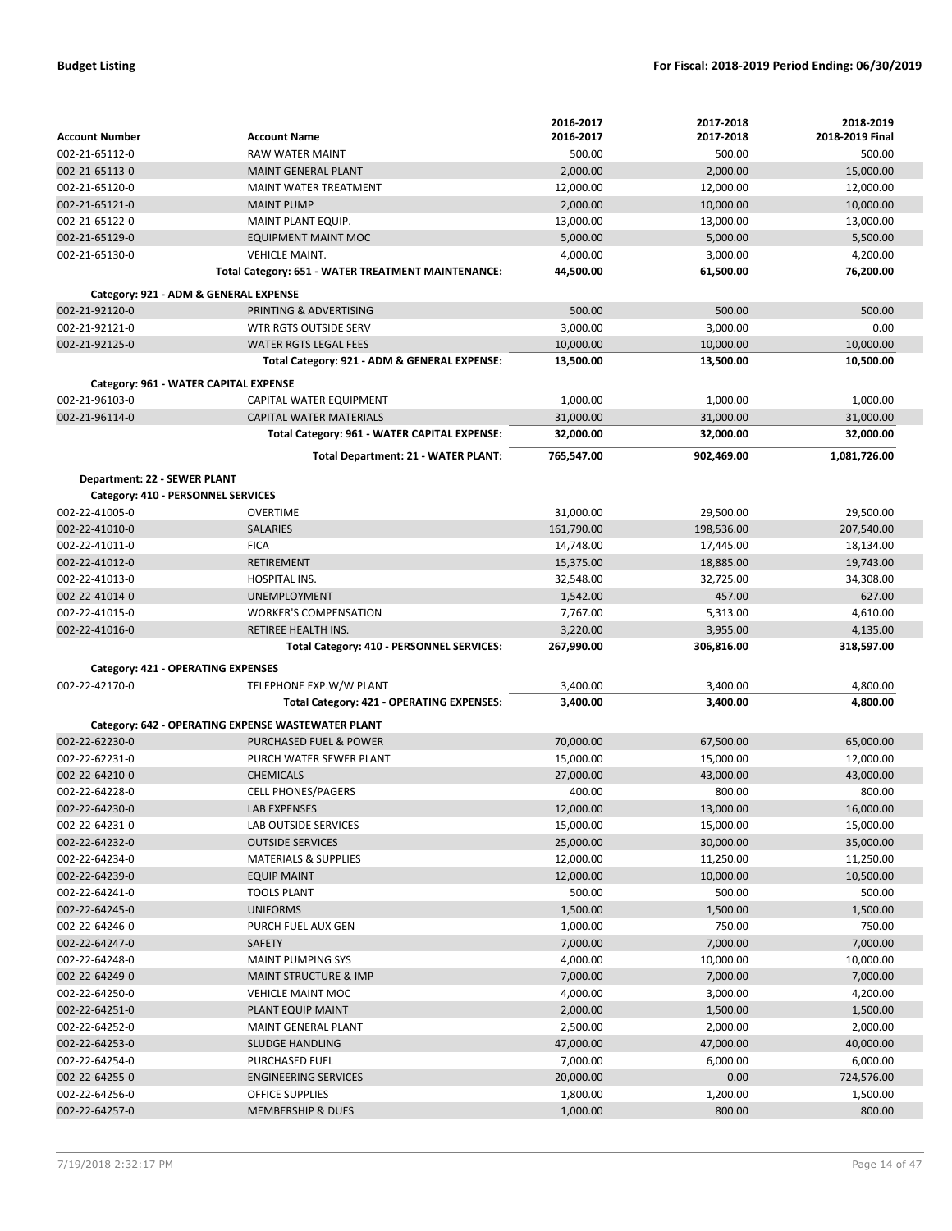|                                       |                                                        | 2016-2017            | 2017-2018          | 2018-2019          |
|---------------------------------------|--------------------------------------------------------|----------------------|--------------------|--------------------|
| <b>Account Number</b>                 | <b>Account Name</b>                                    | 2016-2017            | 2017-2018          | 2018-2019 Final    |
| 002-21-65112-0                        | RAW WATER MAINT                                        | 500.00               | 500.00             | 500.00             |
| 002-21-65113-0                        | <b>MAINT GENERAL PLANT</b>                             | 2,000.00             | 2,000.00           | 15,000.00          |
| 002-21-65120-0                        | MAINT WATER TREATMENT                                  | 12,000.00            | 12,000.00          | 12,000.00          |
| 002-21-65121-0                        | <b>MAINT PUMP</b>                                      | 2,000.00             | 10,000.00          | 10,000.00          |
| 002-21-65122-0                        | MAINT PLANT EQUIP.                                     | 13,000.00            | 13,000.00          | 13,000.00          |
| 002-21-65129-0                        | <b>EQUIPMENT MAINT MOC</b>                             | 5,000.00             | 5,000.00           | 5,500.00           |
| 002-21-65130-0                        | <b>VEHICLE MAINT.</b>                                  | 4,000.00             | 3,000.00           | 4,200.00           |
|                                       | Total Category: 651 - WATER TREATMENT MAINTENANCE:     | 44,500.00            | 61,500.00          | 76,200.00          |
| Category: 921 - ADM & GENERAL EXPENSE |                                                        |                      |                    |                    |
| 002-21-92120-0                        | PRINTING & ADVERTISING                                 | 500.00               | 500.00             | 500.00             |
| 002-21-92121-0                        | WTR RGTS OUTSIDE SERV                                  | 3,000.00             | 3,000.00           | 0.00               |
| 002-21-92125-0                        | <b>WATER RGTS LEGAL FEES</b>                           | 10,000.00            | 10,000.00          | 10,000.00          |
|                                       | Total Category: 921 - ADM & GENERAL EXPENSE:           | 13,500.00            | 13,500.00          | 10,500.00          |
| Category: 961 - WATER CAPITAL EXPENSE |                                                        |                      |                    |                    |
| 002-21-96103-0                        | CAPITAL WATER EQUIPMENT                                | 1,000.00             | 1,000.00           | 1,000.00           |
| 002-21-96114-0                        | <b>CAPITAL WATER MATERIALS</b>                         | 31,000.00            | 31,000.00          | 31,000.00          |
|                                       | Total Category: 961 - WATER CAPITAL EXPENSE:           | 32,000.00            | 32,000.00          | 32,000.00          |
|                                       |                                                        |                      |                    |                    |
|                                       | Total Department: 21 - WATER PLANT:                    | 765,547.00           | 902,469.00         | 1,081,726.00       |
| Department: 22 - SEWER PLANT          |                                                        |                      |                    |                    |
| Category: 410 - PERSONNEL SERVICES    |                                                        |                      |                    |                    |
| 002-22-41005-0                        | <b>OVERTIME</b>                                        | 31,000.00            | 29,500.00          | 29,500.00          |
| 002-22-41010-0                        | <b>SALARIES</b>                                        | 161,790.00           | 198,536.00         | 207,540.00         |
| 002-22-41011-0                        | <b>FICA</b>                                            | 14,748.00            | 17,445.00          | 18,134.00          |
| 002-22-41012-0                        | <b>RETIREMENT</b>                                      | 15,375.00            | 18,885.00          | 19,743.00          |
| 002-22-41013-0                        | <b>HOSPITAL INS.</b>                                   | 32,548.00            | 32,725.00          | 34,308.00          |
| 002-22-41014-0                        | <b>UNEMPLOYMENT</b>                                    | 1,542.00             | 457.00             | 627.00             |
| 002-22-41015-0                        | <b>WORKER'S COMPENSATION</b>                           | 7,767.00             | 5,313.00           | 4,610.00           |
|                                       |                                                        |                      | 3,955.00           | 4,135.00           |
| 002-22-41016-0                        | RETIREE HEALTH INS.                                    | 3,220.00             |                    |                    |
|                                       | Total Category: 410 - PERSONNEL SERVICES:              | 267,990.00           | 306,816.00         | 318,597.00         |
| Category: 421 - OPERATING EXPENSES    |                                                        |                      |                    |                    |
| 002-22-42170-0                        | TELEPHONE EXP.W/W PLANT                                | 3,400.00             | 3,400.00           | 4,800.00           |
|                                       | Total Category: 421 - OPERATING EXPENSES:              | 3,400.00             | 3,400.00           | 4,800.00           |
|                                       |                                                        |                      |                    |                    |
|                                       | Category: 642 - OPERATING EXPENSE WASTEWATER PLANT     |                      |                    |                    |
| 002-22-62230-0                        | <b>PURCHASED FUEL &amp; POWER</b>                      | 70.000.00            | 67,500.00          | 65,000.00          |
| 002-22-62231-0                        | PURCH WATER SEWER PLANT                                | 15,000.00            | 15,000.00          | 12,000.00          |
| 002-22-64210-0                        | <b>CHEMICALS</b>                                       | 27,000.00            | 43,000.00          | 43,000.00          |
| 002-22-64228-0                        | <b>CELL PHONES/PAGERS</b>                              | 400.00               | 800.00             | 800.00             |
| 002-22-64230-0                        | LAB EXPENSES                                           | 12,000.00            | 13,000.00          | 16,000.00          |
| 002-22-64231-0                        | LAB OUTSIDE SERVICES                                   | 15,000.00            | 15,000.00          | 15,000.00          |
| 002-22-64232-0                        | <b>OUTSIDE SERVICES</b>                                | 25,000.00            | 30,000.00          | 35,000.00          |
| 002-22-64234-0                        | <b>MATERIALS &amp; SUPPLIES</b>                        | 12,000.00            | 11,250.00          | 11,250.00          |
| 002-22-64239-0                        | <b>EQUIP MAINT</b>                                     | 12,000.00            | 10,000.00          | 10,500.00          |
| 002-22-64241-0                        | <b>TOOLS PLANT</b>                                     | 500.00               | 500.00             | 500.00             |
| 002-22-64245-0                        | <b>UNIFORMS</b>                                        | 1,500.00             | 1,500.00           | 1,500.00           |
| 002-22-64246-0                        | PURCH FUEL AUX GEN                                     | 1,000.00             | 750.00             | 750.00             |
| 002-22-64247-0                        | SAFETY                                                 | 7,000.00             | 7,000.00           | 7,000.00           |
| 002-22-64248-0                        | <b>MAINT PUMPING SYS</b>                               | 4,000.00             | 10,000.00          | 10,000.00          |
| 002-22-64249-0                        | <b>MAINT STRUCTURE &amp; IMP</b>                       | 7,000.00             | 7,000.00           | 7,000.00           |
| 002-22-64250-0                        | <b>VEHICLE MAINT MOC</b>                               | 4,000.00             | 3,000.00           | 4,200.00           |
| 002-22-64251-0                        | PLANT EQUIP MAINT                                      | 2,000.00             | 1,500.00           | 1,500.00           |
| 002-22-64252-0                        | MAINT GENERAL PLANT                                    | 2,500.00             | 2,000.00           | 2,000.00           |
| 002-22-64253-0                        | <b>SLUDGE HANDLING</b>                                 | 47,000.00            | 47,000.00          | 40,000.00          |
| 002-22-64254-0                        | PURCHASED FUEL                                         | 7,000.00             | 6,000.00           | 6,000.00           |
| 002-22-64255-0                        | <b>ENGINEERING SERVICES</b>                            | 20,000.00            | 0.00               | 724,576.00         |
| 002-22-64256-0<br>002-22-64257-0      | <b>OFFICE SUPPLIES</b><br><b>MEMBERSHIP &amp; DUES</b> | 1,800.00<br>1,000.00 | 1,200.00<br>800.00 | 1,500.00<br>800.00 |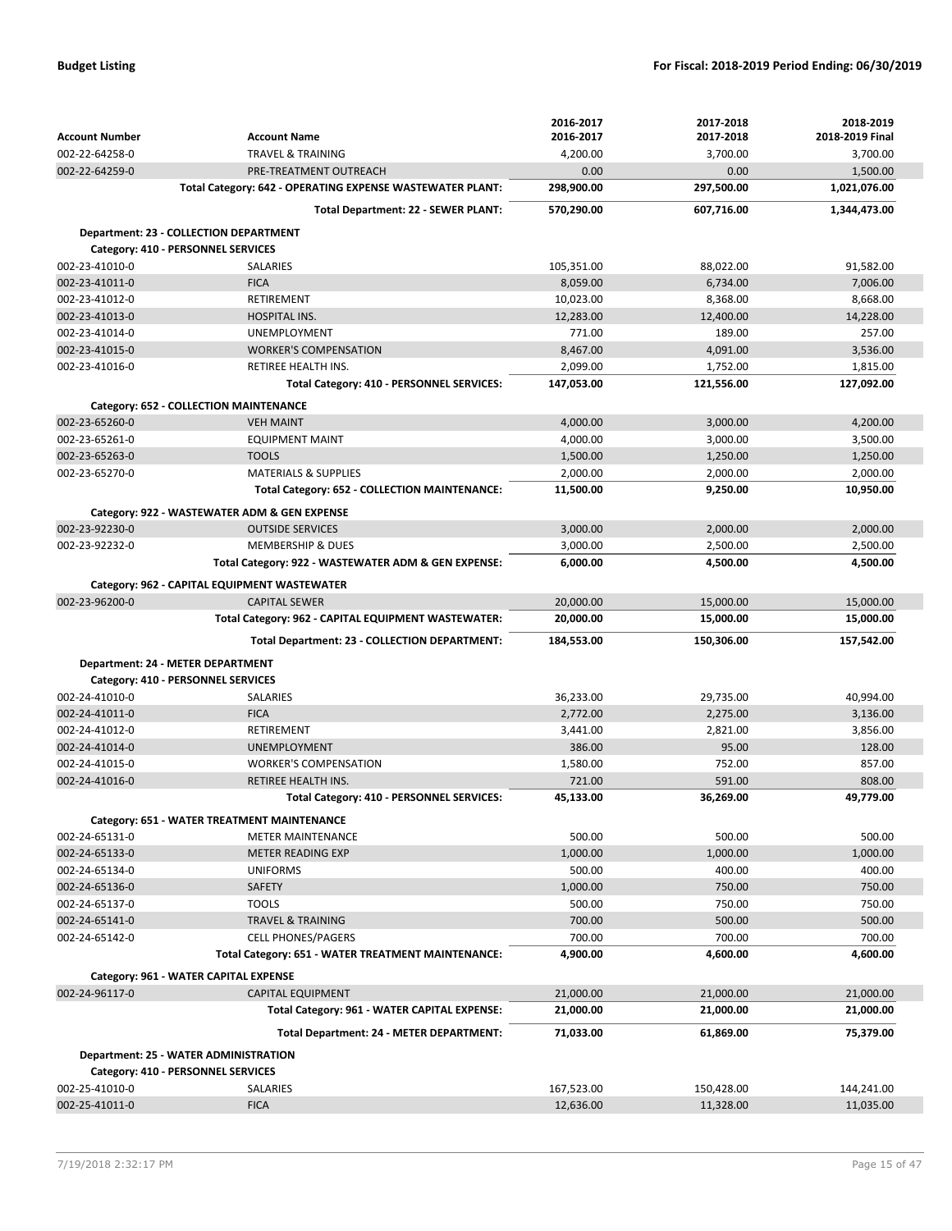|                                        |                                                                      | 2016-2017               | 2017-2018               | 2018-2019               |
|----------------------------------------|----------------------------------------------------------------------|-------------------------|-------------------------|-------------------------|
| <b>Account Number</b>                  | <b>Account Name</b>                                                  | 2016-2017               | 2017-2018               | 2018-2019 Final         |
| 002-22-64258-0                         | <b>TRAVEL &amp; TRAINING</b>                                         | 4,200.00                | 3,700.00                | 3,700.00                |
| 002-22-64259-0                         | PRE-TREATMENT OUTREACH                                               | 0.00                    | 0.00                    | 1,500.00                |
|                                        | Total Category: 642 - OPERATING EXPENSE WASTEWATER PLANT:            | 298,900.00              | 297,500.00              | 1,021,076.00            |
|                                        | Total Department: 22 - SEWER PLANT:                                  | 570,290.00              | 607,716.00              | 1,344,473.00            |
| Department: 23 - COLLECTION DEPARTMENT |                                                                      |                         |                         |                         |
| Category: 410 - PERSONNEL SERVICES     |                                                                      |                         |                         |                         |
| 002-23-41010-0                         | <b>SALARIES</b>                                                      | 105,351.00              | 88,022.00               | 91,582.00               |
| 002-23-41011-0                         | <b>FICA</b>                                                          | 8,059.00                | 6,734.00                | 7,006.00                |
| 002-23-41012-0                         | <b>RETIREMENT</b>                                                    | 10,023.00               | 8,368.00                | 8,668.00                |
| 002-23-41013-0                         | <b>HOSPITAL INS.</b>                                                 | 12,283.00               | 12,400.00               | 14,228.00               |
| 002-23-41014-0                         | <b>UNEMPLOYMENT</b>                                                  | 771.00                  | 189.00                  | 257.00                  |
| 002-23-41015-0                         | <b>WORKER'S COMPENSATION</b>                                         | 8,467.00                | 4,091.00                | 3,536.00                |
| 002-23-41016-0                         | RETIREE HEALTH INS.                                                  | 2,099.00                | 1,752.00                | 1,815.00                |
|                                        | Total Category: 410 - PERSONNEL SERVICES:                            | 147,053.00              | 121,556.00              | 127,092.00              |
|                                        | Category: 652 - COLLECTION MAINTENANCE                               |                         |                         |                         |
| 002-23-65260-0                         | <b>VEH MAINT</b>                                                     | 4,000.00                | 3.000.00                | 4,200.00                |
| 002-23-65261-0                         | <b>EQUIPMENT MAINT</b>                                               | 4,000.00                | 3,000.00                | 3,500.00                |
| 002-23-65263-0                         | <b>TOOLS</b>                                                         | 1,500.00                | 1,250.00                | 1,250.00                |
| 002-23-65270-0                         | <b>MATERIALS &amp; SUPPLIES</b>                                      | 2,000.00                | 2,000.00                | 2,000.00                |
|                                        | Total Category: 652 - COLLECTION MAINTENANCE:                        | 11,500.00               | 9,250.00                | 10,950.00               |
|                                        | Category: 922 - WASTEWATER ADM & GEN EXPENSE                         |                         |                         |                         |
| 002-23-92230-0                         | <b>OUTSIDE SERVICES</b>                                              | 3,000.00                | 2,000.00                | 2,000.00                |
| 002-23-92232-0                         | <b>MEMBERSHIP &amp; DUES</b>                                         | 3,000.00                | 2,500.00                | 2,500.00                |
|                                        | Total Category: 922 - WASTEWATER ADM & GEN EXPENSE:                  | 6,000.00                | 4,500.00                | 4,500.00                |
|                                        |                                                                      |                         |                         |                         |
| 002-23-96200-0                         | Category: 962 - CAPITAL EQUIPMENT WASTEWATER<br><b>CAPITAL SEWER</b> | 20,000.00               | 15,000.00               | 15,000.00               |
|                                        | Total Category: 962 - CAPITAL EQUIPMENT WASTEWATER:                  | 20,000.00               | 15,000.00               | 15,000.00               |
|                                        |                                                                      |                         |                         |                         |
|                                        |                                                                      |                         |                         |                         |
|                                        | Total Department: 23 - COLLECTION DEPARTMENT:                        | 184,553.00              | 150,306.00              | 157,542.00              |
| Department: 24 - METER DEPARTMENT      |                                                                      |                         |                         |                         |
| Category: 410 - PERSONNEL SERVICES     |                                                                      |                         |                         |                         |
| 002-24-41010-0                         | SALARIES                                                             | 36,233.00               | 29,735.00               | 40,994.00               |
| 002-24-41011-0                         | <b>FICA</b>                                                          | 2,772.00                | 2,275.00                | 3,136.00                |
| 002-24-41012-0                         | <b>RETIREMENT</b>                                                    | 3,441.00                | 2,821.00                | 3,856.00                |
| 002-24-41014-0                         | <b>UNEMPLOYMENT</b>                                                  | 386.00                  | 95.00                   | 128.00                  |
| 002-24-41015-0                         | <b>WORKER'S COMPENSATION</b>                                         | 1,580.00                | 752.00                  | 857.00                  |
| 002-24-41016-0                         | <b>RETIREE HEALTH INS.</b>                                           | 721.00                  | 591.00                  | 808.00                  |
|                                        | Total Category: 410 - PERSONNEL SERVICES:                            | 45,133.00               | 36,269.00               | 49,779.00               |
|                                        | Category: 651 - WATER TREATMENT MAINTENANCE                          |                         |                         |                         |
| 002-24-65131-0                         | <b>METER MAINTENANCE</b>                                             | 500.00                  | 500.00                  | 500.00                  |
| 002-24-65133-0                         | <b>METER READING EXP</b>                                             | 1,000.00                | 1,000.00                | 1,000.00                |
| 002-24-65134-0                         | <b>UNIFORMS</b>                                                      | 500.00                  | 400.00                  | 400.00                  |
| 002-24-65136-0                         | <b>SAFETY</b>                                                        | 1,000.00                | 750.00                  | 750.00                  |
| 002-24-65137-0                         | <b>TOOLS</b>                                                         | 500.00                  | 750.00                  | 750.00                  |
| 002-24-65141-0                         | <b>TRAVEL &amp; TRAINING</b>                                         | 700.00                  | 500.00                  | 500.00                  |
| 002-24-65142-0                         | <b>CELL PHONES/PAGERS</b>                                            | 700.00                  | 700.00                  | 700.00                  |
|                                        | Total Category: 651 - WATER TREATMENT MAINTENANCE:                   | 4,900.00                | 4,600.00                | 4,600.00                |
| Category: 961 - WATER CAPITAL EXPENSE  |                                                                      |                         |                         |                         |
| 002-24-96117-0                         | <b>CAPITAL EQUIPMENT</b>                                             | 21,000.00               | 21,000.00               | 21,000.00               |
|                                        | Total Category: 961 - WATER CAPITAL EXPENSE:                         | 21,000.00               | 21,000.00               | 21,000.00               |
|                                        |                                                                      |                         |                         |                         |
|                                        | Total Department: 24 - METER DEPARTMENT:                             | 71,033.00               | 61,869.00               | 75,379.00               |
| Department: 25 - WATER ADMINISTRATION  |                                                                      |                         |                         |                         |
| Category: 410 - PERSONNEL SERVICES     |                                                                      |                         |                         |                         |
| 002-25-41010-0<br>002-25-41011-0       | SALARIES<br><b>FICA</b>                                              | 167,523.00<br>12,636.00 | 150,428.00<br>11,328.00 | 144,241.00<br>11,035.00 |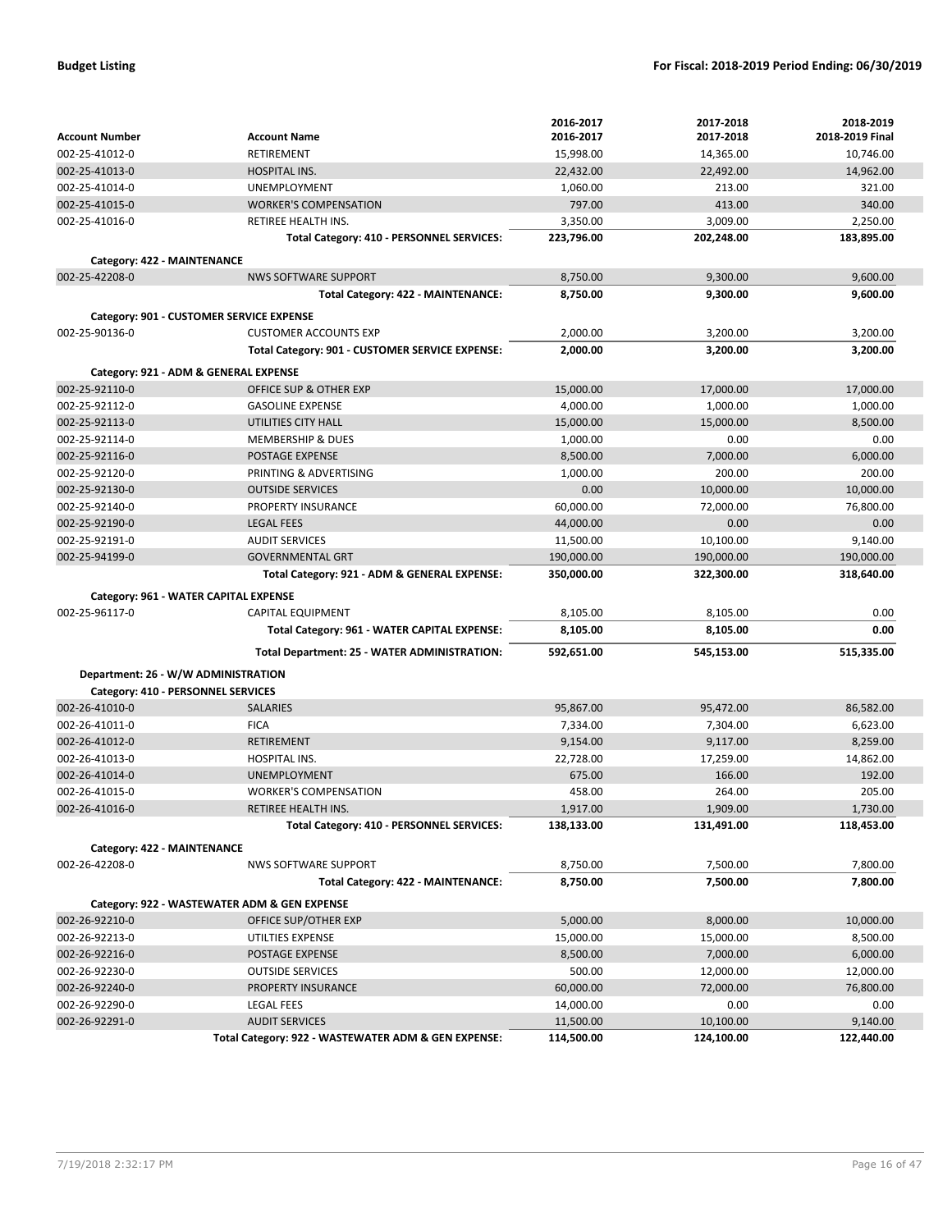|                                     |                                                     | 2016-2017  | 2017-2018  | 2018-2019       |
|-------------------------------------|-----------------------------------------------------|------------|------------|-----------------|
| <b>Account Number</b>               | <b>Account Name</b>                                 | 2016-2017  | 2017-2018  | 2018-2019 Final |
| 002-25-41012-0                      | RETIREMENT                                          | 15,998.00  | 14,365.00  | 10,746.00       |
| 002-25-41013-0                      | <b>HOSPITAL INS.</b>                                | 22,432.00  | 22,492.00  | 14,962.00       |
| 002-25-41014-0                      | <b>UNEMPLOYMENT</b>                                 | 1,060.00   | 213.00     | 321.00          |
| 002-25-41015-0                      | <b>WORKER'S COMPENSATION</b>                        | 797.00     | 413.00     | 340.00          |
| 002-25-41016-0                      | RETIREE HEALTH INS.                                 | 3,350.00   | 3,009.00   | 2,250.00        |
|                                     | Total Category: 410 - PERSONNEL SERVICES:           | 223,796.00 | 202,248.00 | 183,895.00      |
| Category: 422 - MAINTENANCE         |                                                     |            |            |                 |
| 002-25-42208-0                      | <b>NWS SOFTWARE SUPPORT</b>                         | 8,750.00   | 9,300.00   | 9.600.00        |
|                                     | Total Category: 422 - MAINTENANCE:                  | 8,750.00   | 9,300.00   | 9,600.00        |
|                                     | Category: 901 - CUSTOMER SERVICE EXPENSE            |            |            |                 |
| 002-25-90136-0                      | <b>CUSTOMER ACCOUNTS EXP</b>                        | 2,000.00   | 3,200.00   | 3,200.00        |
|                                     | Total Category: 901 - CUSTOMER SERVICE EXPENSE:     | 2,000.00   | 3,200.00   | 3,200.00        |
|                                     |                                                     |            |            |                 |
|                                     | Category: 921 - ADM & GENERAL EXPENSE               |            |            |                 |
| 002-25-92110-0                      | OFFICE SUP & OTHER EXP                              | 15,000.00  | 17,000.00  | 17,000.00       |
| 002-25-92112-0                      | <b>GASOLINE EXPENSE</b>                             | 4,000.00   | 1,000.00   | 1,000.00        |
| 002-25-92113-0                      | UTILITIES CITY HALL                                 | 15,000.00  | 15,000.00  | 8,500.00        |
| 002-25-92114-0                      | <b>MEMBERSHIP &amp; DUES</b>                        | 1,000.00   | 0.00       | 0.00            |
| 002-25-92116-0                      | <b>POSTAGE EXPENSE</b>                              | 8,500.00   | 7,000.00   | 6,000.00        |
| 002-25-92120-0                      | PRINTING & ADVERTISING                              | 1,000.00   | 200.00     | 200.00          |
| 002-25-92130-0                      | <b>OUTSIDE SERVICES</b>                             | 0.00       | 10,000.00  | 10,000.00       |
| 002-25-92140-0                      | PROPERTY INSURANCE                                  | 60,000.00  | 72,000.00  | 76,800.00       |
| 002-25-92190-0                      | <b>LEGAL FEES</b>                                   | 44,000.00  | 0.00       | 0.00            |
| 002-25-92191-0                      | <b>AUDIT SERVICES</b>                               | 11.500.00  | 10,100.00  | 9,140.00        |
| 002-25-94199-0                      | <b>GOVERNMENTAL GRT</b>                             | 190,000.00 | 190,000.00 | 190,000.00      |
|                                     | Total Category: 921 - ADM & GENERAL EXPENSE:        | 350,000.00 | 322,300.00 | 318,640.00      |
|                                     | Category: 961 - WATER CAPITAL EXPENSE               |            |            |                 |
| 002-25-96117-0                      | <b>CAPITAL EQUIPMENT</b>                            | 8,105.00   | 8,105.00   | 0.00            |
|                                     | Total Category: 961 - WATER CAPITAL EXPENSE:        | 8,105.00   | 8,105.00   | 0.00            |
|                                     | Total Department: 25 - WATER ADMINISTRATION:        | 592,651.00 | 545,153.00 | 515,335.00      |
| Department: 26 - W/W ADMINISTRATION |                                                     |            |            |                 |
| Category: 410 - PERSONNEL SERVICES  |                                                     |            |            |                 |
| 002-26-41010-0                      | <b>SALARIES</b>                                     | 95,867.00  | 95,472.00  | 86,582.00       |
| 002-26-41011-0                      | <b>FICA</b>                                         | 7,334.00   | 7,304.00   | 6,623.00        |
| 002-26-41012-0                      | <b>RETIREMENT</b>                                   | 9,154.00   | 9,117.00   | 8,259.00        |
| 002-26-41013-0                      | <b>HOSPITAL INS.</b>                                | 22,728.00  | 17,259.00  | 14,862.00       |
| 002-26-41014-0                      | <b>UNEMPLOYMENT</b>                                 | 675.00     | 166.00     | 192.00          |
| 002-26-41015-0                      | <b>WORKER'S COMPENSATION</b>                        | 458.00     | 264.00     | 205.00          |
| 002-26-41016-0                      | RETIREE HEALTH INS.                                 | 1,917.00   | 1.909.00   | 1,730.00        |
|                                     | Total Category: 410 - PERSONNEL SERVICES:           | 138,133.00 | 131,491.00 | 118,453.00      |
|                                     |                                                     |            |            |                 |
| Category: 422 - MAINTENANCE         |                                                     |            |            |                 |
| 002-26-42208-0                      | <b>NWS SOFTWARE SUPPORT</b>                         | 8,750.00   | 7,500.00   | 7,800.00        |
|                                     | Total Category: 422 - MAINTENANCE:                  | 8,750.00   | 7,500.00   | 7,800.00        |
|                                     | Category: 922 - WASTEWATER ADM & GEN EXPENSE        |            |            |                 |
| 002-26-92210-0                      | OFFICE SUP/OTHER EXP                                | 5,000.00   | 8,000.00   | 10,000.00       |
| 002-26-92213-0                      | UTILTIES EXPENSE                                    | 15,000.00  | 15,000.00  | 8,500.00        |
| 002-26-92216-0                      | POSTAGE EXPENSE                                     | 8,500.00   | 7,000.00   | 6,000.00        |
| 002-26-92230-0                      | <b>OUTSIDE SERVICES</b>                             | 500.00     | 12,000.00  | 12,000.00       |
| 002-26-92240-0                      | PROPERTY INSURANCE                                  | 60,000.00  | 72,000.00  | 76,800.00       |
| 002-26-92290-0                      | LEGAL FEES                                          | 14,000.00  | 0.00       | 0.00            |
| 002-26-92291-0                      | <b>AUDIT SERVICES</b>                               | 11,500.00  | 10,100.00  | 9,140.00        |
|                                     | Total Category: 922 - WASTEWATER ADM & GEN EXPENSE: | 114,500.00 | 124,100.00 | 122,440.00      |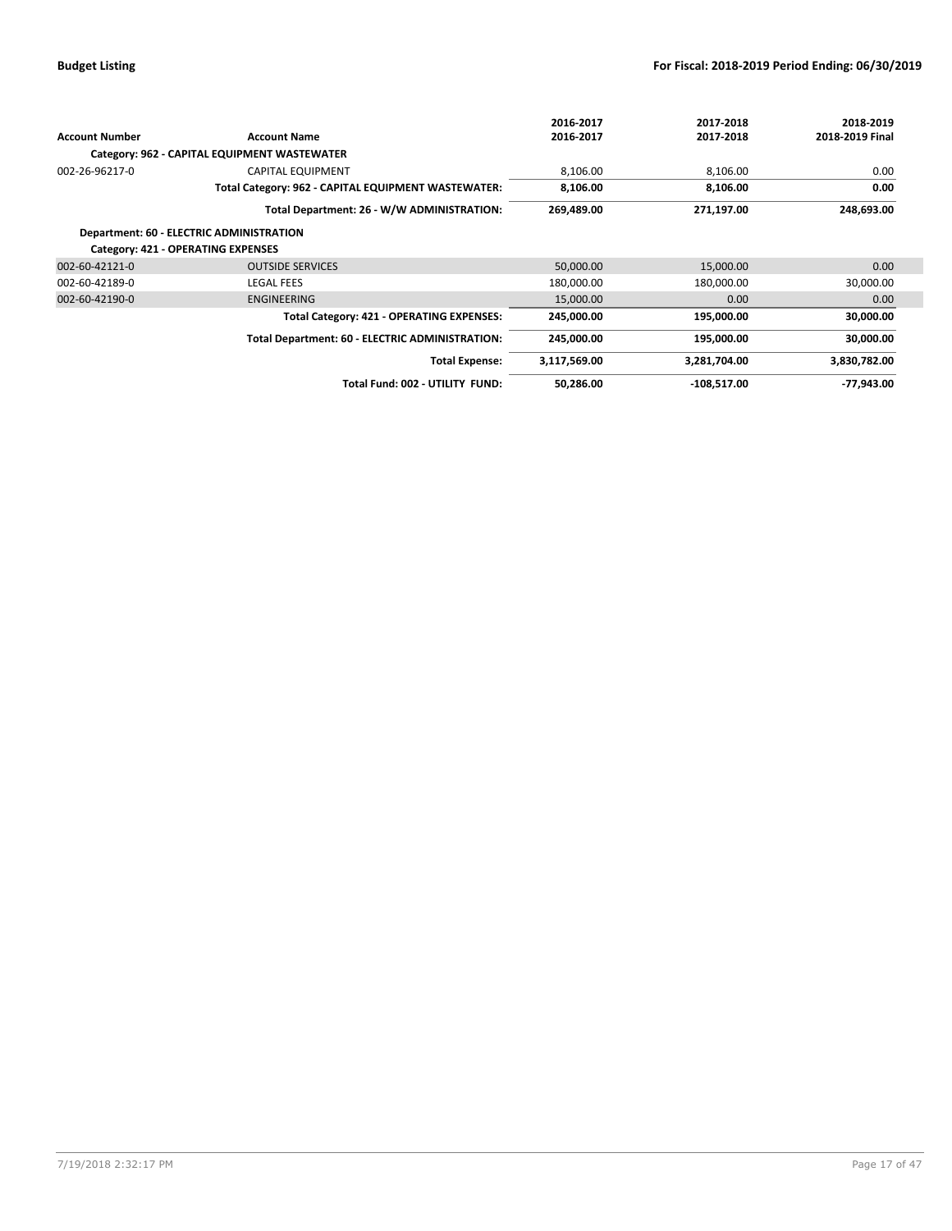|                       |                                                     | 2016-2017    | 2017-2018     | 2018-2019         |
|-----------------------|-----------------------------------------------------|--------------|---------------|-------------------|
| <b>Account Number</b> | <b>Account Name</b>                                 | 2016-2017    | 2017-2018     | 2018-2019 Final   |
|                       | Category: 962 - CAPITAL EQUIPMENT WASTEWATER        |              |               |                   |
| 002-26-96217-0        | <b>CAPITAL EQUIPMENT</b>                            | 8,106.00     | 8,106.00      | 0.00              |
|                       | Total Category: 962 - CAPITAL EQUIPMENT WASTEWATER: | 8,106.00     | 8,106.00      | 0.00              |
|                       | Total Department: 26 - W/W ADMINISTRATION:          | 269,489.00   | 271,197.00    | 248,693.00        |
|                       | Department: 60 - ELECTRIC ADMINISTRATION            |              |               |                   |
|                       | Category: 421 - OPERATING EXPENSES                  |              |               |                   |
| 002-60-42121-0        | <b>OUTSIDE SERVICES</b>                             | 50,000.00    | 15,000.00     | 0.00              |
| 002-60-42189-0        | <b>LEGAL FEES</b>                                   | 180,000.00   | 180,000.00    | 30,000.00         |
| 002-60-42190-0        | <b>ENGINEERING</b>                                  | 15,000.00    | 0.00          | 0.00 <sub>1</sub> |
|                       | Total Category: 421 - OPERATING EXPENSES:           | 245,000.00   | 195,000.00    | 30,000.00         |
|                       | Total Department: 60 - ELECTRIC ADMINISTRATION:     | 245,000.00   | 195,000.00    | 30,000.00         |
|                       | <b>Total Expense:</b>                               | 3,117,569.00 | 3,281,704.00  | 3,830,782.00      |
|                       | Total Fund: 002 - UTILITY FUND:                     | 50,286.00    | $-108,517.00$ | $-77.943.00$      |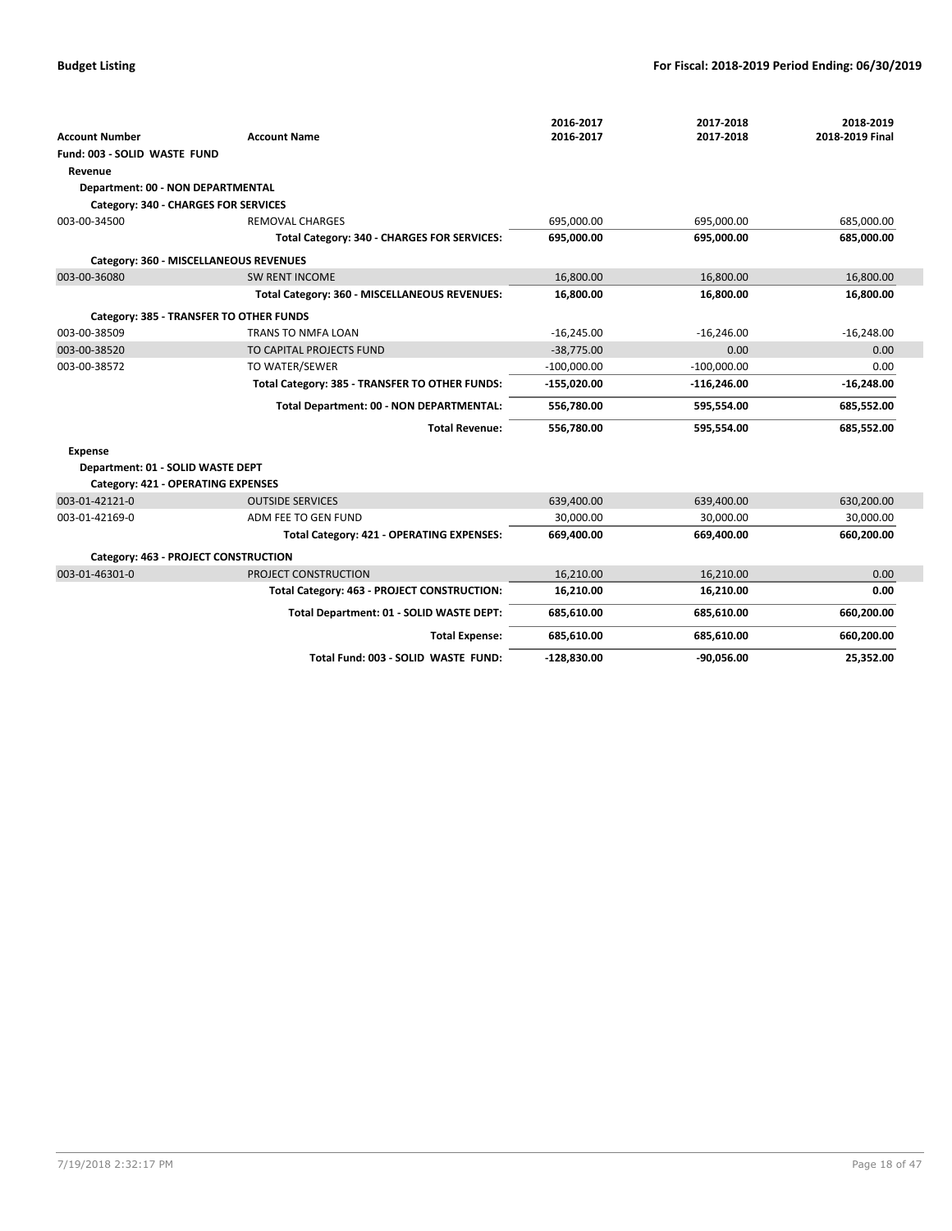|                                           |                                                | 2016-2017     | 2017-2018     | 2018-2019       |
|-------------------------------------------|------------------------------------------------|---------------|---------------|-----------------|
| <b>Account Number</b>                     | <b>Account Name</b>                            | 2016-2017     | 2017-2018     | 2018-2019 Final |
| Fund: 003 - SOLID WASTE FUND              |                                                |               |               |                 |
| Revenue                                   |                                                |               |               |                 |
| Department: 00 - NON DEPARTMENTAL         |                                                |               |               |                 |
| Category: 340 - CHARGES FOR SERVICES      |                                                |               |               |                 |
| 003-00-34500                              | <b>REMOVAL CHARGES</b>                         | 695,000.00    | 695,000.00    | 685,000.00      |
|                                           | Total Category: 340 - CHARGES FOR SERVICES:    | 695,000.00    | 695,000.00    | 685,000.00      |
|                                           | Category: 360 - MISCELLANEOUS REVENUES         |               |               |                 |
| 003-00-36080                              | <b>SW RENT INCOME</b>                          | 16,800.00     | 16,800.00     | 16,800.00       |
|                                           | Total Category: 360 - MISCELLANEOUS REVENUES:  | 16,800.00     | 16,800.00     | 16,800.00       |
|                                           | Category: 385 - TRANSFER TO OTHER FUNDS        |               |               |                 |
| 003-00-38509                              | TRANS TO NMFA LOAN                             | $-16,245.00$  | $-16,246.00$  | $-16,248.00$    |
| 003-00-38520                              | TO CAPITAL PROJECTS FUND                       | $-38,775.00$  | 0.00          | 0.00            |
| 003-00-38572                              | TO WATER/SEWER                                 | $-100,000.00$ | $-100,000.00$ | 0.00            |
|                                           | Total Category: 385 - TRANSFER TO OTHER FUNDS: | $-155,020.00$ | $-116,246.00$ | $-16,248.00$    |
|                                           | Total Department: 00 - NON DEPARTMENTAL:       | 556,780.00    | 595,554.00    | 685,552.00      |
|                                           | <b>Total Revenue:</b>                          | 556,780.00    | 595,554.00    | 685,552.00      |
| <b>Expense</b>                            |                                                |               |               |                 |
| Department: 01 - SOLID WASTE DEPT         |                                                |               |               |                 |
| <b>Category: 421 - OPERATING EXPENSES</b> |                                                |               |               |                 |
| 003-01-42121-0                            | <b>OUTSIDE SERVICES</b>                        | 639,400.00    | 639,400.00    | 630,200.00      |
| 003-01-42169-0                            | ADM FEE TO GEN FUND                            | 30,000.00     | 30,000.00     | 30,000.00       |
|                                           | Total Category: 421 - OPERATING EXPENSES:      | 669,400.00    | 669,400.00    | 660,200.00      |
| Category: 463 - PROJECT CONSTRUCTION      |                                                |               |               |                 |
| 003-01-46301-0                            | PROJECT CONSTRUCTION                           | 16,210.00     | 16,210.00     | 0.00            |
|                                           | Total Category: 463 - PROJECT CONSTRUCTION:    | 16,210.00     | 16,210.00     | 0.00            |
|                                           | Total Department: 01 - SOLID WASTE DEPT:       | 685,610.00    | 685,610.00    | 660,200.00      |
|                                           | <b>Total Expense:</b>                          | 685,610.00    | 685,610.00    | 660,200.00      |
|                                           | Total Fund: 003 - SOLID WASTE FUND:            | $-128,830.00$ | $-90,056.00$  | 25,352.00       |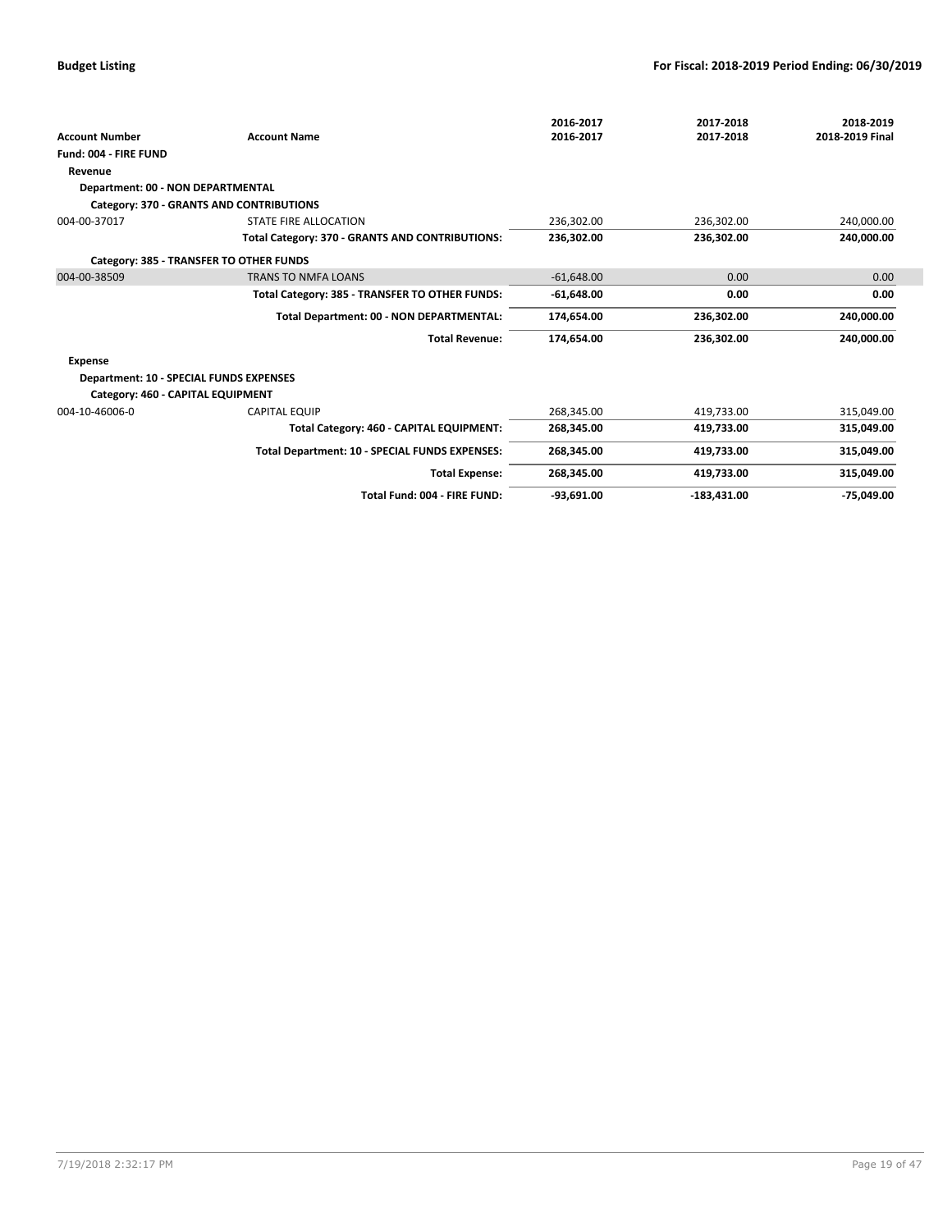| <b>Account Number</b>                          | <b>Account Name</b>                             | 2016-2017<br>2016-2017 | 2017-2018<br>2017-2018 | 2018-2019<br>2018-2019 Final |
|------------------------------------------------|-------------------------------------------------|------------------------|------------------------|------------------------------|
| Fund: 004 - FIRE FUND                          |                                                 |                        |                        |                              |
| Revenue                                        |                                                 |                        |                        |                              |
| Department: 00 - NON DEPARTMENTAL              |                                                 |                        |                        |                              |
|                                                | Category: 370 - GRANTS AND CONTRIBUTIONS        |                        |                        |                              |
| 004-00-37017                                   | STATE FIRE ALLOCATION                           | 236,302.00             | 236,302.00             | 240,000.00                   |
|                                                | Total Category: 370 - GRANTS AND CONTRIBUTIONS: | 236.302.00             | 236.302.00             | 240.000.00                   |
|                                                | Category: 385 - TRANSFER TO OTHER FUNDS         |                        |                        |                              |
| 004-00-38509                                   | <b>TRANS TO NMFA LOANS</b>                      | $-61.648.00$           | 0.00                   | 0.00                         |
|                                                | Total Category: 385 - TRANSFER TO OTHER FUNDS:  | $-61,648.00$           | 0.00                   | 0.00                         |
|                                                | Total Department: 00 - NON DEPARTMENTAL:        | 174,654.00             | 236,302.00             | 240,000.00                   |
|                                                | <b>Total Revenue:</b>                           | 174,654.00             | 236,302.00             | 240,000.00                   |
| <b>Expense</b>                                 |                                                 |                        |                        |                              |
| <b>Department: 10 - SPECIAL FUNDS EXPENSES</b> |                                                 |                        |                        |                              |
| Category: 460 - CAPITAL EQUIPMENT              |                                                 |                        |                        |                              |
| 004-10-46006-0                                 | <b>CAPITAL EQUIP</b>                            | 268,345.00             | 419,733.00             | 315,049.00                   |
|                                                | Total Category: 460 - CAPITAL EQUIPMENT:        | 268,345.00             | 419,733.00             | 315,049.00                   |
|                                                | Total Department: 10 - SPECIAL FUNDS EXPENSES:  | 268,345.00             | 419,733.00             | 315,049.00                   |
|                                                | <b>Total Expense:</b>                           | 268,345.00             | 419,733.00             | 315,049.00                   |
|                                                | Total Fund: 004 - FIRE FUND:                    | $-93,691.00$           | $-183,431.00$          | $-75.049.00$                 |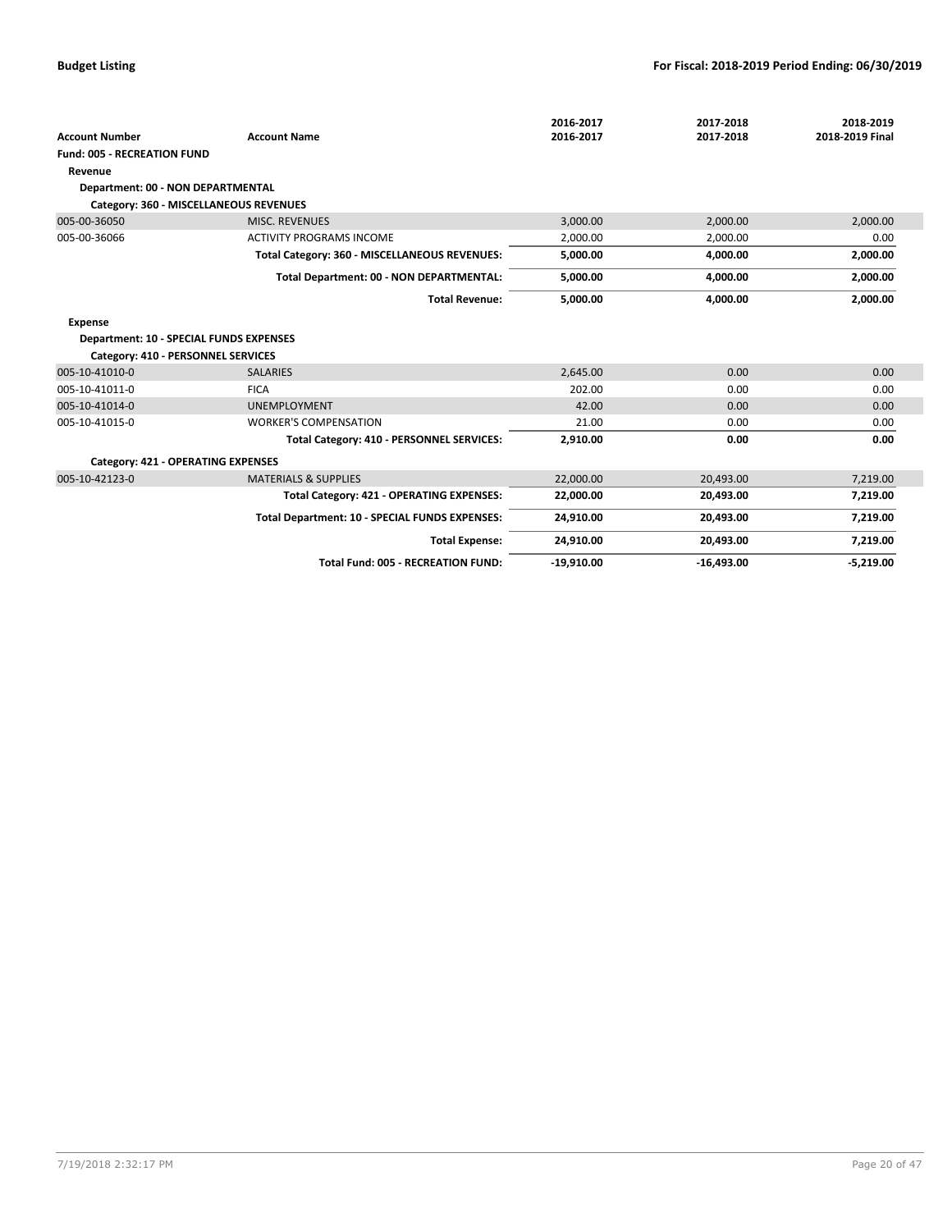|                                                |                                                | 2016-2017    | 2017-2018    | 2018-2019       |
|------------------------------------------------|------------------------------------------------|--------------|--------------|-----------------|
| <b>Account Number</b>                          | <b>Account Name</b>                            | 2016-2017    | 2017-2018    | 2018-2019 Final |
| <b>Fund: 005 - RECREATION FUND</b>             |                                                |              |              |                 |
| Revenue                                        |                                                |              |              |                 |
| <b>Department: 00 - NON DEPARTMENTAL</b>       |                                                |              |              |                 |
| Category: 360 - MISCELLANEOUS REVENUES         |                                                |              |              |                 |
| 005-00-36050                                   | <b>MISC. REVENUES</b>                          | 3,000.00     | 2,000.00     | 2,000.00        |
| 005-00-36066                                   | <b>ACTIVITY PROGRAMS INCOME</b>                | 2,000.00     | 2,000.00     | 0.00            |
|                                                | Total Category: 360 - MISCELLANEOUS REVENUES:  | 5,000.00     | 4,000.00     | 2,000.00        |
|                                                | Total Department: 00 - NON DEPARTMENTAL:       | 5,000.00     | 4,000.00     | 2,000.00        |
|                                                | <b>Total Revenue:</b>                          | 5,000.00     | 4,000.00     | 2,000.00        |
| Expense                                        |                                                |              |              |                 |
| <b>Department: 10 - SPECIAL FUNDS EXPENSES</b> |                                                |              |              |                 |
| Category: 410 - PERSONNEL SERVICES             |                                                |              |              |                 |
| 005-10-41010-0                                 | <b>SALARIES</b>                                | 2,645.00     | 0.00         | 0.00            |
| 005-10-41011-0                                 | <b>FICA</b>                                    | 202.00       | 0.00         | 0.00            |
| 005-10-41014-0                                 | <b>UNEMPLOYMENT</b>                            | 42.00        | 0.00         | 0.00            |
| 005-10-41015-0                                 | <b>WORKER'S COMPENSATION</b>                   | 21.00        | 0.00         | 0.00            |
|                                                | Total Category: 410 - PERSONNEL SERVICES:      | 2,910.00     | 0.00         | 0.00            |
| Category: 421 - OPERATING EXPENSES             |                                                |              |              |                 |
| 005-10-42123-0                                 | <b>MATERIALS &amp; SUPPLIES</b>                | 22.000.00    | 20,493.00    | 7,219.00        |
|                                                | Total Category: 421 - OPERATING EXPENSES:      | 22,000.00    | 20,493.00    | 7,219.00        |
|                                                | Total Department: 10 - SPECIAL FUNDS EXPENSES: | 24,910.00    | 20,493.00    | 7,219.00        |
|                                                | <b>Total Expense:</b>                          | 24,910.00    | 20,493.00    | 7,219.00        |
|                                                | <b>Total Fund: 005 - RECREATION FUND:</b>      | $-19,910.00$ | $-16,493.00$ | $-5,219.00$     |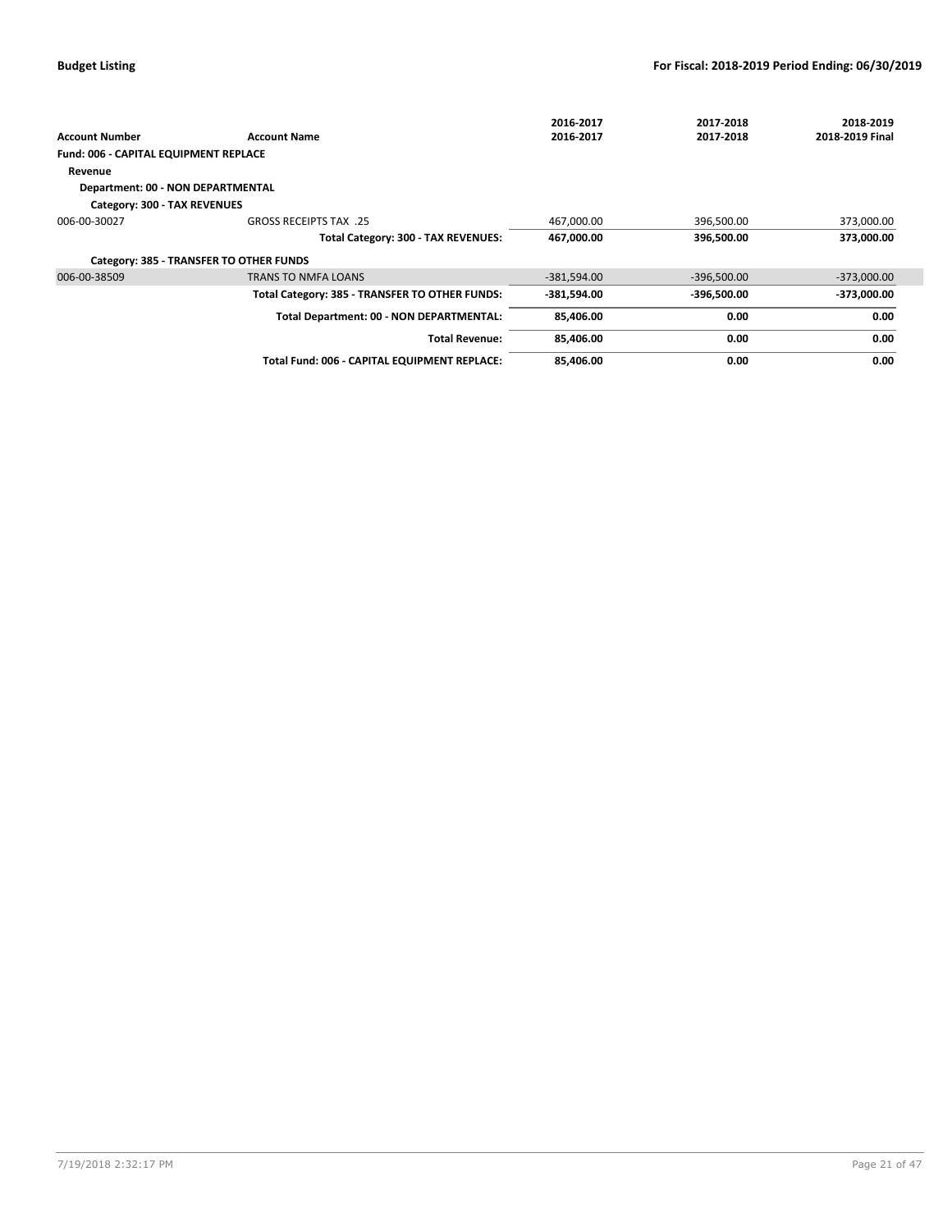|                                         |                                                | 2016-2017     | 2017-2018     | 2018-2019       |
|-----------------------------------------|------------------------------------------------|---------------|---------------|-----------------|
| <b>Account Number</b>                   | <b>Account Name</b>                            | 2016-2017     | 2017-2018     | 2018-2019 Final |
| Fund: 006 - CAPITAL EQUIPMENT REPLACE   |                                                |               |               |                 |
| Revenue                                 |                                                |               |               |                 |
| Department: 00 - NON DEPARTMENTAL       |                                                |               |               |                 |
| Category: 300 - TAX REVENUES            |                                                |               |               |                 |
| 006-00-30027                            | <b>GROSS RECEIPTS TAX .25</b>                  | 467,000.00    | 396,500.00    | 373,000.00      |
|                                         | Total Category: 300 - TAX REVENUES:            | 467,000.00    | 396,500.00    | 373,000.00      |
| Category: 385 - TRANSFER TO OTHER FUNDS |                                                |               |               |                 |
| 006-00-38509                            | <b>TRANS TO NMFA LOANS</b>                     | $-381,594.00$ | $-396,500.00$ | $-373,000.00$   |
|                                         | Total Category: 385 - TRANSFER TO OTHER FUNDS: | -381,594.00   | -396,500.00   | -373,000.00     |
|                                         | Total Department: 00 - NON DEPARTMENTAL:       | 85,406.00     | 0.00          | 0.00            |
|                                         | <b>Total Revenue:</b>                          | 85,406.00     | 0.00          | 0.00            |
|                                         | Total Fund: 006 - CAPITAL EQUIPMENT REPLACE:   | 85.406.00     | 0.00          | 0.00            |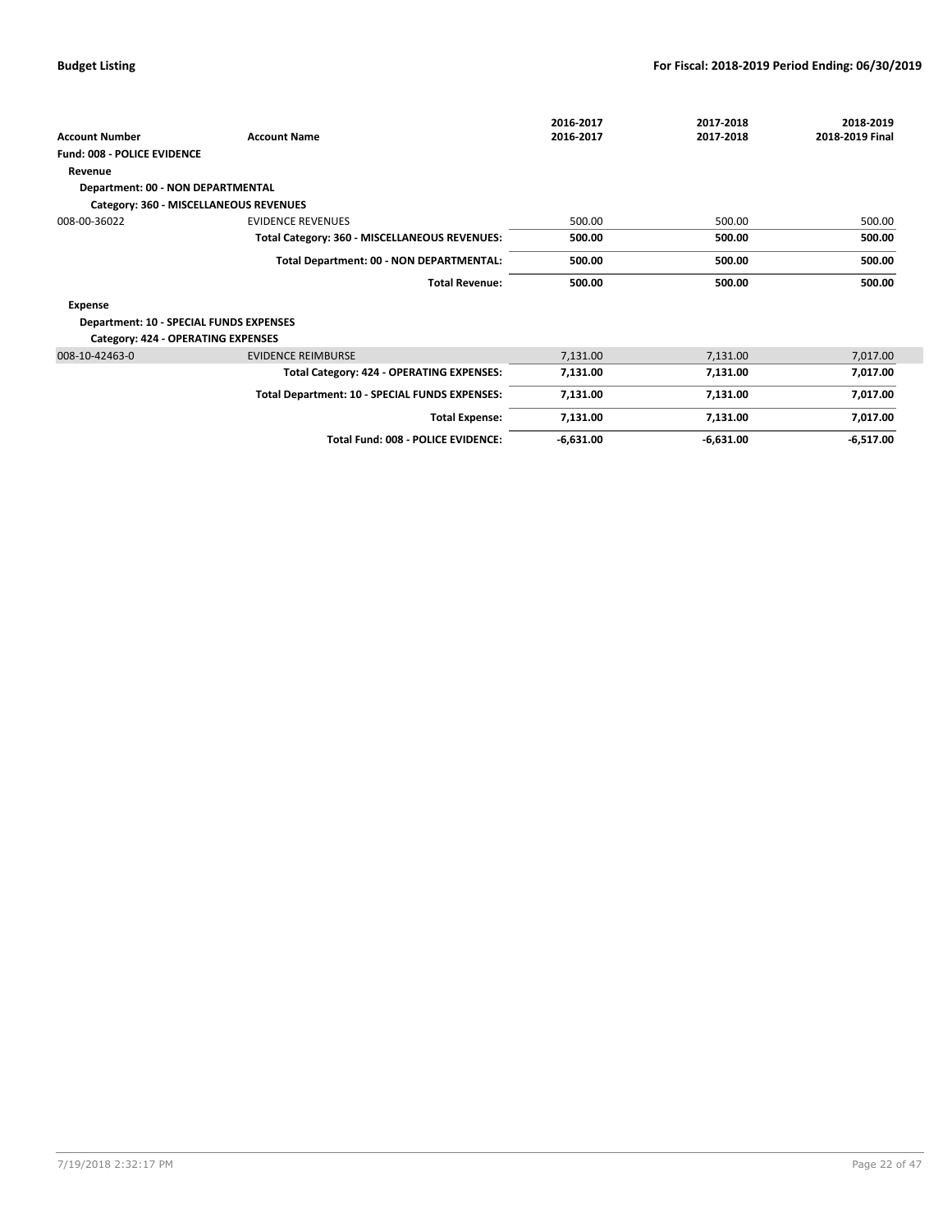| <b>Account Number</b>                          | <b>Account Name</b>                            | 2016-2017<br>2016-2017 | 2017-2018<br>2017-2018 | 2018-2019<br>2018-2019 Final |
|------------------------------------------------|------------------------------------------------|------------------------|------------------------|------------------------------|
| <b>Fund: 008 - POLICE EVIDENCE</b>             |                                                |                        |                        |                              |
| Revenue                                        |                                                |                        |                        |                              |
| Department: 00 - NON DEPARTMENTAL              |                                                |                        |                        |                              |
| Category: 360 - MISCELLANEOUS REVENUES         |                                                |                        |                        |                              |
| 008-00-36022                                   | <b>EVIDENCE REVENUES</b>                       | 500.00                 | 500.00                 | 500.00                       |
|                                                | Total Category: 360 - MISCELLANEOUS REVENUES:  | 500.00                 | 500.00                 | 500.00                       |
|                                                | Total Department: 00 - NON DEPARTMENTAL:       | 500.00                 | 500.00                 | 500.00                       |
|                                                | <b>Total Revenue:</b>                          | 500.00                 | 500.00                 | 500.00                       |
| Expense                                        |                                                |                        |                        |                              |
| <b>Department: 10 - SPECIAL FUNDS EXPENSES</b> |                                                |                        |                        |                              |
| <b>Category: 424 - OPERATING EXPENSES</b>      |                                                |                        |                        |                              |
| 008-10-42463-0                                 | <b>EVIDENCE REIMBURSE</b>                      | 7,131.00               | 7,131.00               | 7,017.00                     |
|                                                | Total Category: 424 - OPERATING EXPENSES:      | 7,131.00               | 7,131.00               | 7,017.00                     |
|                                                | Total Department: 10 - SPECIAL FUNDS EXPENSES: | 7,131.00               | 7,131.00               | 7,017.00                     |
|                                                | <b>Total Expense:</b>                          | 7,131.00               | 7,131.00               | 7,017.00                     |
|                                                | Total Fund: 008 - POLICE EVIDENCE:             | $-6,631.00$            | $-6,631.00$            | $-6,517.00$                  |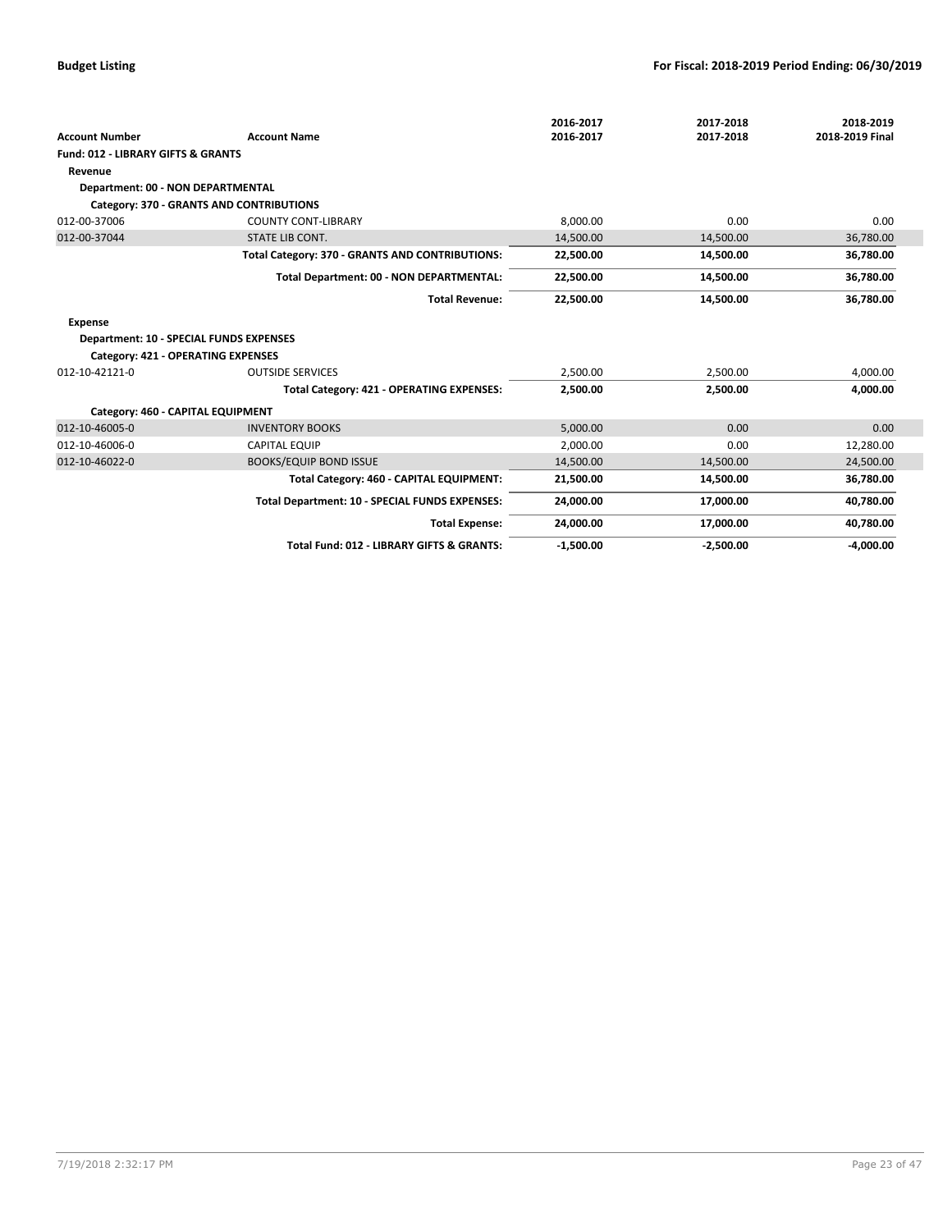|                                                |                                                 | 2016-2017   | 2017-2018   | 2018-2019       |
|------------------------------------------------|-------------------------------------------------|-------------|-------------|-----------------|
| <b>Account Number</b>                          | <b>Account Name</b>                             | 2016-2017   | 2017-2018   | 2018-2019 Final |
| <b>Fund: 012 - LIBRARY GIFTS &amp; GRANTS</b>  |                                                 |             |             |                 |
| Revenue                                        |                                                 |             |             |                 |
| Department: 00 - NON DEPARTMENTAL              |                                                 |             |             |                 |
|                                                | Category: 370 - GRANTS AND CONTRIBUTIONS        |             |             |                 |
| 012-00-37006                                   | <b>COUNTY CONT-LIBRARY</b>                      | 8,000.00    | 0.00        | 0.00            |
| 012-00-37044                                   | <b>STATE LIB CONT.</b>                          | 14,500.00   | 14,500.00   | 36,780.00       |
|                                                | Total Category: 370 - GRANTS AND CONTRIBUTIONS: | 22,500.00   | 14,500.00   | 36,780.00       |
|                                                | Total Department: 00 - NON DEPARTMENTAL:        | 22,500.00   | 14,500.00   | 36,780.00       |
|                                                | <b>Total Revenue:</b>                           | 22,500.00   | 14,500.00   | 36,780.00       |
| <b>Expense</b>                                 |                                                 |             |             |                 |
| <b>Department: 10 - SPECIAL FUNDS EXPENSES</b> |                                                 |             |             |                 |
| Category: 421 - OPERATING EXPENSES             |                                                 |             |             |                 |
| 012-10-42121-0                                 | <b>OUTSIDE SERVICES</b>                         | 2,500.00    | 2,500.00    | 4,000.00        |
|                                                | Total Category: 421 - OPERATING EXPENSES:       | 2,500.00    | 2,500.00    | 4,000.00        |
| Category: 460 - CAPITAL EQUIPMENT              |                                                 |             |             |                 |
| 012-10-46005-0                                 | <b>INVENTORY BOOKS</b>                          | 5,000.00    | 0.00        | 0.00            |
| 012-10-46006-0                                 | <b>CAPITAL EQUIP</b>                            | 2,000.00    | 0.00        | 12,280.00       |
| 012-10-46022-0                                 | <b>BOOKS/EQUIP BOND ISSUE</b>                   | 14,500.00   | 14,500.00   | 24,500.00       |
|                                                | Total Category: 460 - CAPITAL EQUIPMENT:        | 21,500.00   | 14,500.00   | 36,780.00       |
|                                                | Total Department: 10 - SPECIAL FUNDS EXPENSES:  | 24,000.00   | 17,000.00   | 40,780.00       |
|                                                | <b>Total Expense:</b>                           | 24,000.00   | 17,000.00   | 40,780.00       |
|                                                | Total Fund: 012 - LIBRARY GIFTS & GRANTS:       | $-1,500.00$ | $-2,500.00$ | $-4,000.00$     |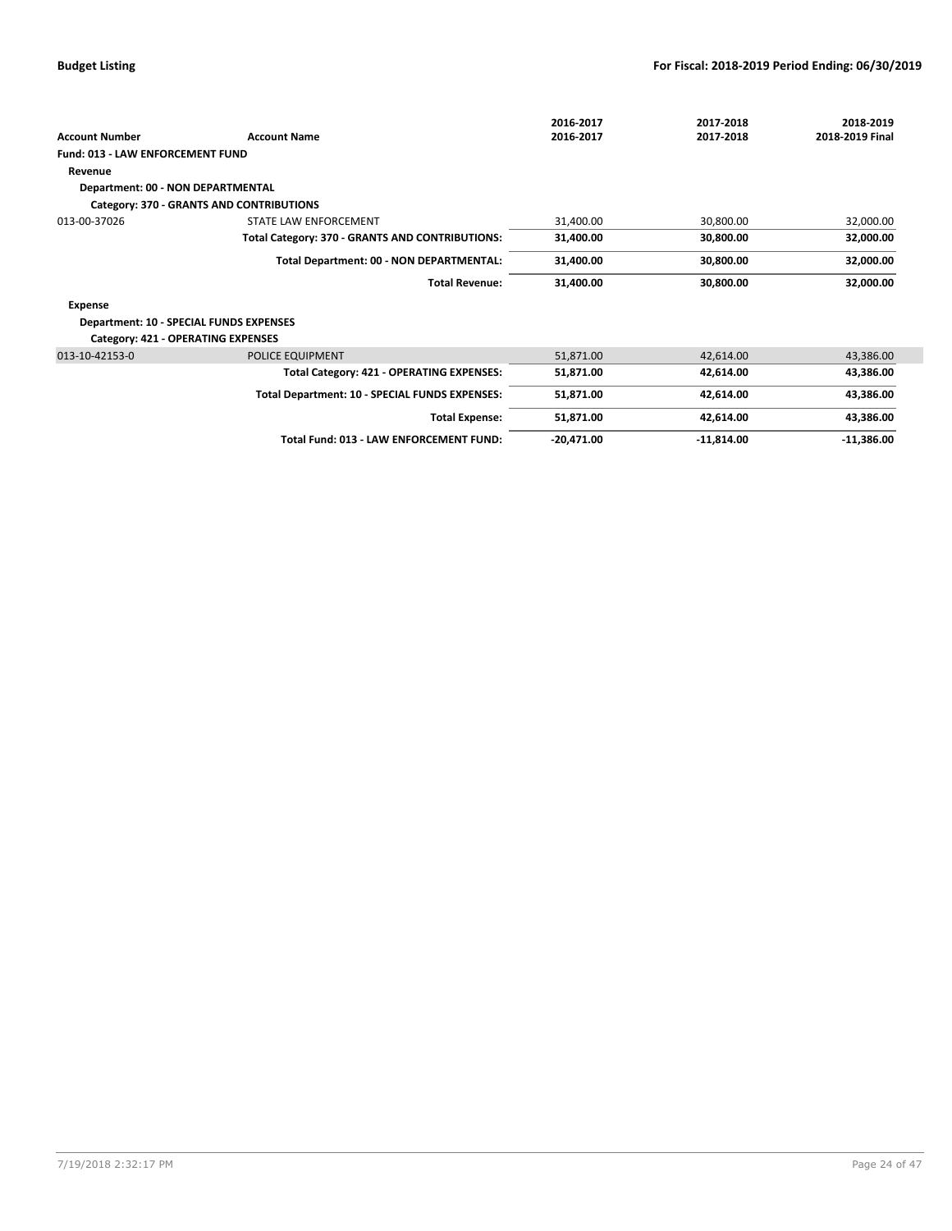|                                                |                                                 | 2016-2017    | 2017-2018    | 2018-2019       |
|------------------------------------------------|-------------------------------------------------|--------------|--------------|-----------------|
| <b>Account Number</b>                          | <b>Account Name</b>                             | 2016-2017    | 2017-2018    | 2018-2019 Final |
| <b>Fund: 013 - LAW ENFORCEMENT FUND</b>        |                                                 |              |              |                 |
| Revenue                                        |                                                 |              |              |                 |
| <b>Department: 00 - NON DEPARTMENTAL</b>       |                                                 |              |              |                 |
|                                                | Category: 370 - GRANTS AND CONTRIBUTIONS        |              |              |                 |
| 013-00-37026                                   | STATE LAW ENFORCEMENT                           | 31,400.00    | 30,800.00    | 32,000.00       |
|                                                | Total Category: 370 - GRANTS AND CONTRIBUTIONS: | 31,400.00    | 30,800.00    | 32,000.00       |
|                                                | Total Department: 00 - NON DEPARTMENTAL:        | 31,400.00    | 30,800.00    | 32,000.00       |
|                                                | <b>Total Revenue:</b>                           | 31,400.00    | 30,800.00    | 32,000.00       |
| Expense                                        |                                                 |              |              |                 |
| <b>Department: 10 - SPECIAL FUNDS EXPENSES</b> |                                                 |              |              |                 |
| <b>Category: 421 - OPERATING EXPENSES</b>      |                                                 |              |              |                 |
| 013-10-42153-0                                 | POLICE EQUIPMENT                                | 51,871.00    | 42,614.00    | 43,386.00       |
|                                                | Total Category: 421 - OPERATING EXPENSES:       | 51,871.00    | 42,614.00    | 43,386.00       |
|                                                | Total Department: 10 - SPECIAL FUNDS EXPENSES:  | 51,871.00    | 42,614.00    | 43,386.00       |
|                                                | <b>Total Expense:</b>                           | 51,871.00    | 42,614.00    | 43,386.00       |
|                                                | Total Fund: 013 - LAW ENFORCEMENT FUND:         | $-20,471.00$ | $-11,814.00$ | $-11,386.00$    |
|                                                |                                                 |              |              |                 |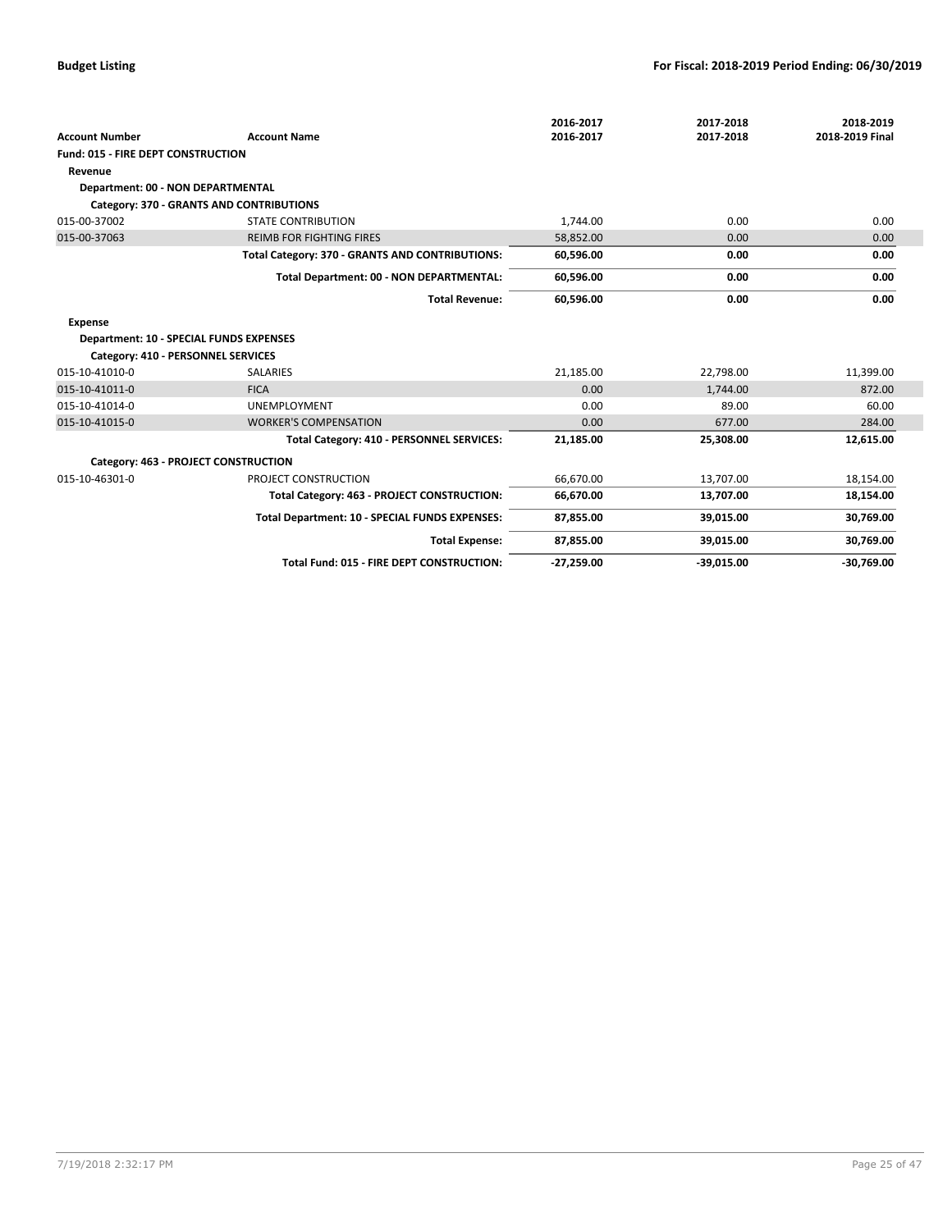|                                                |                                                 | 2016-2017    | 2017-2018    | 2018-2019       |
|------------------------------------------------|-------------------------------------------------|--------------|--------------|-----------------|
| <b>Account Number</b>                          | <b>Account Name</b>                             | 2016-2017    | 2017-2018    | 2018-2019 Final |
| Fund: 015 - FIRE DEPT CONSTRUCTION             |                                                 |              |              |                 |
| Revenue                                        |                                                 |              |              |                 |
| Department: 00 - NON DEPARTMENTAL              |                                                 |              |              |                 |
|                                                | Category: 370 - GRANTS AND CONTRIBUTIONS        |              |              |                 |
| 015-00-37002                                   | <b>STATE CONTRIBUTION</b>                       | 1.744.00     | 0.00         | 0.00            |
| 015-00-37063                                   | <b>REIMB FOR FIGHTING FIRES</b>                 | 58,852.00    | 0.00         | 0.00            |
|                                                | Total Category: 370 - GRANTS AND CONTRIBUTIONS: | 60,596.00    | 0.00         | 0.00            |
|                                                | Total Department: 00 - NON DEPARTMENTAL:        | 60,596.00    | 0.00         | 0.00            |
|                                                | <b>Total Revenue:</b>                           | 60,596.00    | 0.00         | 0.00            |
| <b>Expense</b>                                 |                                                 |              |              |                 |
| <b>Department: 10 - SPECIAL FUNDS EXPENSES</b> |                                                 |              |              |                 |
| Category: 410 - PERSONNEL SERVICES             |                                                 |              |              |                 |
| 015-10-41010-0                                 | <b>SALARIES</b>                                 | 21.185.00    | 22,798.00    | 11,399.00       |
| 015-10-41011-0                                 | <b>FICA</b>                                     | 0.00         | 1.744.00     | 872.00          |
| 015-10-41014-0                                 | <b>UNEMPLOYMENT</b>                             | 0.00         | 89.00        | 60.00           |
| 015-10-41015-0                                 | <b>WORKER'S COMPENSATION</b>                    | 0.00         | 677.00       | 284.00          |
|                                                | Total Category: 410 - PERSONNEL SERVICES:       | 21,185.00    | 25,308.00    | 12,615.00       |
|                                                | Category: 463 - PROJECT CONSTRUCTION            |              |              |                 |
| 015-10-46301-0                                 | PROJECT CONSTRUCTION                            | 66.670.00    | 13.707.00    | 18,154.00       |
|                                                | Total Category: 463 - PROJECT CONSTRUCTION:     | 66,670.00    | 13,707.00    | 18,154.00       |
|                                                | Total Department: 10 - SPECIAL FUNDS EXPENSES:  | 87,855.00    | 39,015.00    | 30,769.00       |
|                                                | <b>Total Expense:</b>                           | 87,855.00    | 39,015.00    | 30,769.00       |
|                                                | Total Fund: 015 - FIRE DEPT CONSTRUCTION:       | $-27,259.00$ | $-39,015.00$ | $-30,769.00$    |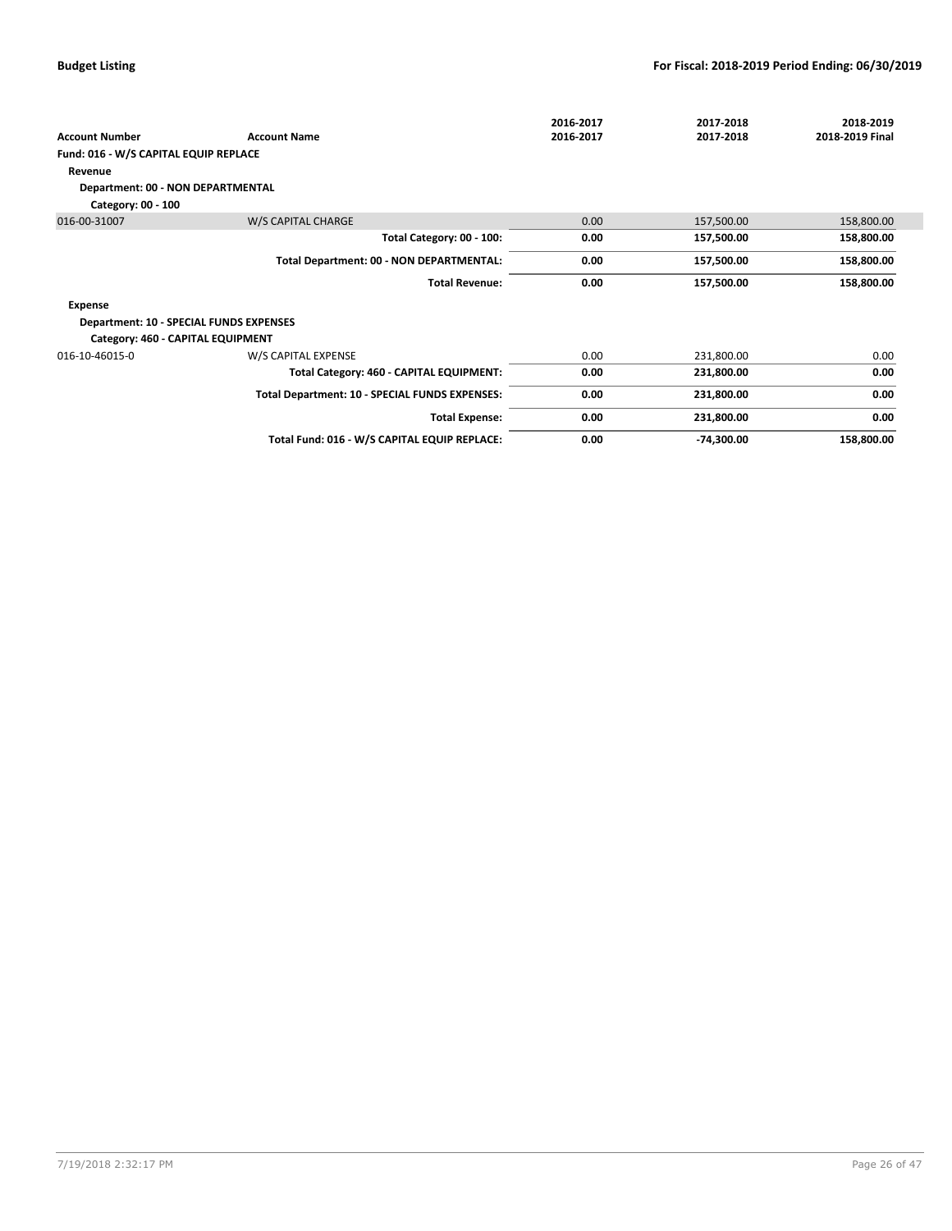|                                                |                                                | 2016-2017 | 2017-2018    | 2018-2019       |
|------------------------------------------------|------------------------------------------------|-----------|--------------|-----------------|
| <b>Account Number</b>                          | <b>Account Name</b>                            | 2016-2017 | 2017-2018    | 2018-2019 Final |
| Fund: 016 - W/S CAPITAL EQUIP REPLACE          |                                                |           |              |                 |
| Revenue                                        |                                                |           |              |                 |
| Department: 00 - NON DEPARTMENTAL              |                                                |           |              |                 |
| Category: 00 - 100                             |                                                |           |              |                 |
| 016-00-31007                                   | W/S CAPITAL CHARGE                             | 0.00      | 157,500.00   | 158,800.00      |
|                                                | Total Category: 00 - 100:                      | 0.00      | 157,500.00   | 158,800.00      |
|                                                | Total Department: 00 - NON DEPARTMENTAL:       | 0.00      | 157,500.00   | 158,800.00      |
|                                                | <b>Total Revenue:</b>                          | 0.00      | 157,500.00   | 158,800.00      |
| Expense                                        |                                                |           |              |                 |
| <b>Department: 10 - SPECIAL FUNDS EXPENSES</b> |                                                |           |              |                 |
| Category: 460 - CAPITAL EQUIPMENT              |                                                |           |              |                 |
| 016-10-46015-0                                 | W/S CAPITAL EXPENSE                            | 0.00      | 231,800.00   | 0.00            |
|                                                | Total Category: 460 - CAPITAL EQUIPMENT:       | 0.00      | 231,800.00   | 0.00            |
|                                                | Total Department: 10 - SPECIAL FUNDS EXPENSES: | 0.00      | 231,800.00   | 0.00            |
|                                                | <b>Total Expense:</b>                          | 0.00      | 231,800.00   | 0.00            |
|                                                | Total Fund: 016 - W/S CAPITAL EQUIP REPLACE:   | 0.00      | $-74,300.00$ | 158,800.00      |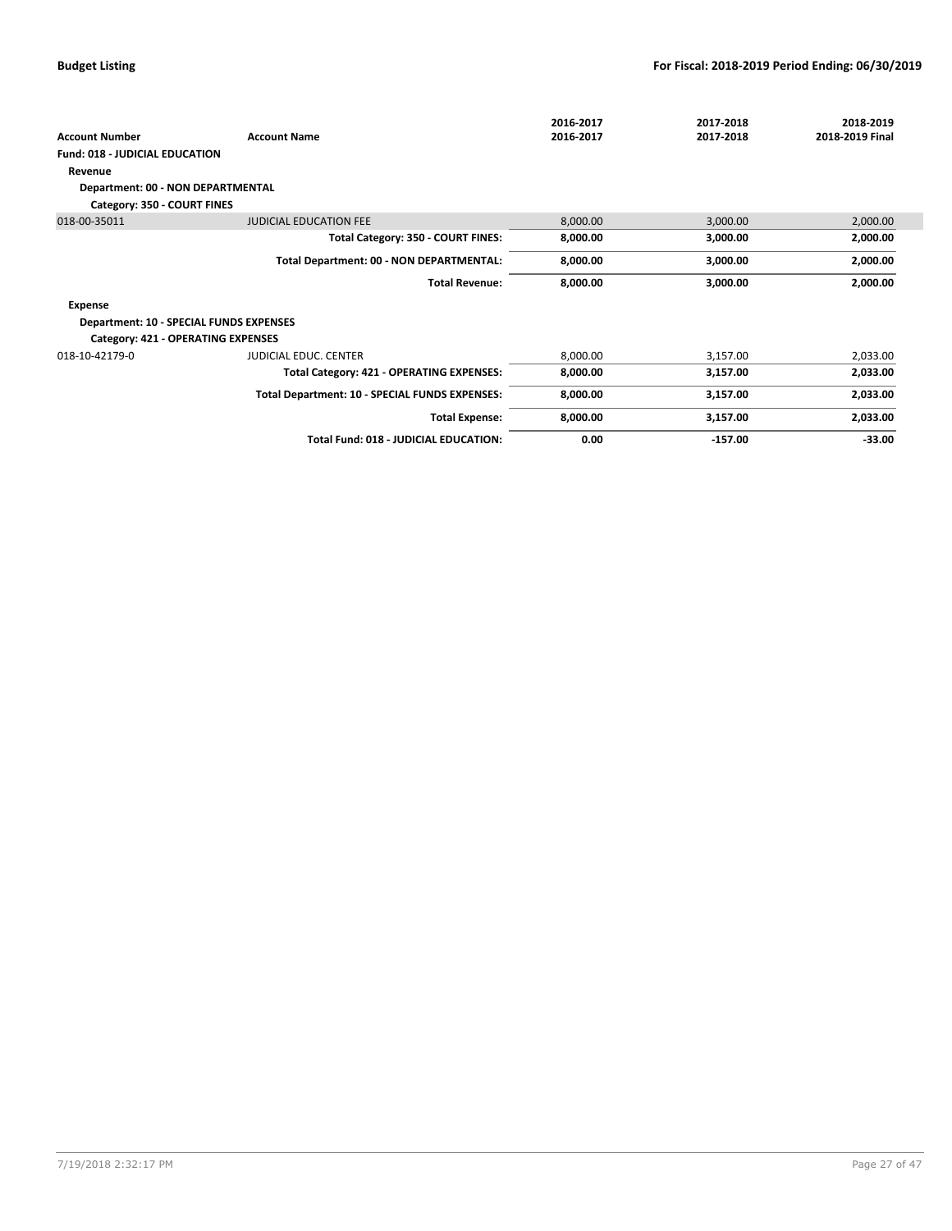|                                                |                                                | 2016-2017 | 2017-2018 | 2018-2019       |
|------------------------------------------------|------------------------------------------------|-----------|-----------|-----------------|
| <b>Account Number</b>                          | <b>Account Name</b>                            | 2016-2017 | 2017-2018 | 2018-2019 Final |
| <b>Fund: 018 - JUDICIAL EDUCATION</b>          |                                                |           |           |                 |
| Revenue                                        |                                                |           |           |                 |
| Department: 00 - NON DEPARTMENTAL              |                                                |           |           |                 |
| Category: 350 - COURT FINES                    |                                                |           |           |                 |
| 018-00-35011                                   | <b>JUDICIAL EDUCATION FEE</b>                  | 8,000.00  | 3,000.00  | 2,000.00        |
|                                                | Total Category: 350 - COURT FINES:             | 8,000.00  | 3,000.00  | 2,000.00        |
|                                                | Total Department: 00 - NON DEPARTMENTAL:       | 8,000.00  | 3,000.00  | 2,000.00        |
|                                                | <b>Total Revenue:</b>                          | 8,000.00  | 3,000.00  | 2,000.00        |
| Expense                                        |                                                |           |           |                 |
| <b>Department: 10 - SPECIAL FUNDS EXPENSES</b> |                                                |           |           |                 |
| Category: 421 - OPERATING EXPENSES             |                                                |           |           |                 |
| 018-10-42179-0                                 | JUDICIAL EDUC. CENTER                          | 8,000.00  | 3,157.00  | 2,033.00        |
|                                                | Total Category: 421 - OPERATING EXPENSES:      | 8,000.00  | 3,157.00  | 2,033.00        |
|                                                | Total Department: 10 - SPECIAL FUNDS EXPENSES: | 8,000.00  | 3,157.00  | 2,033.00        |
|                                                | <b>Total Expense:</b>                          | 8,000.00  | 3,157.00  | 2,033.00        |
|                                                | Total Fund: 018 - JUDICIAL EDUCATION:          | 0.00      | $-157.00$ | $-33.00$        |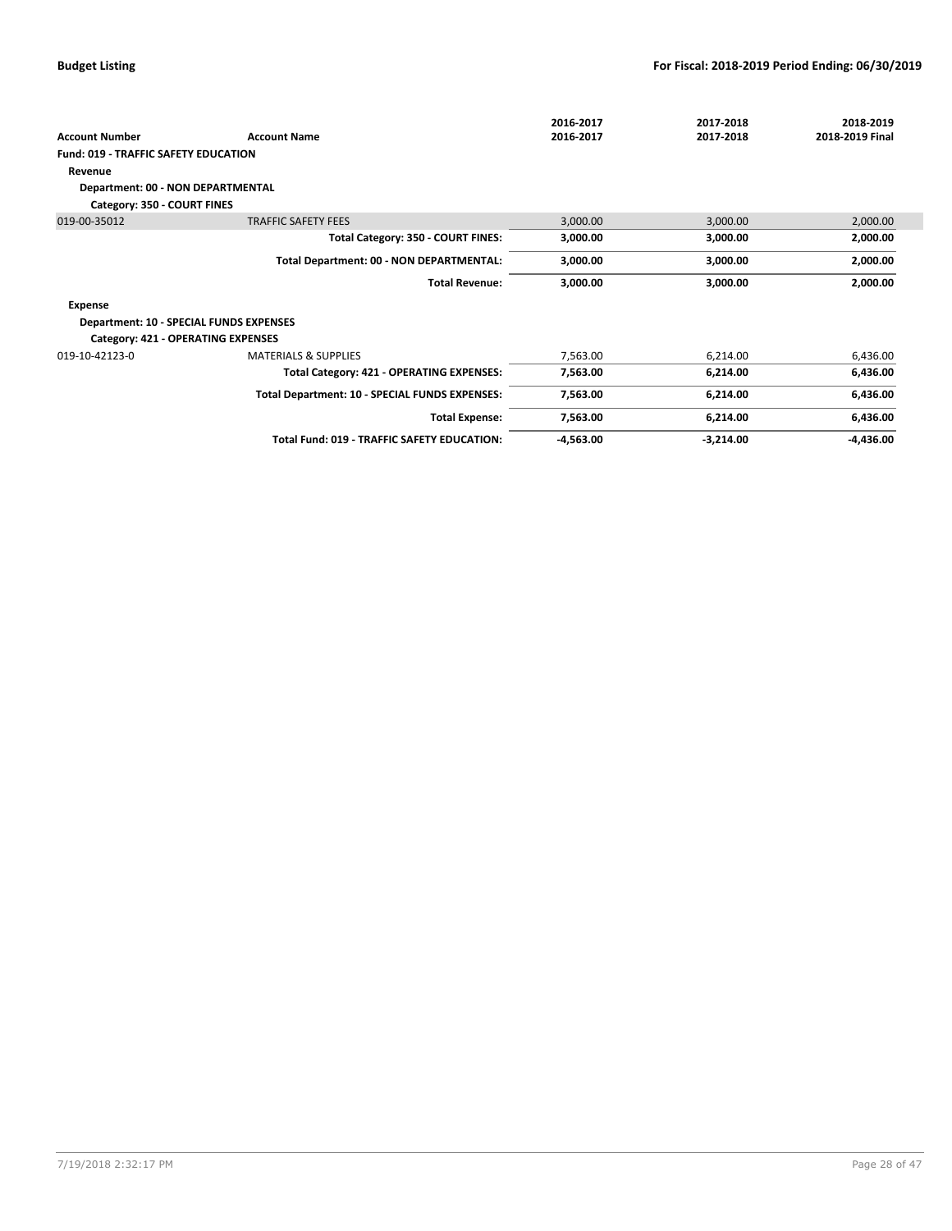|                                             |                                                | 2016-2017   | 2017-2018   | 2018-2019       |
|---------------------------------------------|------------------------------------------------|-------------|-------------|-----------------|
| <b>Account Number</b>                       | <b>Account Name</b>                            | 2016-2017   | 2017-2018   | 2018-2019 Final |
| <b>Fund: 019 - TRAFFIC SAFETY EDUCATION</b> |                                                |             |             |                 |
| Revenue                                     |                                                |             |             |                 |
| Department: 00 - NON DEPARTMENTAL           |                                                |             |             |                 |
| Category: 350 - COURT FINES                 |                                                |             |             |                 |
| 019-00-35012                                | <b>TRAFFIC SAFETY FEES</b>                     | 3,000.00    | 3,000.00    | 2,000.00        |
|                                             | Total Category: 350 - COURT FINES:             | 3,000.00    | 3,000.00    | 2,000.00        |
|                                             | Total Department: 00 - NON DEPARTMENTAL:       | 3,000.00    | 3,000.00    | 2,000.00        |
|                                             | <b>Total Revenue:</b>                          | 3,000.00    | 3,000.00    | 2,000.00        |
| Expense                                     |                                                |             |             |                 |
| Department: 10 - SPECIAL FUNDS EXPENSES     |                                                |             |             |                 |
| Category: 421 - OPERATING EXPENSES          |                                                |             |             |                 |
| 019-10-42123-0                              | <b>MATERIALS &amp; SUPPLIES</b>                | 7,563.00    | 6,214.00    | 6,436.00        |
|                                             | Total Category: 421 - OPERATING EXPENSES:      | 7,563.00    | 6,214.00    | 6,436.00        |
|                                             | Total Department: 10 - SPECIAL FUNDS EXPENSES: | 7,563.00    | 6,214.00    | 6,436.00        |
|                                             | <b>Total Expense:</b>                          | 7,563.00    | 6,214.00    | 6,436.00        |
|                                             | Total Fund: 019 - TRAFFIC SAFETY EDUCATION:    | $-4,563.00$ | $-3,214.00$ | $-4,436.00$     |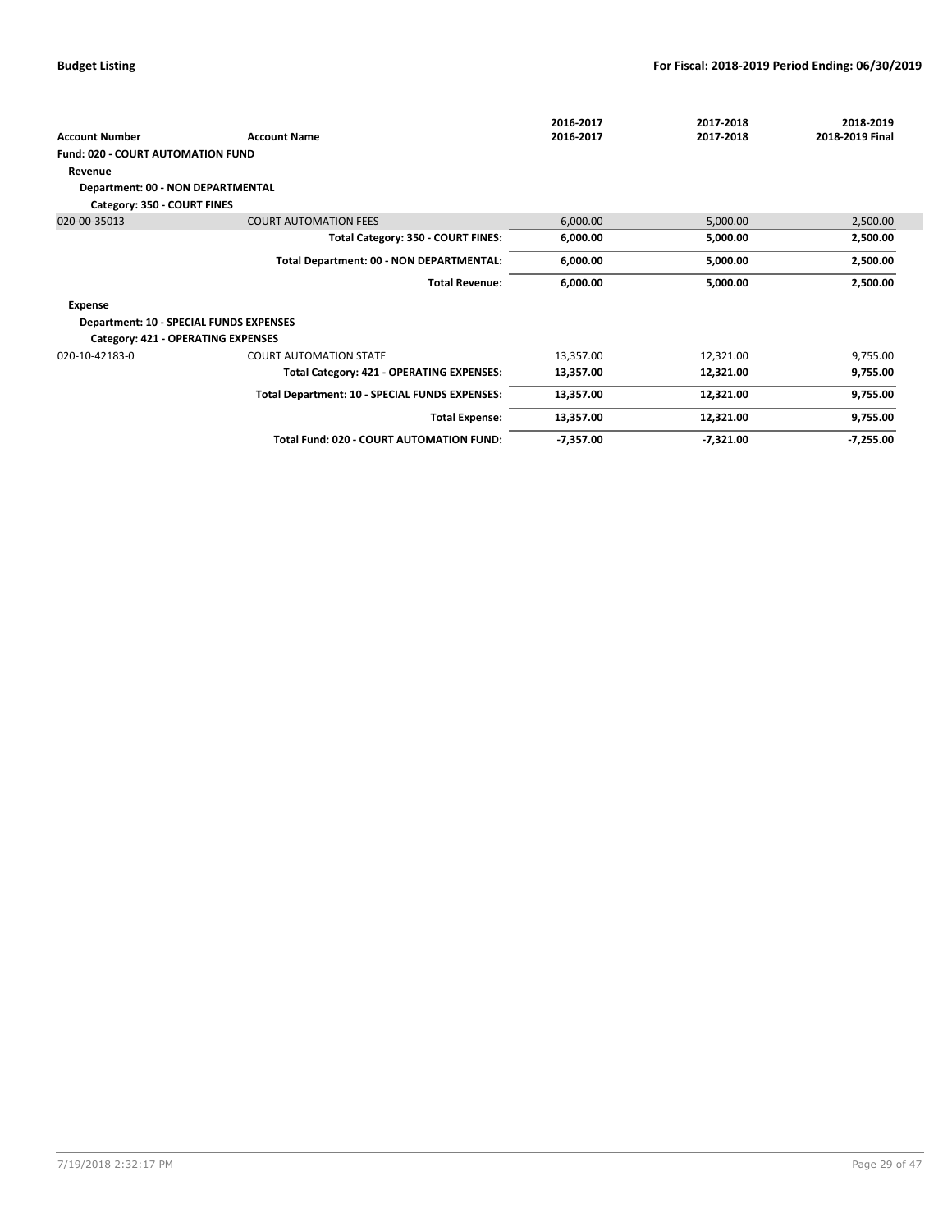|                                         |                                                 | 2016-2017   | 2017-2018   | 2018-2019       |
|-----------------------------------------|-------------------------------------------------|-------------|-------------|-----------------|
| <b>Account Number</b>                   | <b>Account Name</b>                             | 2016-2017   | 2017-2018   | 2018-2019 Final |
| Fund: 020 - COURT AUTOMATION FUND       |                                                 |             |             |                 |
| Revenue                                 |                                                 |             |             |                 |
| Department: 00 - NON DEPARTMENTAL       |                                                 |             |             |                 |
| Category: 350 - COURT FINES             |                                                 |             |             |                 |
| 020-00-35013                            | <b>COURT AUTOMATION FEES</b>                    | 6,000.00    | 5,000.00    | 2,500.00        |
|                                         | Total Category: 350 - COURT FINES:              | 6,000.00    | 5,000.00    | 2,500.00        |
|                                         | Total Department: 00 - NON DEPARTMENTAL:        | 6,000.00    | 5,000.00    | 2,500.00        |
|                                         | <b>Total Revenue:</b>                           | 6,000.00    | 5,000.00    | 2,500.00        |
| Expense                                 |                                                 |             |             |                 |
| Department: 10 - SPECIAL FUNDS EXPENSES |                                                 |             |             |                 |
| Category: 421 - OPERATING EXPENSES      |                                                 |             |             |                 |
| 020-10-42183-0                          | <b>COURT AUTOMATION STATE</b>                   | 13,357.00   | 12,321.00   | 9,755.00        |
|                                         | Total Category: 421 - OPERATING EXPENSES:       | 13,357.00   | 12,321.00   | 9,755.00        |
|                                         | Total Department: 10 - SPECIAL FUNDS EXPENSES:  | 13,357.00   | 12,321.00   | 9,755.00        |
|                                         | <b>Total Expense:</b>                           | 13,357.00   | 12,321.00   | 9,755.00        |
|                                         | <b>Total Fund: 020 - COURT AUTOMATION FUND:</b> | $-7,357.00$ | $-7,321.00$ | $-7,255.00$     |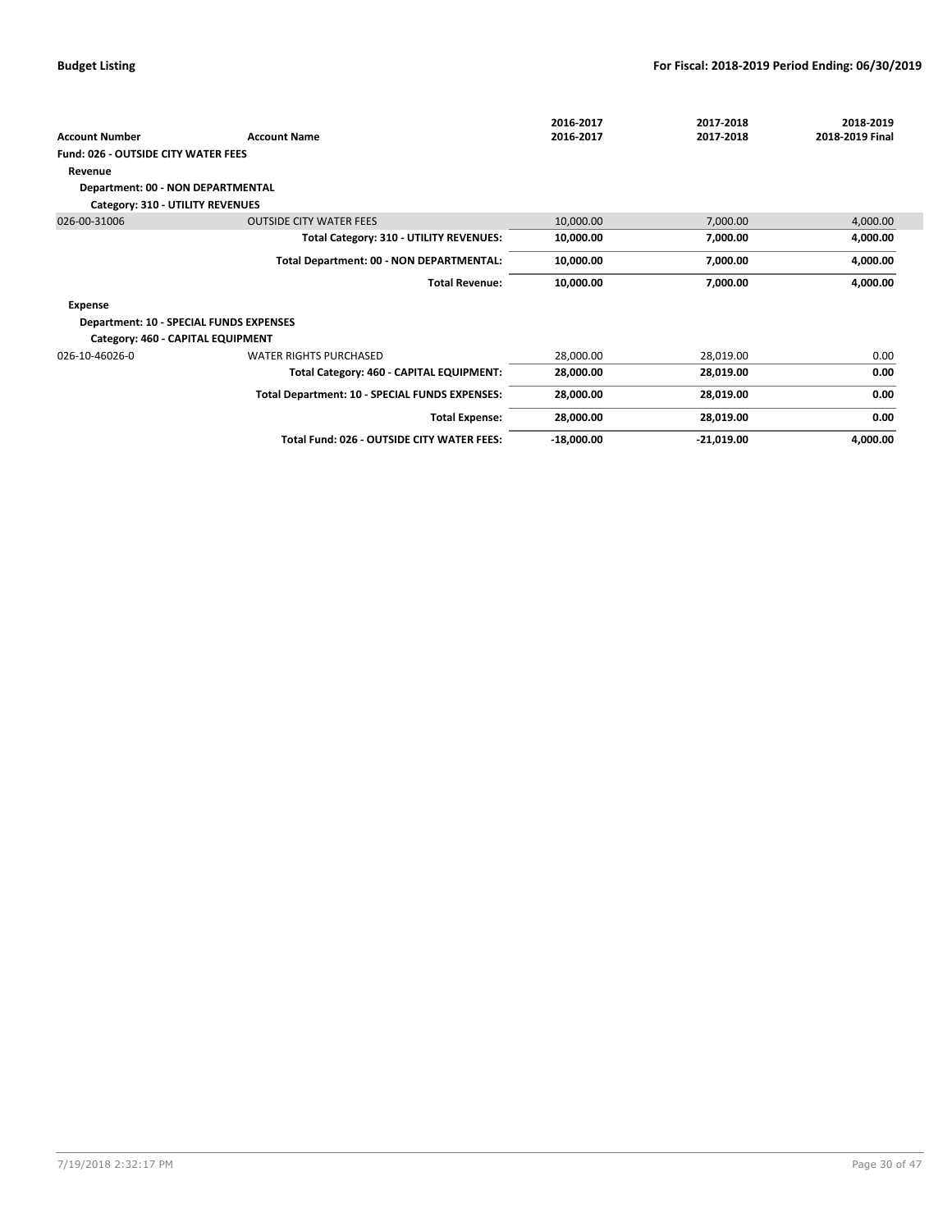| <b>Account Number</b>                      | <b>Account Name</b>                            | 2016-2017<br>2016-2017 | 2017-2018<br>2017-2018 | 2018-2019<br>2018-2019 Final |
|--------------------------------------------|------------------------------------------------|------------------------|------------------------|------------------------------|
| <b>Fund: 026 - OUTSIDE CITY WATER FEES</b> |                                                |                        |                        |                              |
| Revenue                                    |                                                |                        |                        |                              |
| Department: 00 - NON DEPARTMENTAL          |                                                |                        |                        |                              |
|                                            |                                                |                        |                        |                              |
| Category: 310 - UTILITY REVENUES           |                                                |                        |                        |                              |
| 026-00-31006                               | <b>OUTSIDE CITY WATER FEES</b>                 | 10,000.00              | 7,000.00               | 4,000.00                     |
|                                            | Total Category: 310 - UTILITY REVENUES:        | 10,000.00              | 7,000.00               | 4,000.00                     |
|                                            | Total Department: 00 - NON DEPARTMENTAL:       | 10,000.00              | 7,000.00               | 4,000.00                     |
|                                            | <b>Total Revenue:</b>                          | 10,000.00              | 7,000.00               | 4,000.00                     |
| <b>Expense</b>                             |                                                |                        |                        |                              |
| Department: 10 - SPECIAL FUNDS EXPENSES    |                                                |                        |                        |                              |
| Category: 460 - CAPITAL EQUIPMENT          |                                                |                        |                        |                              |
| 026-10-46026-0                             | <b>WATER RIGHTS PURCHASED</b>                  | 28,000.00              | 28,019.00              | 0.00                         |
|                                            | Total Category: 460 - CAPITAL EQUIPMENT:       | 28,000.00              | 28,019.00              | 0.00                         |
|                                            | Total Department: 10 - SPECIAL FUNDS EXPENSES: | 28,000.00              | 28,019.00              | 0.00                         |
|                                            | <b>Total Expense:</b>                          | 28,000.00              | 28,019.00              | 0.00                         |
|                                            | Total Fund: 026 - OUTSIDE CITY WATER FEES:     | $-18,000.00$           | $-21,019.00$           | 4,000.00                     |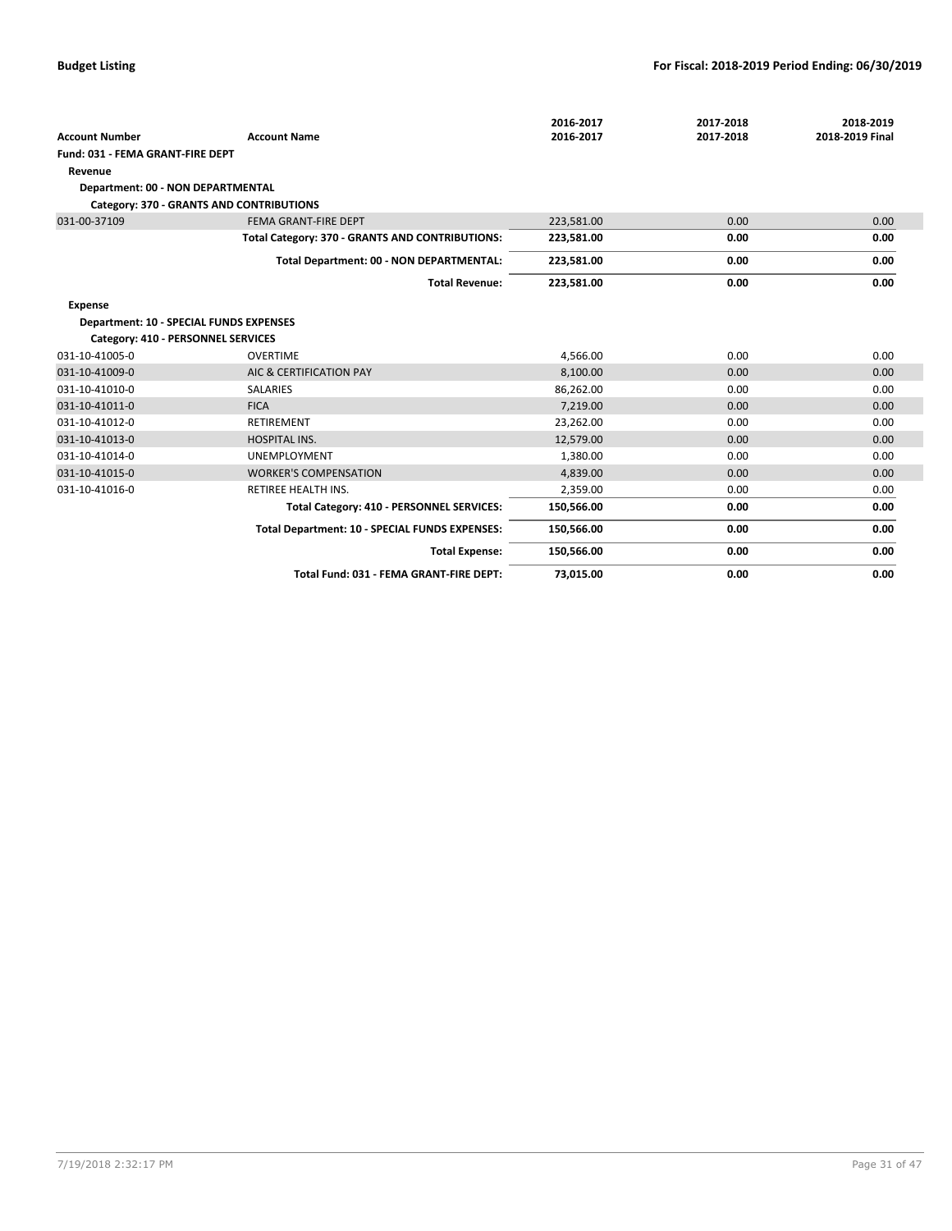|                                                |                                                 | 2016-2017  | 2017-2018 | 2018-2019       |
|------------------------------------------------|-------------------------------------------------|------------|-----------|-----------------|
| <b>Account Number</b>                          | <b>Account Name</b>                             | 2016-2017  | 2017-2018 | 2018-2019 Final |
| Fund: 031 - FEMA GRANT-FIRE DEPT               |                                                 |            |           |                 |
| Revenue                                        |                                                 |            |           |                 |
| Department: 00 - NON DEPARTMENTAL              |                                                 |            |           |                 |
|                                                | Category: 370 - GRANTS AND CONTRIBUTIONS        |            |           |                 |
| 031-00-37109                                   | FEMA GRANT-FIRE DEPT                            | 223,581.00 | 0.00      | 0.00            |
|                                                | Total Category: 370 - GRANTS AND CONTRIBUTIONS: | 223,581.00 | 0.00      | 0.00            |
|                                                | Total Department: 00 - NON DEPARTMENTAL:        | 223,581.00 | 0.00      | 0.00            |
|                                                | <b>Total Revenue:</b>                           | 223,581.00 | 0.00      | 0.00            |
| <b>Expense</b>                                 |                                                 |            |           |                 |
| <b>Department: 10 - SPECIAL FUNDS EXPENSES</b> |                                                 |            |           |                 |
| Category: 410 - PERSONNEL SERVICES             |                                                 |            |           |                 |
| 031-10-41005-0                                 | <b>OVERTIME</b>                                 | 4,566.00   | 0.00      | 0.00            |
| 031-10-41009-0                                 | AIC & CERTIFICATION PAY                         | 8,100.00   | 0.00      | 0.00            |
| 031-10-41010-0                                 | <b>SALARIES</b>                                 | 86,262.00  | 0.00      | 0.00            |
| 031-10-41011-0                                 | <b>FICA</b>                                     | 7,219.00   | 0.00      | 0.00            |
| 031-10-41012-0                                 | <b>RETIREMENT</b>                               | 23,262.00  | 0.00      | 0.00            |
| 031-10-41013-0                                 | <b>HOSPITAL INS.</b>                            | 12,579.00  | 0.00      | 0.00            |
| 031-10-41014-0                                 | <b>UNEMPLOYMENT</b>                             | 1,380.00   | 0.00      | 0.00            |
| 031-10-41015-0                                 | <b>WORKER'S COMPENSATION</b>                    | 4,839.00   | 0.00      | 0.00            |
| 031-10-41016-0                                 | <b>RETIREE HEALTH INS.</b>                      | 2,359.00   | 0.00      | 0.00            |
|                                                | Total Category: 410 - PERSONNEL SERVICES:       | 150,566.00 | 0.00      | 0.00            |
|                                                | Total Department: 10 - SPECIAL FUNDS EXPENSES:  | 150,566.00 | 0.00      | 0.00            |
|                                                | <b>Total Expense:</b>                           | 150,566.00 | 0.00      | 0.00            |
|                                                | Total Fund: 031 - FEMA GRANT-FIRE DEPT:         | 73,015.00  | 0.00      | 0.00            |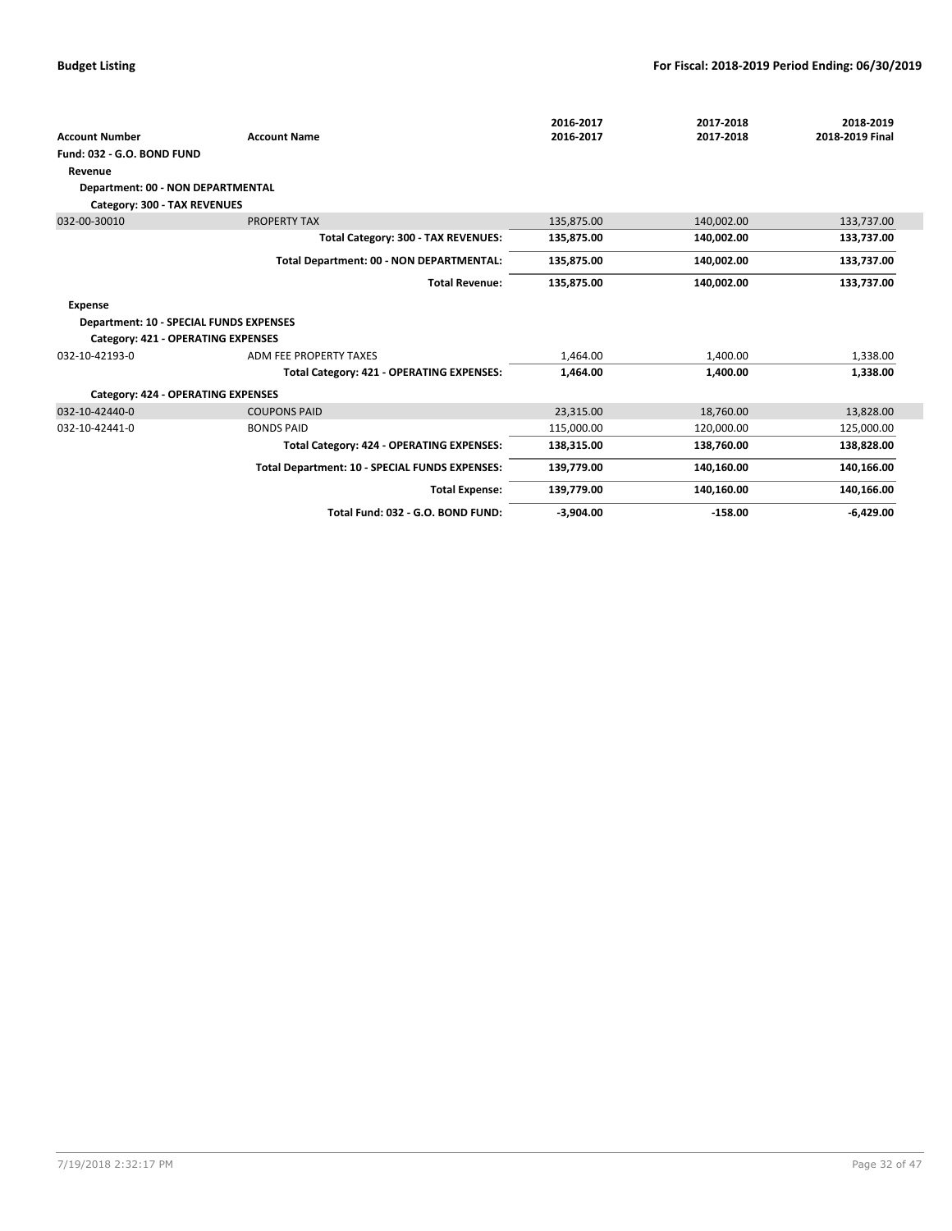|                                                |                                                | 2016-2017   | 2017-2018  | 2018-2019       |
|------------------------------------------------|------------------------------------------------|-------------|------------|-----------------|
| <b>Account Number</b>                          | <b>Account Name</b>                            | 2016-2017   | 2017-2018  | 2018-2019 Final |
| Fund: 032 - G.O. BOND FUND                     |                                                |             |            |                 |
| Revenue                                        |                                                |             |            |                 |
| Department: 00 - NON DEPARTMENTAL              |                                                |             |            |                 |
| Category: 300 - TAX REVENUES                   |                                                |             |            |                 |
| 032-00-30010                                   | PROPERTY TAX                                   | 135,875.00  | 140,002.00 | 133,737.00      |
|                                                | Total Category: 300 - TAX REVENUES:            | 135,875.00  | 140,002.00 | 133,737.00      |
|                                                | Total Department: 00 - NON DEPARTMENTAL:       | 135,875.00  | 140,002.00 | 133,737.00      |
|                                                | <b>Total Revenue:</b>                          | 135,875.00  | 140,002.00 | 133,737.00      |
| <b>Expense</b>                                 |                                                |             |            |                 |
| <b>Department: 10 - SPECIAL FUNDS EXPENSES</b> |                                                |             |            |                 |
| Category: 421 - OPERATING EXPENSES             |                                                |             |            |                 |
| 032-10-42193-0                                 | ADM FEE PROPERTY TAXES                         | 1,464.00    | 1,400.00   | 1,338.00        |
|                                                | Total Category: 421 - OPERATING EXPENSES:      | 1,464.00    | 1,400.00   | 1,338.00        |
| Category: 424 - OPERATING EXPENSES             |                                                |             |            |                 |
| 032-10-42440-0                                 | <b>COUPONS PAID</b>                            | 23.315.00   | 18,760.00  | 13,828.00       |
| 032-10-42441-0                                 | <b>BONDS PAID</b>                              | 115.000.00  | 120.000.00 | 125,000.00      |
|                                                | Total Category: 424 - OPERATING EXPENSES:      | 138,315.00  | 138,760.00 | 138,828.00      |
|                                                | Total Department: 10 - SPECIAL FUNDS EXPENSES: | 139,779.00  | 140,160.00 | 140,166.00      |
|                                                | <b>Total Expense:</b>                          | 139,779.00  | 140,160.00 | 140,166.00      |
|                                                | Total Fund: 032 - G.O. BOND FUND:              | $-3,904.00$ | $-158.00$  | $-6,429.00$     |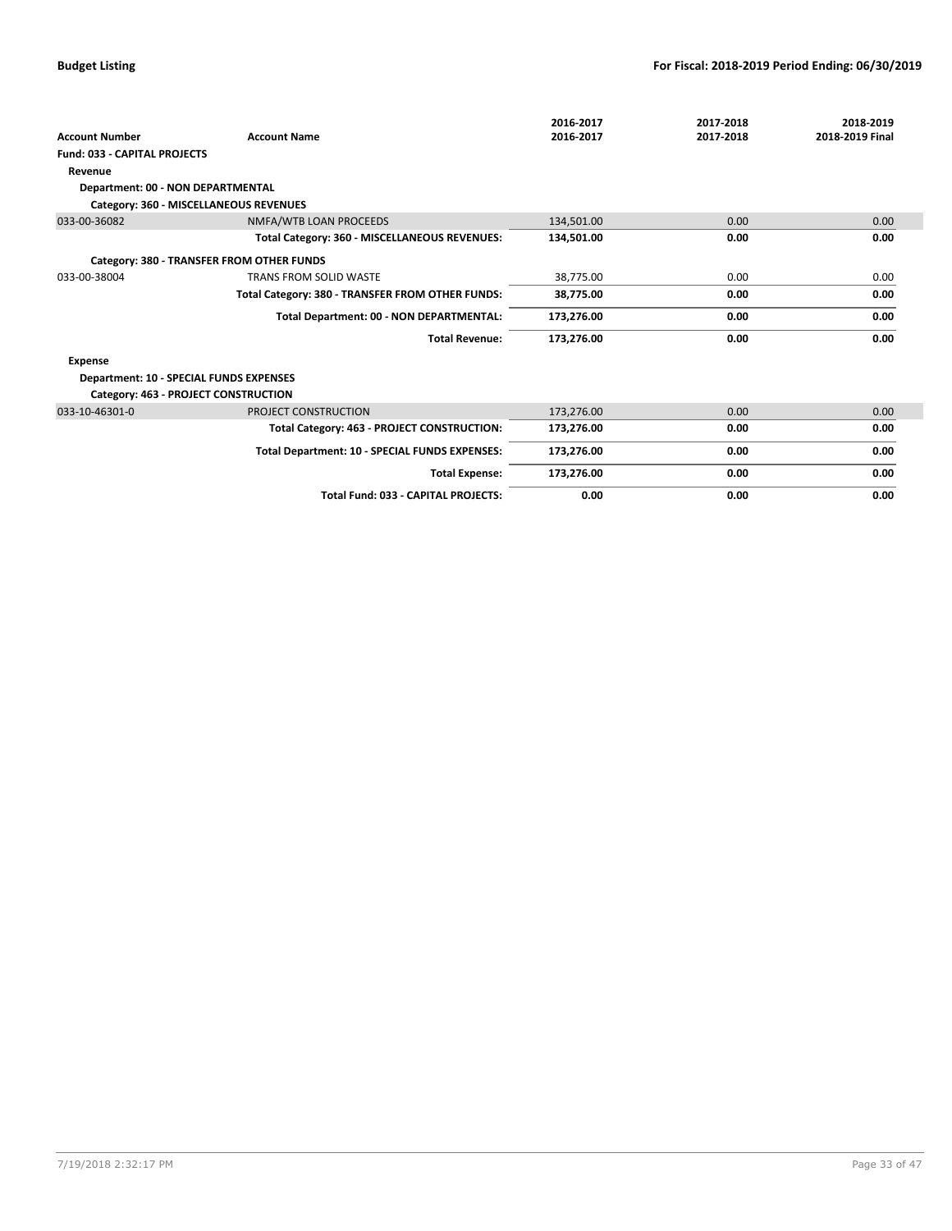| <b>Account Number</b>                          | <b>Account Name</b>                              | 2016-2017<br>2016-2017 | 2017-2018<br>2017-2018 | 2018-2019<br>2018-2019 Final |
|------------------------------------------------|--------------------------------------------------|------------------------|------------------------|------------------------------|
| <b>Fund: 033 - CAPITAL PROJECTS</b>            |                                                  |                        |                        |                              |
| Revenue                                        |                                                  |                        |                        |                              |
| Department: 00 - NON DEPARTMENTAL              |                                                  |                        |                        |                              |
|                                                | Category: 360 - MISCELLANEOUS REVENUES           |                        |                        |                              |
| 033-00-36082                                   | NMFA/WTB LOAN PROCEEDS                           | 134,501.00             | 0.00                   | 0.00                         |
|                                                | Total Category: 360 - MISCELLANEOUS REVENUES:    | 134,501.00             | 0.00                   | 0.00                         |
|                                                | Category: 380 - TRANSFER FROM OTHER FUNDS        |                        |                        |                              |
| 033-00-38004                                   | <b>TRANS FROM SOLID WASTE</b>                    | 38,775.00              | 0.00                   | 0.00                         |
|                                                | Total Category: 380 - TRANSFER FROM OTHER FUNDS: | 38,775.00              | 0.00                   | 0.00                         |
|                                                | Total Department: 00 - NON DEPARTMENTAL:         | 173,276.00             | 0.00                   | 0.00                         |
|                                                | <b>Total Revenue:</b>                            | 173,276.00             | 0.00                   | 0.00                         |
| <b>Expense</b>                                 |                                                  |                        |                        |                              |
| <b>Department: 10 - SPECIAL FUNDS EXPENSES</b> |                                                  |                        |                        |                              |
|                                                | Category: 463 - PROJECT CONSTRUCTION             |                        |                        |                              |
| 033-10-46301-0                                 | PROJECT CONSTRUCTION                             | 173,276.00             | 0.00                   | 0.00                         |
|                                                | Total Category: 463 - PROJECT CONSTRUCTION:      | 173,276.00             | 0.00                   | 0.00                         |
|                                                | Total Department: 10 - SPECIAL FUNDS EXPENSES:   | 173,276.00             | 0.00                   | 0.00                         |
|                                                | <b>Total Expense:</b>                            | 173,276.00             | 0.00                   | 0.00                         |
|                                                | Total Fund: 033 - CAPITAL PROJECTS:              | 0.00                   | 0.00                   | 0.00                         |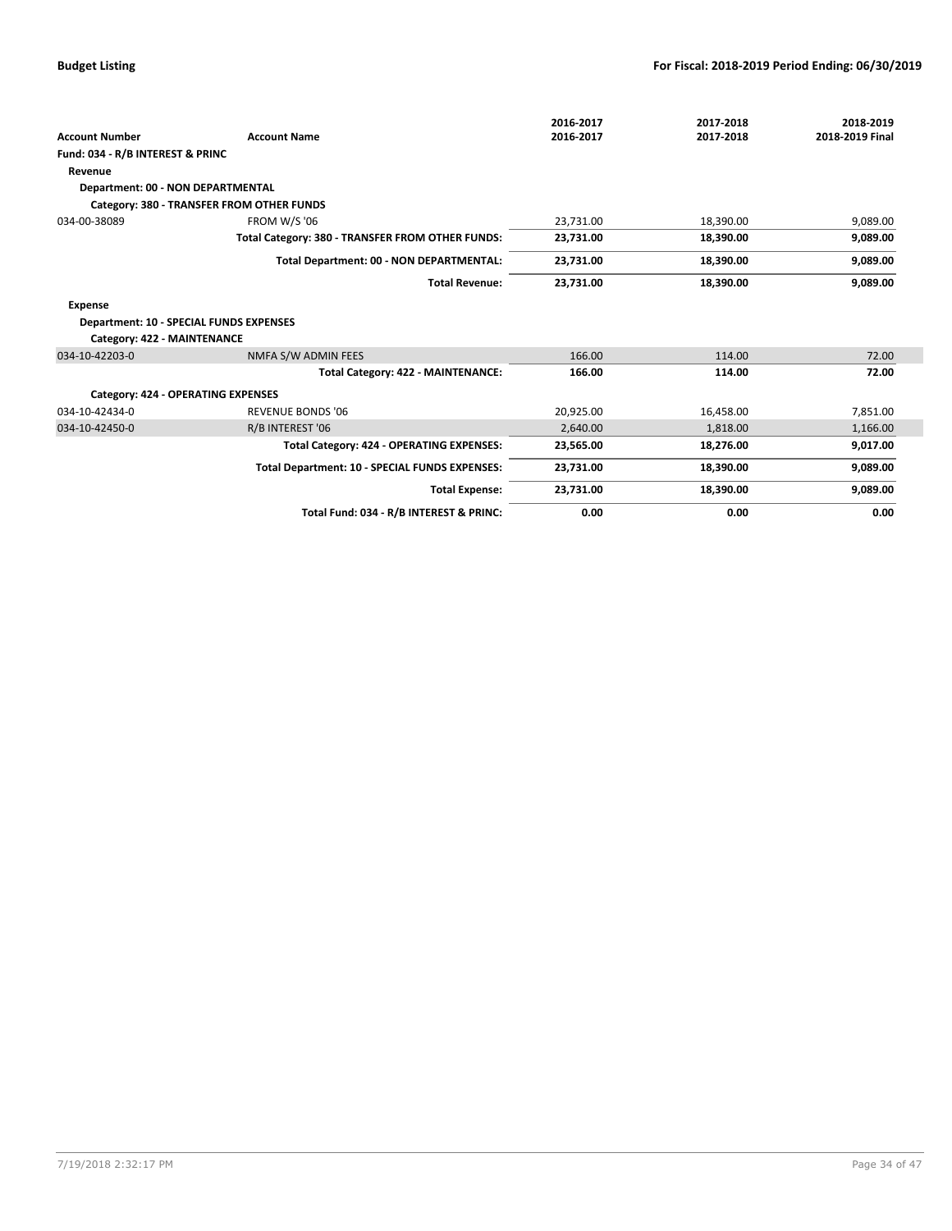|                                                |                                                  | 2016-2017 | 2017-2018 | 2018-2019       |
|------------------------------------------------|--------------------------------------------------|-----------|-----------|-----------------|
| <b>Account Number</b>                          | <b>Account Name</b>                              | 2016-2017 | 2017-2018 | 2018-2019 Final |
| Fund: 034 - R/B INTEREST & PRINC               |                                                  |           |           |                 |
| Revenue                                        |                                                  |           |           |                 |
| Department: 00 - NON DEPARTMENTAL              |                                                  |           |           |                 |
|                                                | Category: 380 - TRANSFER FROM OTHER FUNDS        |           |           |                 |
| 034-00-38089                                   | <b>FROM W/S '06</b>                              | 23,731.00 | 18,390.00 | 9,089.00        |
|                                                | Total Category: 380 - TRANSFER FROM OTHER FUNDS: | 23,731.00 | 18,390.00 | 9,089.00        |
|                                                | Total Department: 00 - NON DEPARTMENTAL:         | 23,731.00 | 18,390.00 | 9,089.00        |
|                                                | <b>Total Revenue:</b>                            | 23,731.00 | 18,390.00 | 9,089.00        |
| <b>Expense</b>                                 |                                                  |           |           |                 |
| <b>Department: 10 - SPECIAL FUNDS EXPENSES</b> |                                                  |           |           |                 |
| Category: 422 - MAINTENANCE                    |                                                  |           |           |                 |
| 034-10-42203-0                                 | NMFA S/W ADMIN FEES                              | 166.00    | 114.00    | 72.00           |
|                                                | Total Category: 422 - MAINTENANCE:               | 166.00    | 114.00    | 72.00           |
| Category: 424 - OPERATING EXPENSES             |                                                  |           |           |                 |
| 034-10-42434-0                                 | <b>REVENUE BONDS '06</b>                         | 20,925.00 | 16,458.00 | 7,851.00        |
| 034-10-42450-0                                 | R/B INTEREST '06                                 | 2,640.00  | 1,818.00  | 1,166.00        |
|                                                | Total Category: 424 - OPERATING EXPENSES:        | 23,565.00 | 18,276.00 | 9,017.00        |
|                                                | Total Department: 10 - SPECIAL FUNDS EXPENSES:   | 23,731.00 | 18,390.00 | 9,089.00        |
|                                                | <b>Total Expense:</b>                            | 23,731.00 | 18,390.00 | 9,089.00        |
|                                                | Total Fund: 034 - R/B INTEREST & PRINC:          | 0.00      | 0.00      | 0.00            |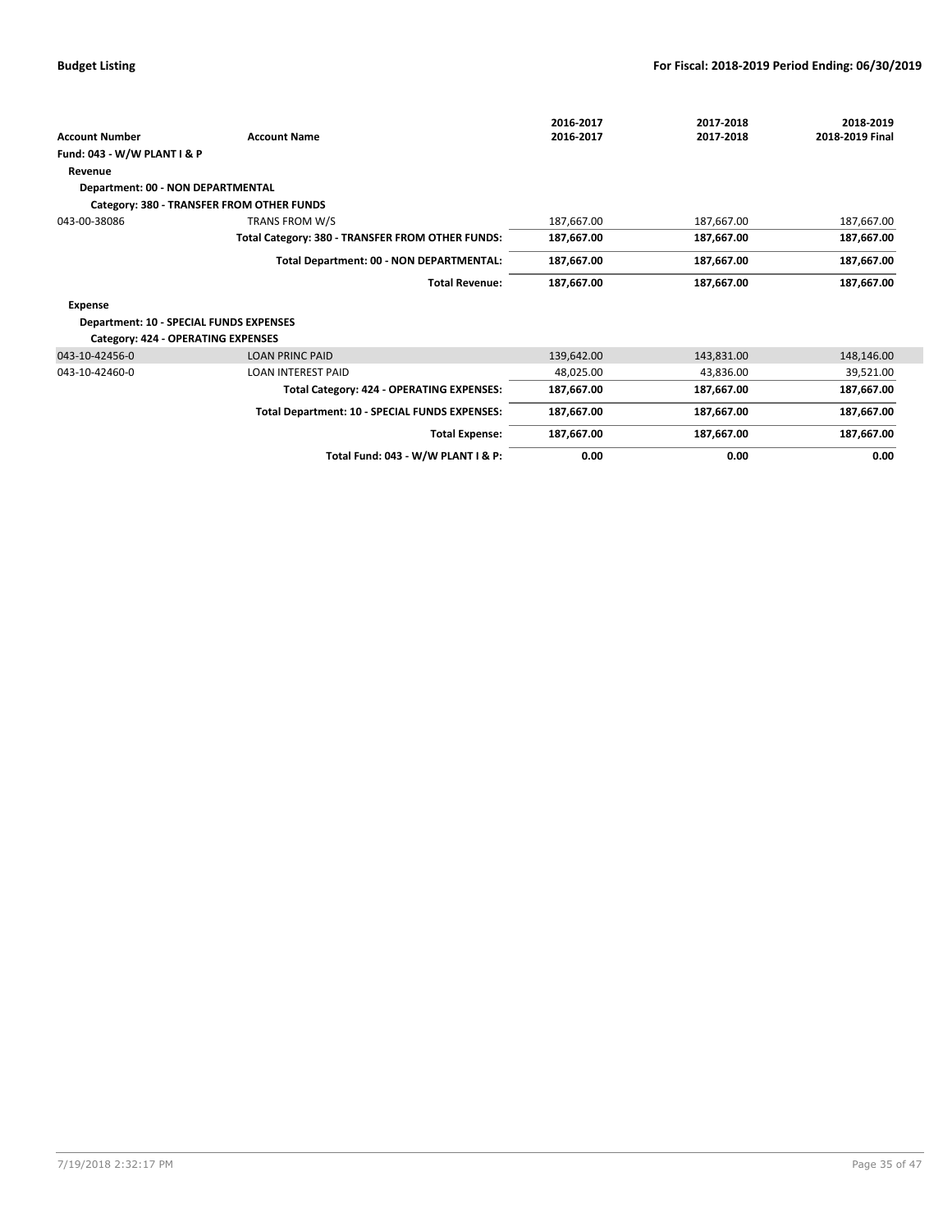|                                         |                                                  | 2016-2017  | 2017-2018  | 2018-2019       |
|-----------------------------------------|--------------------------------------------------|------------|------------|-----------------|
| <b>Account Number</b>                   | <b>Account Name</b>                              | 2016-2017  | 2017-2018  | 2018-2019 Final |
| Fund: 043 - W/W PLANT I & P             |                                                  |            |            |                 |
| Revenue                                 |                                                  |            |            |                 |
| Department: 00 - NON DEPARTMENTAL       |                                                  |            |            |                 |
|                                         | Category: 380 - TRANSFER FROM OTHER FUNDS        |            |            |                 |
| 043-00-38086                            | TRANS FROM W/S                                   | 187,667.00 | 187,667.00 | 187,667.00      |
|                                         | Total Category: 380 - TRANSFER FROM OTHER FUNDS: | 187,667.00 | 187,667.00 | 187,667.00      |
|                                         | Total Department: 00 - NON DEPARTMENTAL:         | 187,667.00 | 187,667.00 | 187,667.00      |
|                                         | <b>Total Revenue:</b>                            | 187,667.00 | 187,667.00 | 187,667.00      |
| Expense                                 |                                                  |            |            |                 |
| Department: 10 - SPECIAL FUNDS EXPENSES |                                                  |            |            |                 |
| Category: 424 - OPERATING EXPENSES      |                                                  |            |            |                 |
| 043-10-42456-0                          | <b>LOAN PRINC PAID</b>                           | 139,642.00 | 143,831.00 | 148,146.00      |
| 043-10-42460-0                          | <b>LOAN INTEREST PAID</b>                        | 48,025.00  | 43,836.00  | 39,521.00       |
|                                         | Total Category: 424 - OPERATING EXPENSES:        | 187,667.00 | 187,667.00 | 187,667.00      |
|                                         | Total Department: 10 - SPECIAL FUNDS EXPENSES:   | 187,667.00 | 187,667.00 | 187,667.00      |
|                                         | <b>Total Expense:</b>                            | 187,667.00 | 187,667.00 | 187,667.00      |
|                                         | Total Fund: 043 - W/W PLANT I & P:               | 0.00       | 0.00       | 0.00            |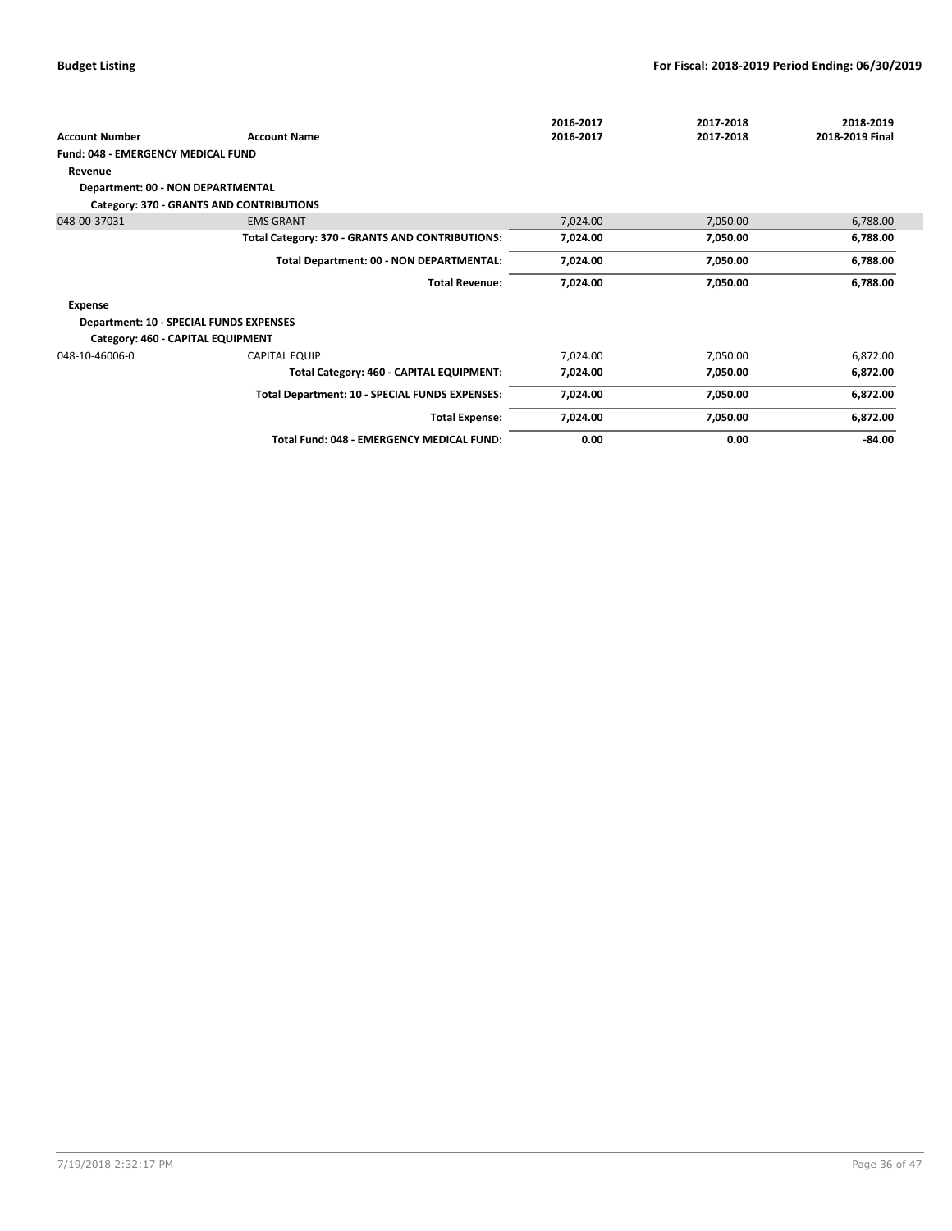|                                         |                                                 | 2016-2017 | 2017-2018 | 2018-2019       |
|-----------------------------------------|-------------------------------------------------|-----------|-----------|-----------------|
| <b>Account Number</b>                   | <b>Account Name</b>                             | 2016-2017 | 2017-2018 | 2018-2019 Final |
| Fund: 048 - EMERGENCY MEDICAL FUND      |                                                 |           |           |                 |
| Revenue                                 |                                                 |           |           |                 |
| Department: 00 - NON DEPARTMENTAL       |                                                 |           |           |                 |
|                                         | Category: 370 - GRANTS AND CONTRIBUTIONS        |           |           |                 |
| 048-00-37031                            | <b>EMS GRANT</b>                                | 7,024.00  | 7,050.00  | 6,788.00        |
|                                         | Total Category: 370 - GRANTS AND CONTRIBUTIONS: | 7,024.00  | 7,050.00  | 6,788.00        |
|                                         | Total Department: 00 - NON DEPARTMENTAL:        | 7,024.00  | 7,050.00  | 6,788.00        |
|                                         | <b>Total Revenue:</b>                           | 7,024.00  | 7,050.00  | 6,788.00        |
| Expense                                 |                                                 |           |           |                 |
| Department: 10 - SPECIAL FUNDS EXPENSES |                                                 |           |           |                 |
| Category: 460 - CAPITAL EQUIPMENT       |                                                 |           |           |                 |
| 048-10-46006-0                          | <b>CAPITAL EQUIP</b>                            | 7,024.00  | 7,050.00  | 6,872.00        |
|                                         | Total Category: 460 - CAPITAL EQUIPMENT:        | 7,024.00  | 7,050.00  | 6,872.00        |
|                                         | Total Department: 10 - SPECIAL FUNDS EXPENSES:  | 7,024.00  | 7,050.00  | 6,872.00        |
|                                         | <b>Total Expense:</b>                           | 7,024.00  | 7,050.00  | 6,872.00        |
|                                         | Total Fund: 048 - EMERGENCY MEDICAL FUND:       | 0.00      | 0.00      | $-84.00$        |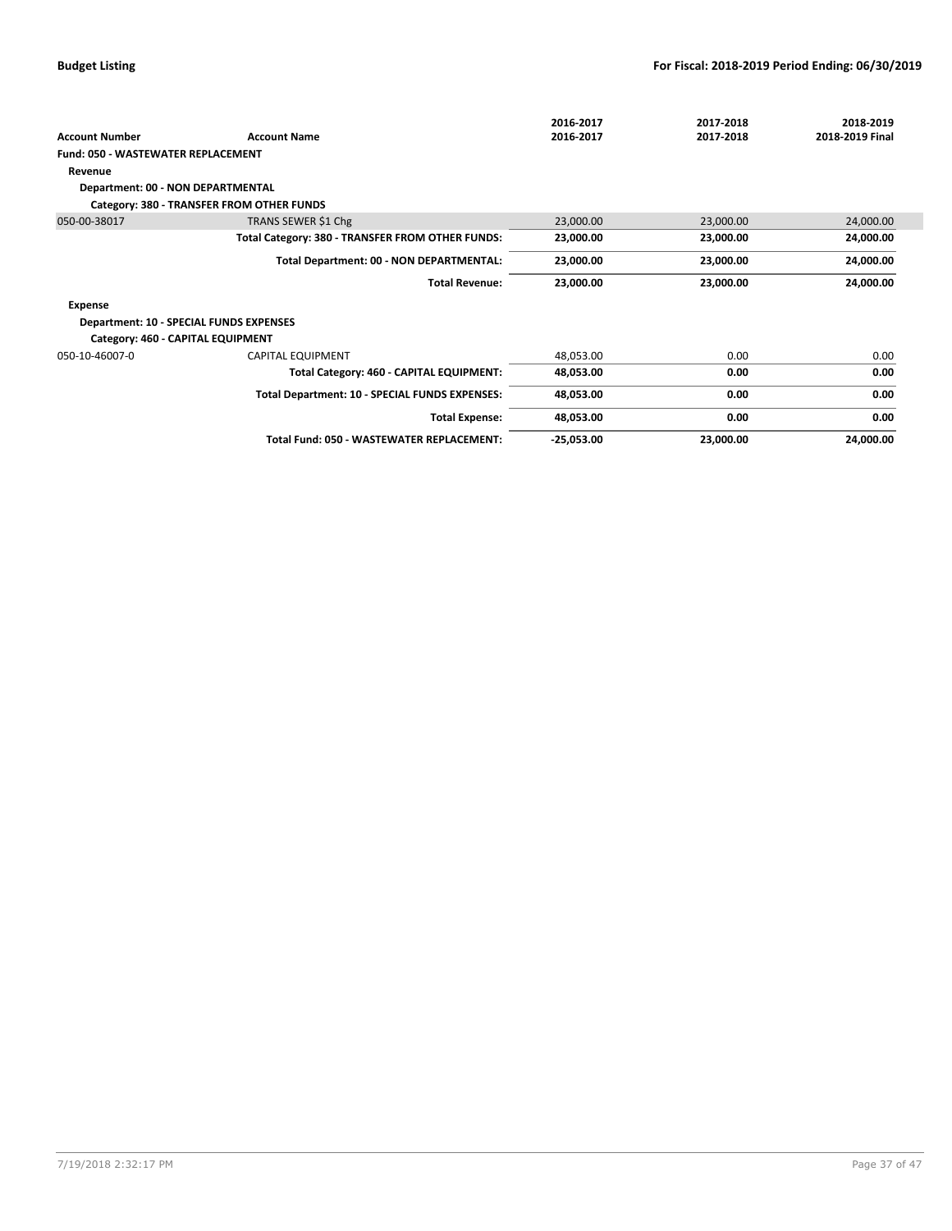|                                         |                                                  | 2016-2017    | 2017-2018 | 2018-2019       |
|-----------------------------------------|--------------------------------------------------|--------------|-----------|-----------------|
| <b>Account Number</b>                   | <b>Account Name</b>                              | 2016-2017    | 2017-2018 | 2018-2019 Final |
| Fund: 050 - WASTEWATER REPLACEMENT      |                                                  |              |           |                 |
| Revenue                                 |                                                  |              |           |                 |
| Department: 00 - NON DEPARTMENTAL       |                                                  |              |           |                 |
|                                         | Category: 380 - TRANSFER FROM OTHER FUNDS        |              |           |                 |
| 050-00-38017                            | TRANS SEWER \$1 Chg                              | 23,000.00    | 23,000.00 | 24,000.00       |
|                                         | Total Category: 380 - TRANSFER FROM OTHER FUNDS: | 23,000.00    | 23,000.00 | 24,000.00       |
|                                         | Total Department: 00 - NON DEPARTMENTAL:         | 23,000.00    | 23,000.00 | 24,000.00       |
|                                         | <b>Total Revenue:</b>                            | 23,000.00    | 23,000.00 | 24,000.00       |
| Expense                                 |                                                  |              |           |                 |
| Department: 10 - SPECIAL FUNDS EXPENSES |                                                  |              |           |                 |
| Category: 460 - CAPITAL EQUIPMENT       |                                                  |              |           |                 |
| 050-10-46007-0                          | <b>CAPITAL EQUIPMENT</b>                         | 48,053.00    | 0.00      | 0.00            |
|                                         | Total Category: 460 - CAPITAL EQUIPMENT:         | 48,053.00    | 0.00      | 0.00            |
|                                         | Total Department: 10 - SPECIAL FUNDS EXPENSES:   | 48,053.00    | 0.00      | 0.00            |
|                                         | <b>Total Expense:</b>                            | 48,053.00    | 0.00      | 0.00            |
|                                         | Total Fund: 050 - WASTEWATER REPLACEMENT:        | $-25,053.00$ | 23,000.00 | 24,000.00       |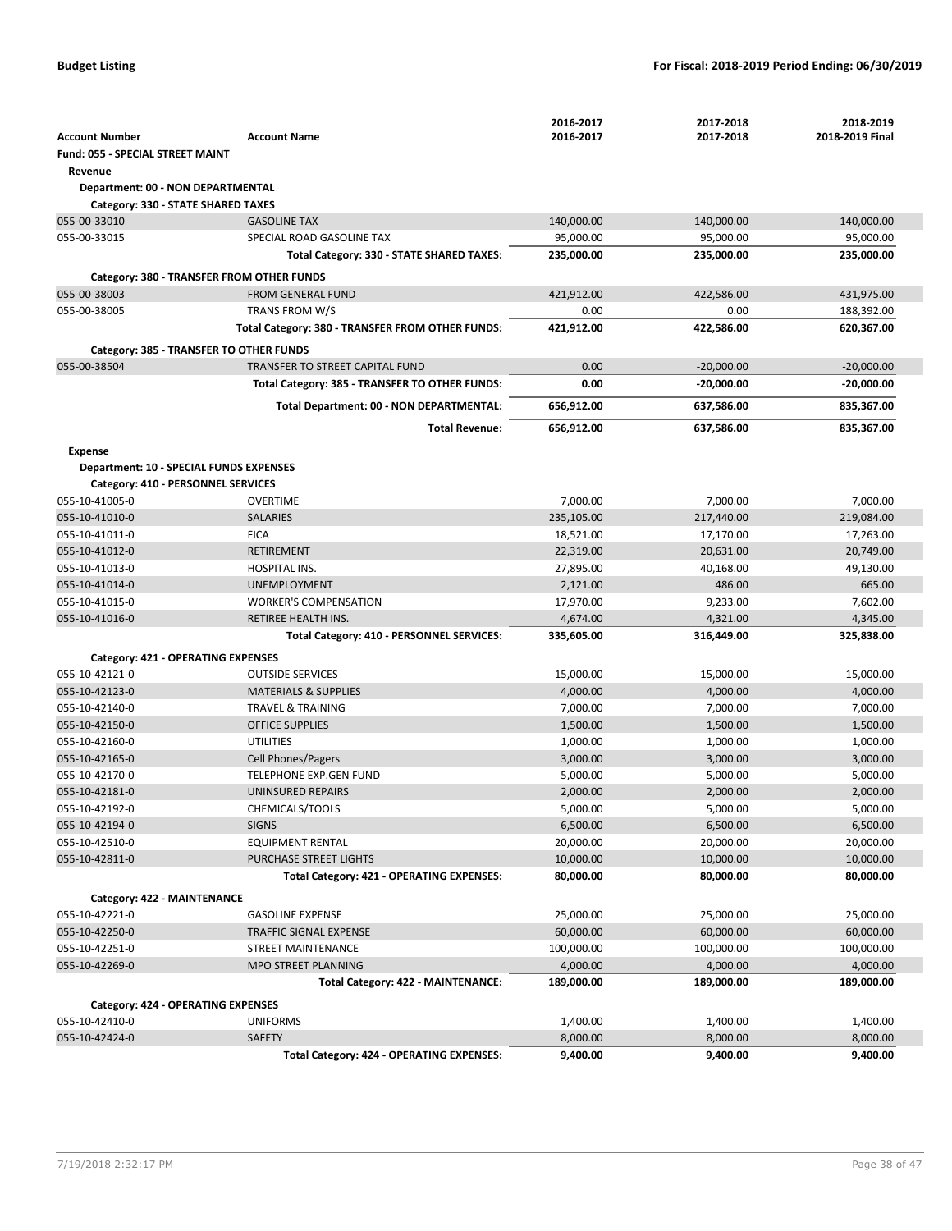|                                                |                                                  | 2016-2017            | 2017-2018             | 2018-2019             |
|------------------------------------------------|--------------------------------------------------|----------------------|-----------------------|-----------------------|
| <b>Account Number</b>                          | <b>Account Name</b>                              | 2016-2017            | 2017-2018             | 2018-2019 Final       |
| Fund: 055 - SPECIAL STREET MAINT               |                                                  |                      |                       |                       |
| Revenue                                        |                                                  |                      |                       |                       |
| Department: 00 - NON DEPARTMENTAL              |                                                  |                      |                       |                       |
| Category: 330 - STATE SHARED TAXES             |                                                  |                      |                       |                       |
| 055-00-33010                                   | <b>GASOLINE TAX</b>                              | 140,000.00           | 140,000.00            | 140,000.00            |
| 055-00-33015                                   | SPECIAL ROAD GASOLINE TAX                        | 95,000.00            | 95,000.00             | 95,000.00             |
|                                                | Total Category: 330 - STATE SHARED TAXES:        | 235,000.00           | 235,000.00            | 235,000.00            |
| Category: 380 - TRANSFER FROM OTHER FUNDS      |                                                  |                      |                       |                       |
| 055-00-38003                                   | <b>FROM GENERAL FUND</b>                         | 421,912.00           | 422,586.00            | 431,975.00            |
| 055-00-38005                                   | <b>TRANS FROM W/S</b>                            | 0.00                 | 0.00                  | 188,392.00            |
|                                                | Total Category: 380 - TRANSFER FROM OTHER FUNDS: | 421,912.00           | 422,586.00            | 620,367.00            |
|                                                |                                                  |                      |                       |                       |
| Category: 385 - TRANSFER TO OTHER FUNDS        |                                                  |                      |                       |                       |
| 055-00-38504                                   | TRANSFER TO STREET CAPITAL FUND                  | 0.00                 | $-20,000.00$          | $-20,000.00$          |
|                                                | Total Category: 385 - TRANSFER TO OTHER FUNDS:   | 0.00                 | $-20,000.00$          | $-20,000.00$          |
|                                                | Total Department: 00 - NON DEPARTMENTAL:         | 656,912.00           | 637,586.00            | 835,367.00            |
|                                                | <b>Total Revenue:</b>                            | 656,912.00           | 637,586.00            | 835,367.00            |
| <b>Expense</b>                                 |                                                  |                      |                       |                       |
| <b>Department: 10 - SPECIAL FUNDS EXPENSES</b> |                                                  |                      |                       |                       |
| Category: 410 - PERSONNEL SERVICES             |                                                  |                      |                       |                       |
| 055-10-41005-0                                 | OVERTIME                                         | 7,000.00             | 7,000.00              | 7,000.00              |
| 055-10-41010-0                                 | <b>SALARIES</b>                                  | 235,105.00           | 217,440.00            | 219,084.00            |
| 055-10-41011-0                                 | <b>FICA</b>                                      | 18,521.00            | 17,170.00             | 17,263.00             |
| 055-10-41012-0                                 | RETIREMENT                                       | 22,319.00            | 20,631.00             | 20,749.00             |
| 055-10-41013-0                                 | HOSPITAL INS.                                    | 27,895.00            | 40,168.00             | 49,130.00             |
| 055-10-41014-0                                 | <b>UNEMPLOYMENT</b>                              | 2,121.00             | 486.00                | 665.00                |
| 055-10-41015-0                                 | <b>WORKER'S COMPENSATION</b>                     | 17,970.00            | 9,233.00              | 7,602.00              |
| 055-10-41016-0                                 | RETIREE HEALTH INS.                              | 4,674.00             | 4,321.00              | 4,345.00              |
|                                                | Total Category: 410 - PERSONNEL SERVICES:        | 335,605.00           | 316,449.00            | 325,838.00            |
|                                                |                                                  |                      |                       |                       |
| Category: 421 - OPERATING EXPENSES             |                                                  |                      |                       |                       |
| 055-10-42121-0                                 | <b>OUTSIDE SERVICES</b>                          | 15,000.00            | 15,000.00             | 15,000.00             |
| 055-10-42123-0                                 | <b>MATERIALS &amp; SUPPLIES</b>                  | 4,000.00             | 4,000.00              | 4,000.00              |
| 055-10-42140-0                                 | <b>TRAVEL &amp; TRAINING</b>                     | 7,000.00             | 7,000.00              | 7,000.00              |
| 055-10-42150-0                                 | <b>OFFICE SUPPLIES</b>                           | 1,500.00             | 1,500.00              | 1,500.00              |
| 055-10-42160-0                                 | <b>UTILITIES</b>                                 | 1,000.00             | 1,000.00              | 1,000.00              |
| 055-10-42165-0                                 | <b>Cell Phones/Pagers</b>                        | 3,000.00             | 3,000.00              | 3,000.00              |
| 055-10-42170-0                                 | <b>TELEPHONE EXP.GEN FUND</b>                    | 5,000.00             | 5,000.00              | 5,000.00              |
| 055-10-42181-0                                 | UNINSURED REPAIRS                                | 2,000.00             | 2,000.00              | 2,000.00              |
| 055-10-42192-0                                 | CHEMICALS/TOOLS                                  | 5,000.00<br>6,500.00 | 5,000.00              | 5,000.00              |
| 055-10-42194-0<br>055-10-42510-0               | <b>SIGNS</b><br><b>EQUIPMENT RENTAL</b>          | 20,000.00            | 6,500.00<br>20,000.00 | 6,500.00<br>20,000.00 |
| 055-10-42811-0                                 | PURCHASE STREET LIGHTS                           | 10,000.00            | 10,000.00             | 10,000.00             |
|                                                |                                                  |                      |                       |                       |
|                                                |                                                  |                      |                       |                       |
|                                                | Total Category: 421 - OPERATING EXPENSES:        | 80,000.00            | 80,000.00             | 80,000.00             |
| Category: 422 - MAINTENANCE                    |                                                  |                      |                       |                       |
| 055-10-42221-0                                 | <b>GASOLINE EXPENSE</b>                          | 25,000.00            | 25,000.00             | 25,000.00             |
| 055-10-42250-0                                 | <b>TRAFFIC SIGNAL EXPENSE</b>                    | 60,000.00            | 60,000.00             | 60,000.00             |
| 055-10-42251-0                                 | STREET MAINTENANCE                               | 100,000.00           | 100,000.00            | 100,000.00            |
| 055-10-42269-0                                 | MPO STREET PLANNING                              | 4,000.00             | 4,000.00              | 4,000.00              |
|                                                | Total Category: 422 - MAINTENANCE:               | 189,000.00           | 189,000.00            | 189,000.00            |
| Category: 424 - OPERATING EXPENSES             |                                                  |                      |                       |                       |
| 055-10-42410-0                                 | <b>UNIFORMS</b>                                  | 1,400.00             | 1,400.00              | 1,400.00              |
| 055-10-42424-0                                 | SAFETY                                           | 8,000.00             | 8,000.00              | 8,000.00              |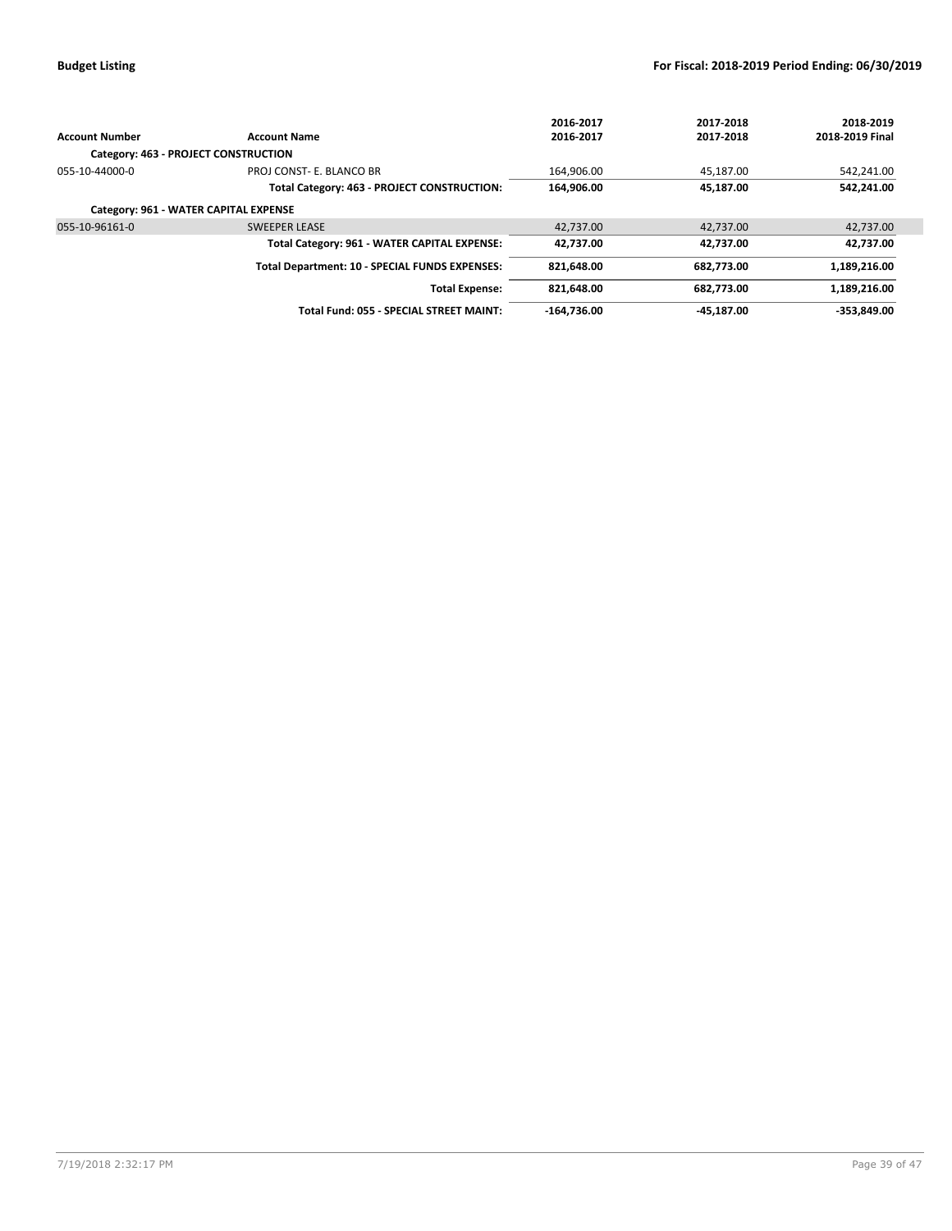|                                       |                                                | 2016-2017     | 2017-2018  | 2018-2019       |
|---------------------------------------|------------------------------------------------|---------------|------------|-----------------|
| <b>Account Number</b>                 | <b>Account Name</b>                            | 2016-2017     | 2017-2018  | 2018-2019 Final |
| Category: 463 - PROJECT CONSTRUCTION  |                                                |               |            |                 |
| 055-10-44000-0                        | PROJ CONST- E. BLANCO BR                       | 164,906.00    | 45,187.00  | 542,241.00      |
|                                       | Total Category: 463 - PROJECT CONSTRUCTION:    | 164.906.00    | 45.187.00  | 542,241.00      |
| Category: 961 - WATER CAPITAL EXPENSE |                                                |               |            |                 |
| 055-10-96161-0                        | <b>SWEEPER LEASE</b>                           | 42.737.00     | 42,737.00  | 42,737.00       |
|                                       | Total Category: 961 - WATER CAPITAL EXPENSE:   | 42.737.00     | 42.737.00  | 42.737.00       |
|                                       | Total Department: 10 - SPECIAL FUNDS EXPENSES: | 821.648.00    | 682.773.00 | 1,189,216.00    |
|                                       | <b>Total Expense:</b>                          | 821.648.00    | 682.773.00 | 1,189,216.00    |
|                                       | Total Fund: 055 - SPECIAL STREET MAINT:        | $-164.736.00$ | -45.187.00 | $-353.849.00$   |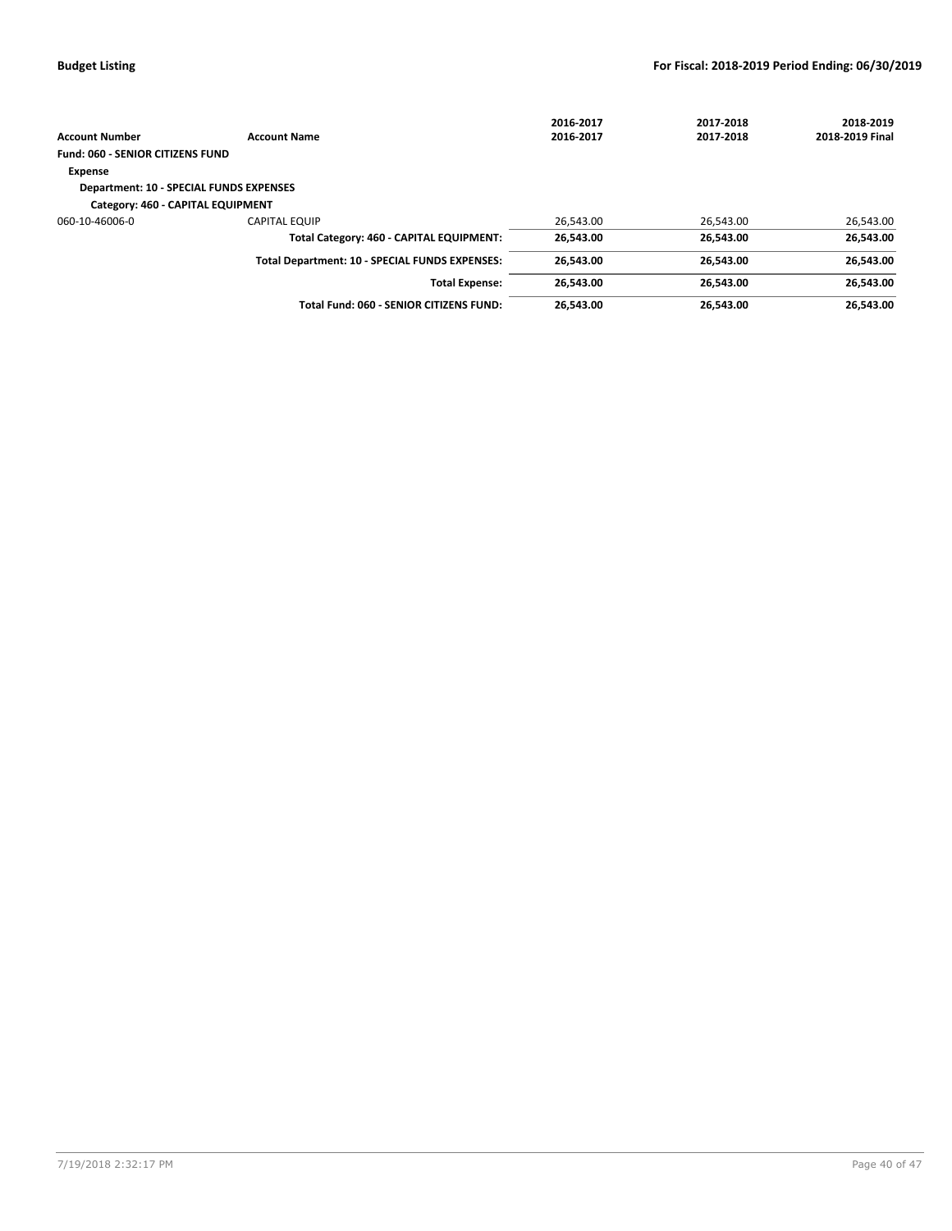|                                                |                                                | 2016-2017 | 2017-2018 | 2018-2019       |
|------------------------------------------------|------------------------------------------------|-----------|-----------|-----------------|
| <b>Account Number</b>                          | <b>Account Name</b>                            | 2016-2017 | 2017-2018 | 2018-2019 Final |
| <b>Fund: 060 - SENIOR CITIZENS FUND</b>        |                                                |           |           |                 |
| <b>Expense</b>                                 |                                                |           |           |                 |
| <b>Department: 10 - SPECIAL FUNDS EXPENSES</b> |                                                |           |           |                 |
| Category: 460 - CAPITAL EQUIPMENT              |                                                |           |           |                 |
| 060-10-46006-0                                 | <b>CAPITAL EQUIP</b>                           | 26.543.00 | 26,543.00 | 26,543.00       |
|                                                | Total Category: 460 - CAPITAL EQUIPMENT:       | 26,543.00 | 26.543.00 | 26,543.00       |
|                                                | Total Department: 10 - SPECIAL FUNDS EXPENSES: | 26.543.00 | 26.543.00 | 26,543.00       |
|                                                | <b>Total Expense:</b>                          | 26.543.00 | 26.543.00 | 26.543.00       |
|                                                | Total Fund: 060 - SENIOR CITIZENS FUND:        | 26.543.00 | 26.543.00 | 26.543.00       |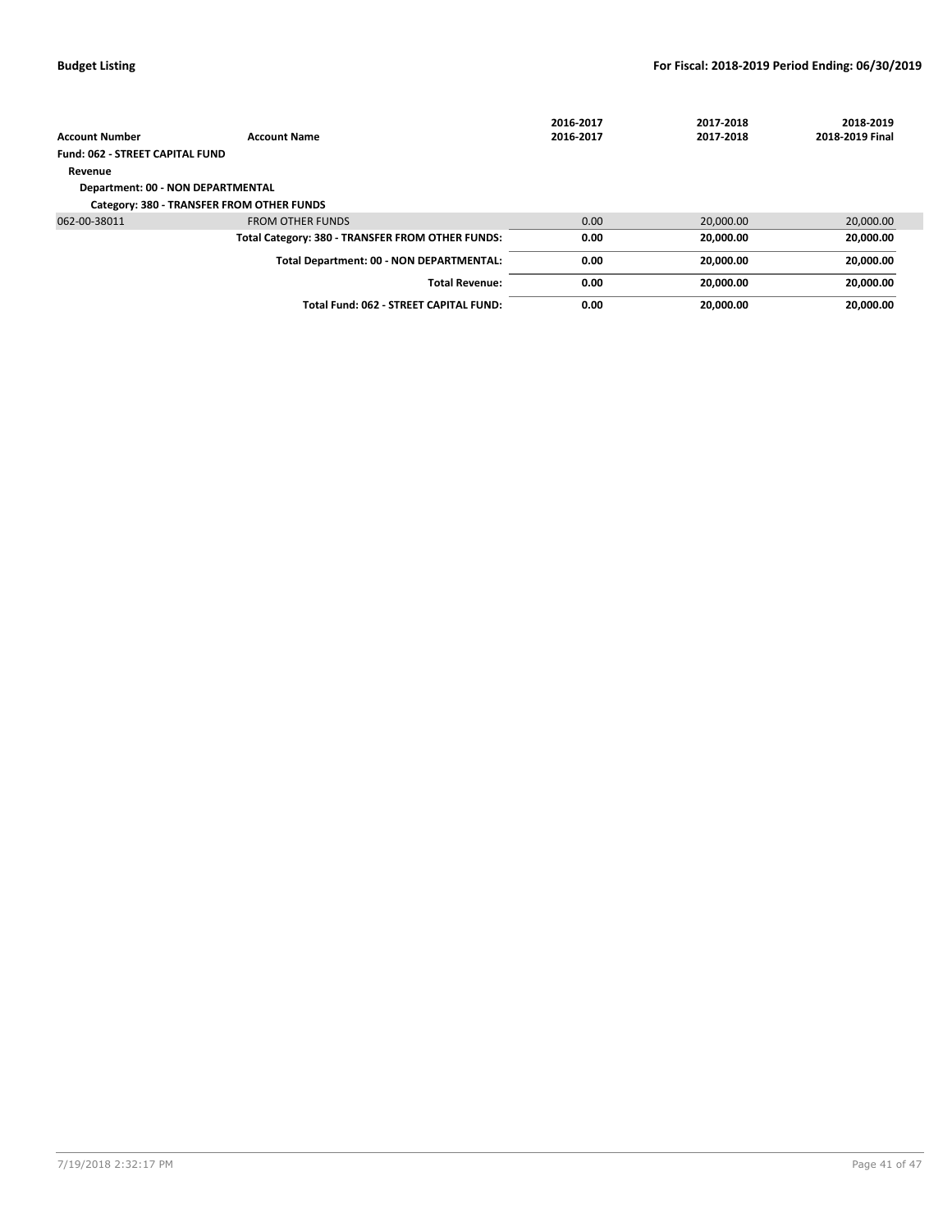|                                        |                                                  | 2016-2017 | 2017-2018 | 2018-2019       |
|----------------------------------------|--------------------------------------------------|-----------|-----------|-----------------|
| <b>Account Number</b>                  | <b>Account Name</b>                              | 2016-2017 | 2017-2018 | 2018-2019 Final |
| <b>Fund: 062 - STREET CAPITAL FUND</b> |                                                  |           |           |                 |
| Revenue                                |                                                  |           |           |                 |
| Department: 00 - NON DEPARTMENTAL      |                                                  |           |           |                 |
|                                        | Category: 380 - TRANSFER FROM OTHER FUNDS        |           |           |                 |
| 062-00-38011                           | <b>FROM OTHER FUNDS</b>                          | 0.00      | 20,000.00 | 20,000.00       |
|                                        | Total Category: 380 - TRANSFER FROM OTHER FUNDS: | 0.00      | 20.000.00 | 20,000.00       |
|                                        | Total Department: 00 - NON DEPARTMENTAL:         | 0.00      | 20.000.00 | 20,000.00       |
|                                        | <b>Total Revenue:</b>                            | 0.00      | 20.000.00 | 20,000.00       |
|                                        | Total Fund: 062 - STREET CAPITAL FUND:           | 0.00      | 20.000.00 | 20,000.00       |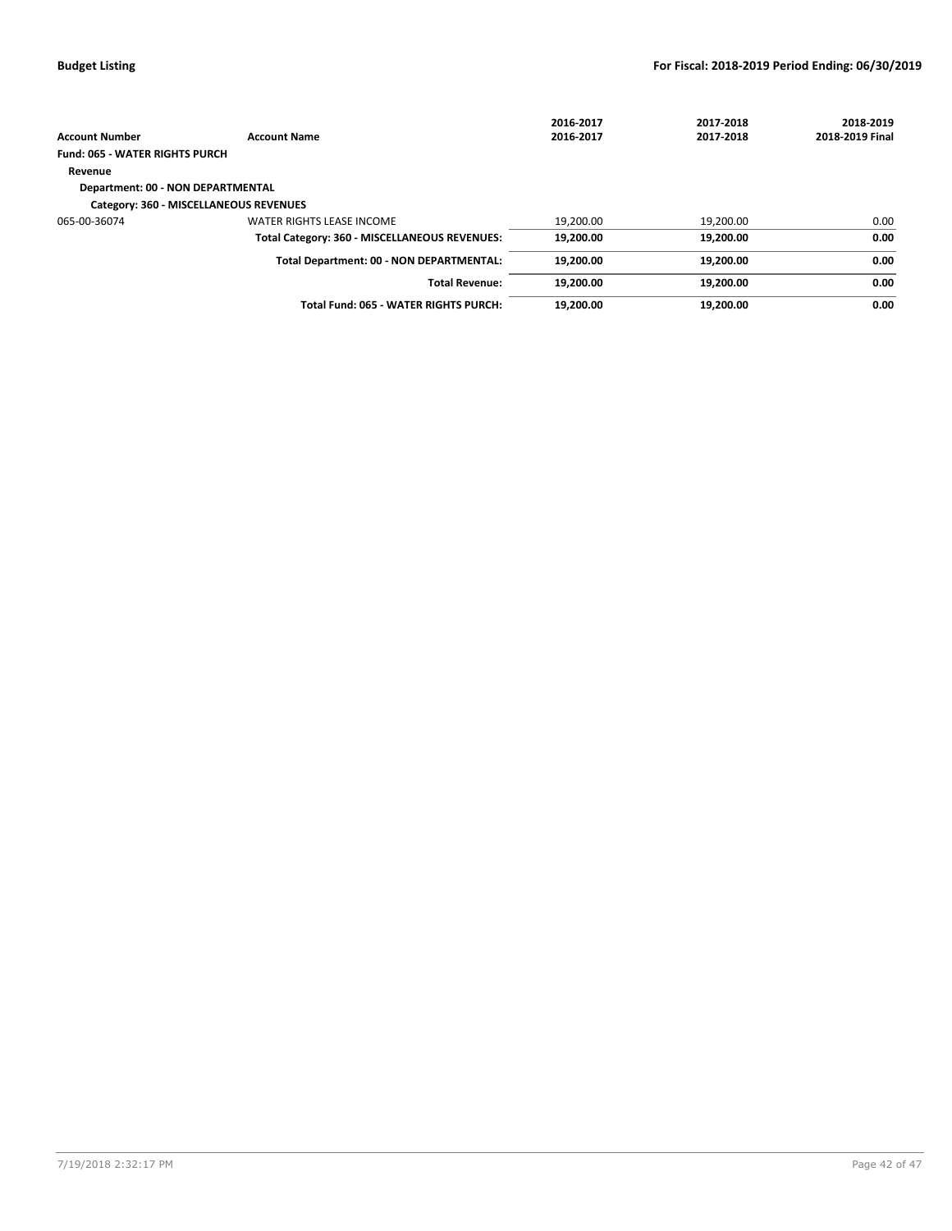|                                        |                                               | 2016-2017 | 2017-2018 | 2018-2019       |
|----------------------------------------|-----------------------------------------------|-----------|-----------|-----------------|
| <b>Account Number</b>                  | <b>Account Name</b>                           | 2016-2017 | 2017-2018 | 2018-2019 Final |
| <b>Fund: 065 - WATER RIGHTS PURCH</b>  |                                               |           |           |                 |
| Revenue                                |                                               |           |           |                 |
| Department: 00 - NON DEPARTMENTAL      |                                               |           |           |                 |
| Category: 360 - MISCELLANEOUS REVENUES |                                               |           |           |                 |
| 065-00-36074                           | <b>WATER RIGHTS LEASE INCOME</b>              | 19,200.00 | 19,200.00 | 0.00            |
|                                        | Total Category: 360 - MISCELLANEOUS REVENUES: | 19,200.00 | 19,200.00 | 0.00            |
|                                        | Total Department: 00 - NON DEPARTMENTAL:      | 19,200.00 | 19,200.00 | 0.00            |
|                                        | <b>Total Revenue:</b>                         | 19.200.00 | 19,200.00 | 0.00            |
|                                        | Total Fund: 065 - WATER RIGHTS PURCH:         | 19,200.00 | 19,200.00 | 0.00            |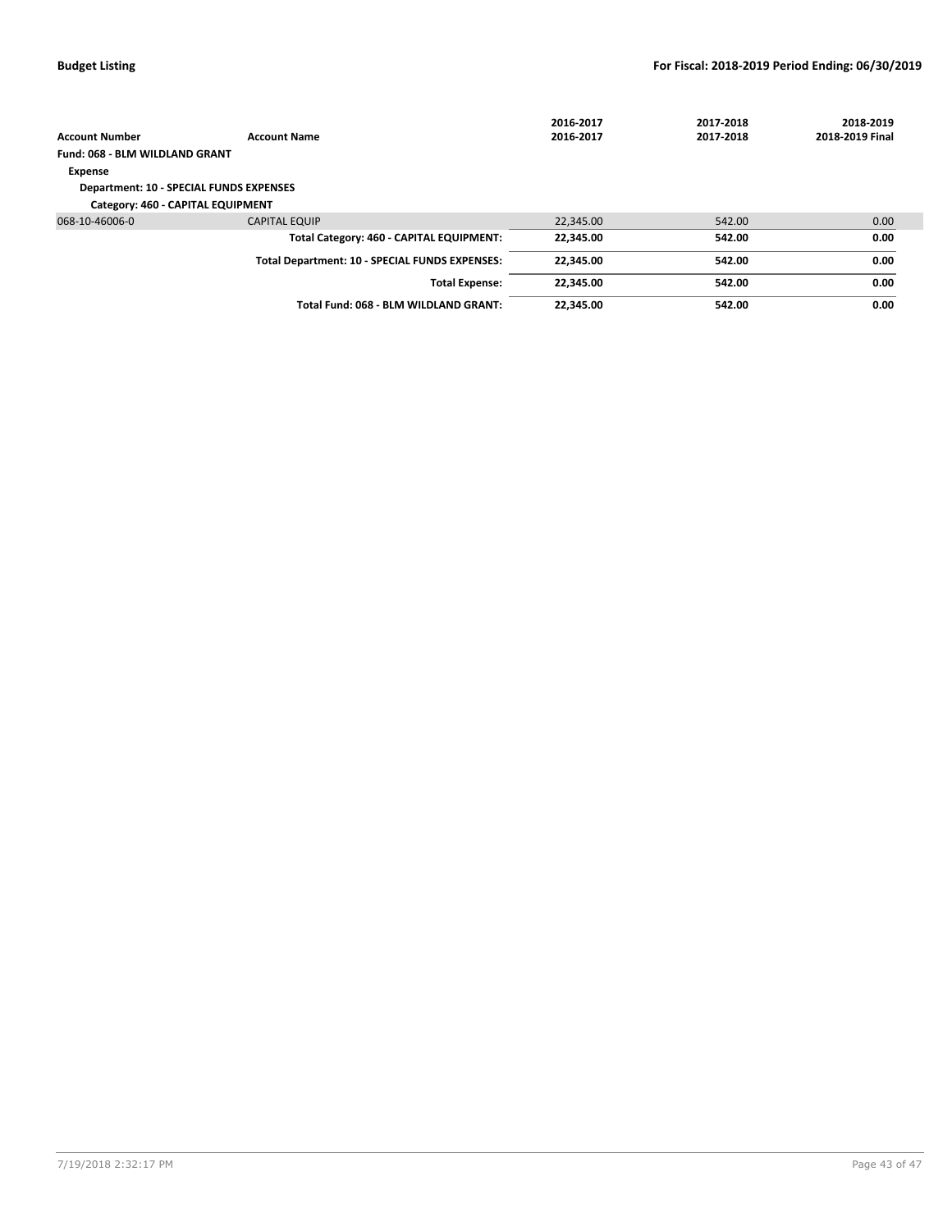|                                                |                                                | 2016-2017 | 2017-2018 | 2018-2019         |
|------------------------------------------------|------------------------------------------------|-----------|-----------|-------------------|
| <b>Account Number</b>                          | <b>Account Name</b>                            | 2016-2017 | 2017-2018 | 2018-2019 Final   |
| Fund: 068 - BLM WILDLAND GRANT                 |                                                |           |           |                   |
| Expense                                        |                                                |           |           |                   |
| <b>Department: 10 - SPECIAL FUNDS EXPENSES</b> |                                                |           |           |                   |
| Category: 460 - CAPITAL EQUIPMENT              |                                                |           |           |                   |
| 068-10-46006-0                                 | <b>CAPITAL EQUIP</b>                           | 22.345.00 | 542.00    | 0.00 <sub>1</sub> |
|                                                | Total Category: 460 - CAPITAL EQUIPMENT:       | 22.345.00 | 542.00    | 0.00              |
|                                                | Total Department: 10 - SPECIAL FUNDS EXPENSES: | 22.345.00 | 542.00    | 0.00              |
|                                                | <b>Total Expense:</b>                          | 22.345.00 | 542.00    | 0.00              |
|                                                | Total Fund: 068 - BLM WILDLAND GRANT:          | 22,345.00 | 542.00    | 0.00              |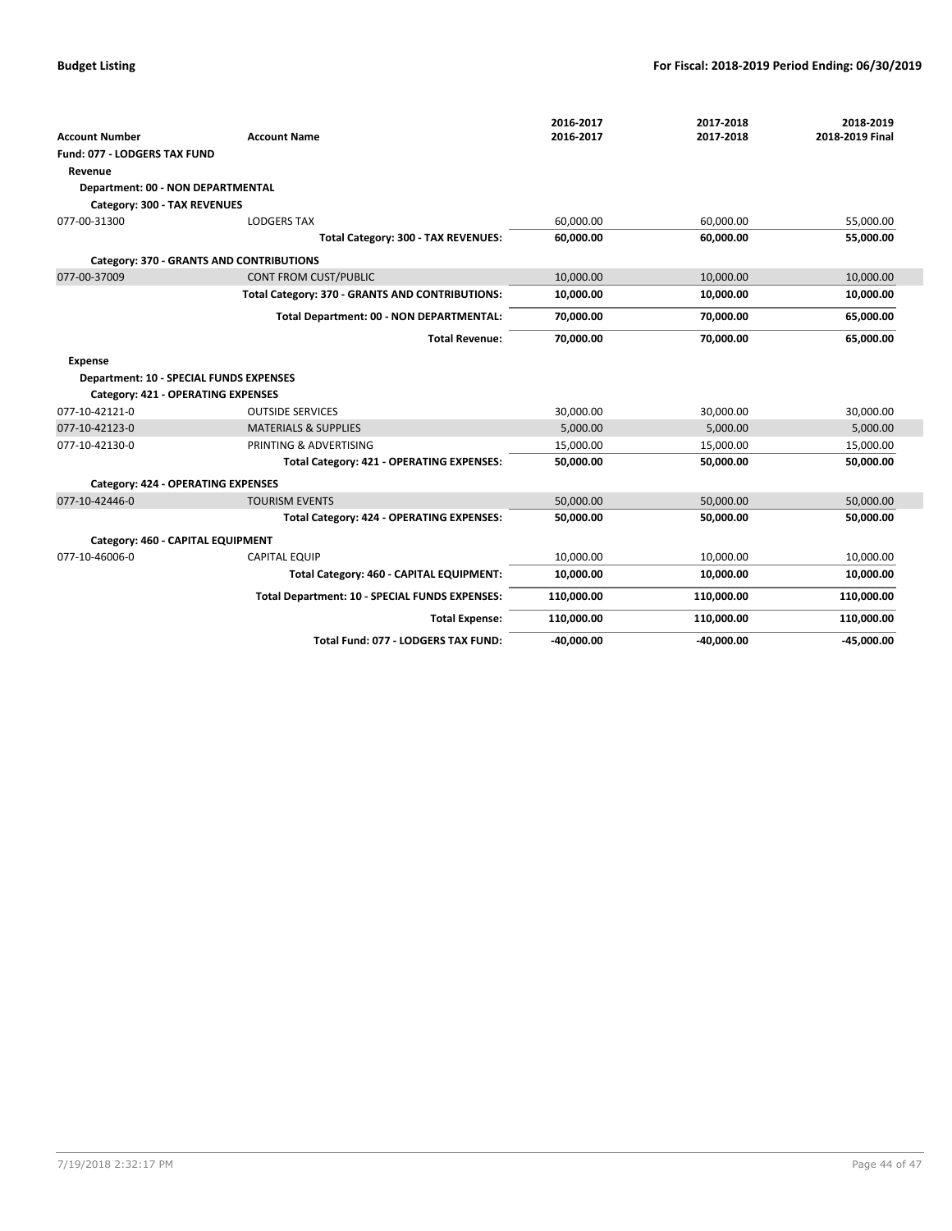|                                                |                                                 | 2016-2017    | 2017-2018    | 2018-2019       |
|------------------------------------------------|-------------------------------------------------|--------------|--------------|-----------------|
| <b>Account Number</b>                          | <b>Account Name</b>                             | 2016-2017    | 2017-2018    | 2018-2019 Final |
| Fund: 077 - LODGERS TAX FUND                   |                                                 |              |              |                 |
| Revenue                                        |                                                 |              |              |                 |
| Department: 00 - NON DEPARTMENTAL              |                                                 |              |              |                 |
| Category: 300 - TAX REVENUES                   |                                                 |              |              |                 |
| 077-00-31300                                   | <b>LODGERS TAX</b>                              | 60.000.00    | 60,000.00    | 55,000.00       |
|                                                | Total Category: 300 - TAX REVENUES:             | 60,000.00    | 60,000.00    | 55,000.00       |
|                                                | Category: 370 - GRANTS AND CONTRIBUTIONS        |              |              |                 |
| 077-00-37009                                   | <b>CONT FROM CUST/PUBLIC</b>                    | 10,000.00    | 10,000.00    | 10,000.00       |
|                                                | Total Category: 370 - GRANTS AND CONTRIBUTIONS: | 10,000.00    | 10,000.00    | 10,000.00       |
|                                                | Total Department: 00 - NON DEPARTMENTAL:        | 70,000.00    | 70,000.00    | 65,000.00       |
|                                                | <b>Total Revenue:</b>                           | 70,000.00    | 70,000.00    | 65,000.00       |
| <b>Expense</b>                                 |                                                 |              |              |                 |
| <b>Department: 10 - SPECIAL FUNDS EXPENSES</b> |                                                 |              |              |                 |
| Category: 421 - OPERATING EXPENSES             |                                                 |              |              |                 |
| 077-10-42121-0                                 | <b>OUTSIDE SERVICES</b>                         | 30,000.00    | 30,000.00    | 30,000.00       |
| 077-10-42123-0                                 | <b>MATERIALS &amp; SUPPLIES</b>                 | 5,000.00     | 5,000.00     | 5,000.00        |
| 077-10-42130-0                                 | PRINTING & ADVERTISING                          | 15,000.00    | 15,000.00    | 15,000.00       |
|                                                | Total Category: 421 - OPERATING EXPENSES:       | 50,000.00    | 50,000.00    | 50,000.00       |
| <b>Category: 424 - OPERATING EXPENSES</b>      |                                                 |              |              |                 |
| 077-10-42446-0                                 | <b>TOURISM EVENTS</b>                           | 50,000.00    | 50,000.00    | 50,000.00       |
|                                                | Total Category: 424 - OPERATING EXPENSES:       | 50,000.00    | 50,000.00    | 50,000.00       |
| Category: 460 - CAPITAL EQUIPMENT              |                                                 |              |              |                 |
| 077-10-46006-0                                 | <b>CAPITAL EQUIP</b>                            | 10,000.00    | 10,000.00    | 10,000.00       |
|                                                | Total Category: 460 - CAPITAL EQUIPMENT:        | 10,000.00    | 10,000.00    | 10,000.00       |
|                                                | Total Department: 10 - SPECIAL FUNDS EXPENSES:  | 110,000.00   | 110,000.00   | 110,000.00      |
|                                                | <b>Total Expense:</b>                           | 110,000.00   | 110,000.00   | 110,000.00      |
|                                                | Total Fund: 077 - LODGERS TAX FUND:             | $-40,000.00$ | $-40,000.00$ | $-45,000.00$    |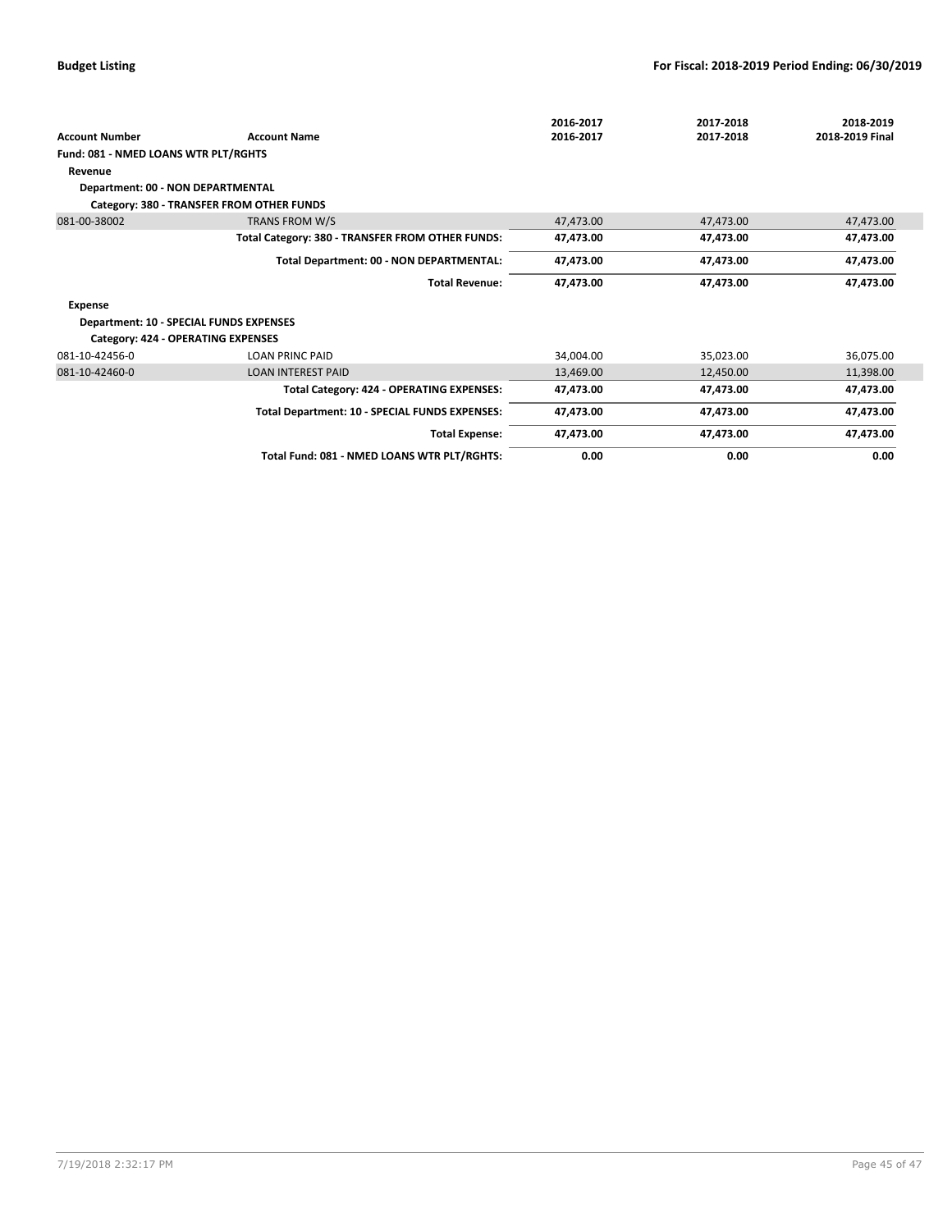|                                                |                                                  | 2016-2017 | 2017-2018 | 2018-2019       |
|------------------------------------------------|--------------------------------------------------|-----------|-----------|-----------------|
| <b>Account Number</b>                          | <b>Account Name</b>                              | 2016-2017 | 2017-2018 | 2018-2019 Final |
| Fund: 081 - NMED LOANS WTR PLT/RGHTS           |                                                  |           |           |                 |
| Revenue                                        |                                                  |           |           |                 |
| Department: 00 - NON DEPARTMENTAL              |                                                  |           |           |                 |
|                                                | Category: 380 - TRANSFER FROM OTHER FUNDS        |           |           |                 |
| 081-00-38002                                   | TRANS FROM W/S                                   | 47,473.00 | 47,473.00 | 47,473.00       |
|                                                | Total Category: 380 - TRANSFER FROM OTHER FUNDS: | 47,473.00 | 47,473.00 | 47,473.00       |
|                                                | Total Department: 00 - NON DEPARTMENTAL:         | 47,473.00 | 47,473.00 | 47,473.00       |
|                                                | <b>Total Revenue:</b>                            | 47,473.00 | 47,473.00 | 47,473.00       |
| <b>Expense</b>                                 |                                                  |           |           |                 |
| <b>Department: 10 - SPECIAL FUNDS EXPENSES</b> |                                                  |           |           |                 |
| Category: 424 - OPERATING EXPENSES             |                                                  |           |           |                 |
| 081-10-42456-0                                 | <b>LOAN PRINC PAID</b>                           | 34,004.00 | 35,023.00 | 36,075.00       |
| 081-10-42460-0                                 | <b>LOAN INTEREST PAID</b>                        | 13,469.00 | 12,450.00 | 11,398.00       |
|                                                | Total Category: 424 - OPERATING EXPENSES:        | 47,473.00 | 47,473.00 | 47,473.00       |
|                                                | Total Department: 10 - SPECIAL FUNDS EXPENSES:   | 47,473.00 | 47,473.00 | 47,473.00       |
|                                                | <b>Total Expense:</b>                            | 47,473.00 | 47,473.00 | 47,473.00       |
|                                                | Total Fund: 081 - NMED LOANS WTR PLT/RGHTS:      | 0.00      | 0.00      | 0.00            |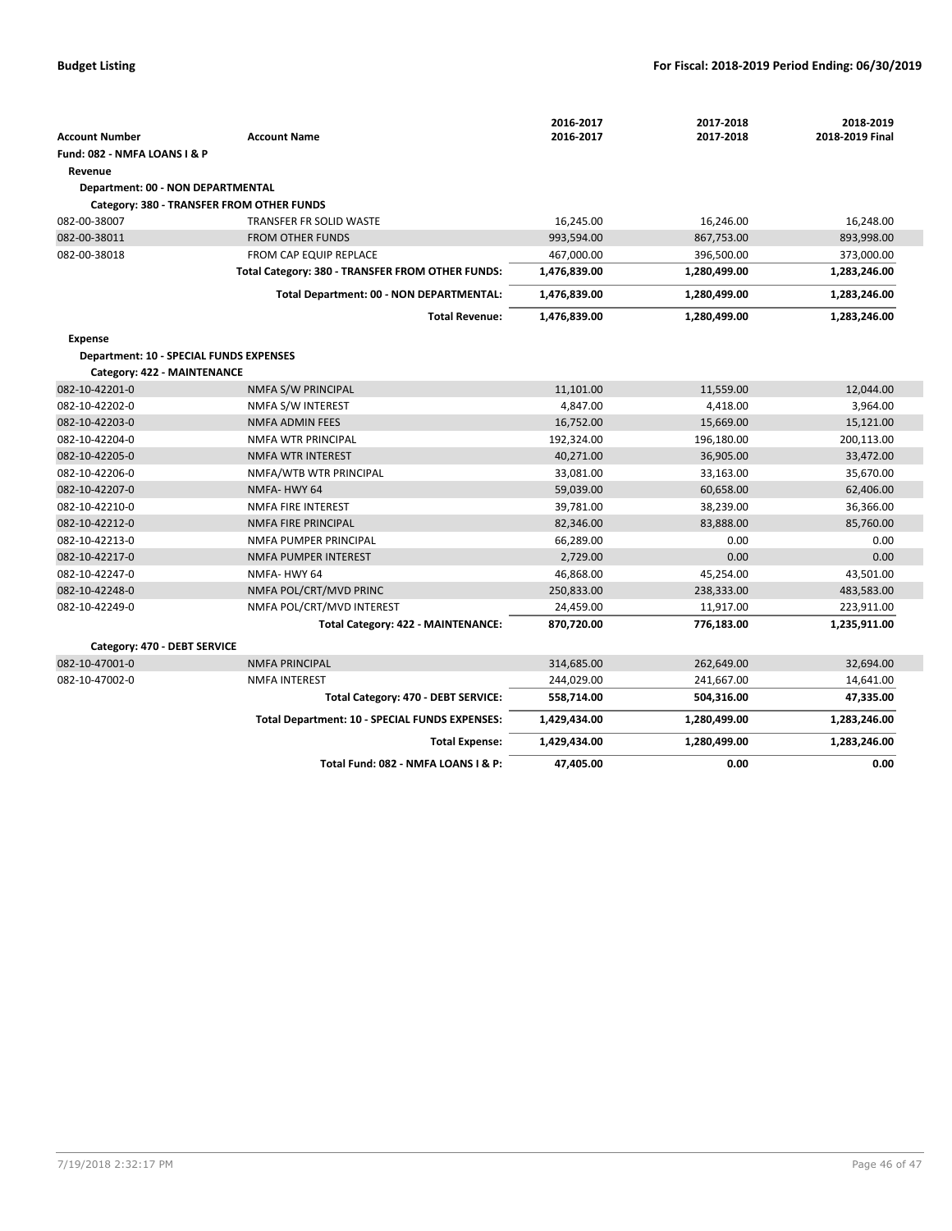|                                         |                                                  | 2016-2017    | 2017-2018    | 2018-2019       |
|-----------------------------------------|--------------------------------------------------|--------------|--------------|-----------------|
| <b>Account Number</b>                   | <b>Account Name</b>                              | 2016-2017    | 2017-2018    | 2018-2019 Final |
| Fund: 082 - NMFA LOANS I & P            |                                                  |              |              |                 |
| Revenue                                 |                                                  |              |              |                 |
| Department: 00 - NON DEPARTMENTAL       |                                                  |              |              |                 |
|                                         | Category: 380 - TRANSFER FROM OTHER FUNDS        |              |              |                 |
| 082-00-38007                            | <b>TRANSFER FR SOLID WASTE</b>                   | 16,245.00    | 16,246.00    | 16,248.00       |
| 082-00-38011                            | <b>FROM OTHER FUNDS</b>                          | 993,594.00   | 867,753.00   | 893,998.00      |
| 082-00-38018                            | FROM CAP EQUIP REPLACE                           | 467,000.00   | 396,500.00   | 373,000.00      |
|                                         | Total Category: 380 - TRANSFER FROM OTHER FUNDS: | 1,476,839.00 | 1,280,499.00 | 1,283,246.00    |
|                                         | Total Department: 00 - NON DEPARTMENTAL:         | 1,476,839.00 | 1,280,499.00 | 1,283,246.00    |
|                                         | <b>Total Revenue:</b>                            | 1,476,839.00 | 1,280,499.00 | 1,283,246.00    |
| <b>Expense</b>                          |                                                  |              |              |                 |
| Department: 10 - SPECIAL FUNDS EXPENSES |                                                  |              |              |                 |
| Category: 422 - MAINTENANCE             |                                                  |              |              |                 |
| 082-10-42201-0                          | NMFA S/W PRINCIPAL                               | 11,101.00    | 11,559.00    | 12,044.00       |
| 082-10-42202-0                          | NMFA S/W INTEREST                                | 4,847.00     | 4,418.00     | 3,964.00        |
| 082-10-42203-0                          | <b>NMFA ADMIN FEES</b>                           | 16,752.00    | 15,669.00    | 15,121.00       |
| 082-10-42204-0                          | <b>NMFA WTR PRINCIPAL</b>                        | 192,324.00   | 196,180.00   | 200,113.00      |
| 082-10-42205-0                          | <b>NMFA WTR INTEREST</b>                         | 40,271.00    | 36,905.00    | 33,472.00       |
| 082-10-42206-0                          | NMFA/WTB WTR PRINCIPAL                           | 33,081.00    | 33,163.00    | 35,670.00       |
| 082-10-42207-0                          | NMFA-HWY 64                                      | 59,039.00    | 60,658.00    | 62,406.00       |
| 082-10-42210-0                          | NMFA FIRE INTEREST                               | 39,781.00    | 38,239.00    | 36,366.00       |
| 082-10-42212-0                          | <b>NMFA FIRE PRINCIPAL</b>                       | 82,346.00    | 83,888.00    | 85,760.00       |
| 082-10-42213-0                          | NMFA PUMPER PRINCIPAL                            | 66,289.00    | 0.00         | 0.00            |
| 082-10-42217-0                          | NMFA PUMPER INTEREST                             | 2,729.00     | 0.00         | 0.00            |
| 082-10-42247-0                          | NMFA-HWY 64                                      | 46,868.00    | 45,254.00    | 43,501.00       |
| 082-10-42248-0                          | NMFA POL/CRT/MVD PRINC                           | 250,833.00   | 238,333.00   | 483,583.00      |
| 082-10-42249-0                          | NMFA POL/CRT/MVD INTEREST                        | 24,459.00    | 11,917.00    | 223,911.00      |
|                                         | Total Category: 422 - MAINTENANCE:               | 870,720.00   | 776,183.00   | 1,235,911.00    |
| Category: 470 - DEBT SERVICE            |                                                  |              |              |                 |
| 082-10-47001-0                          | <b>NMFA PRINCIPAL</b>                            | 314,685.00   | 262,649.00   | 32,694.00       |
| 082-10-47002-0                          | <b>NMFA INTEREST</b>                             | 244,029.00   | 241,667.00   | 14,641.00       |
|                                         | Total Category: 470 - DEBT SERVICE:              | 558,714.00   | 504,316.00   | 47,335.00       |
|                                         | Total Department: 10 - SPECIAL FUNDS EXPENSES:   | 1,429,434.00 | 1,280,499.00 | 1,283,246.00    |
|                                         | <b>Total Expense:</b>                            | 1,429,434.00 | 1,280,499.00 | 1,283,246.00    |
|                                         | Total Fund: 082 - NMFA LOANS I & P:              | 47,405.00    | 0.00         | 0.00            |